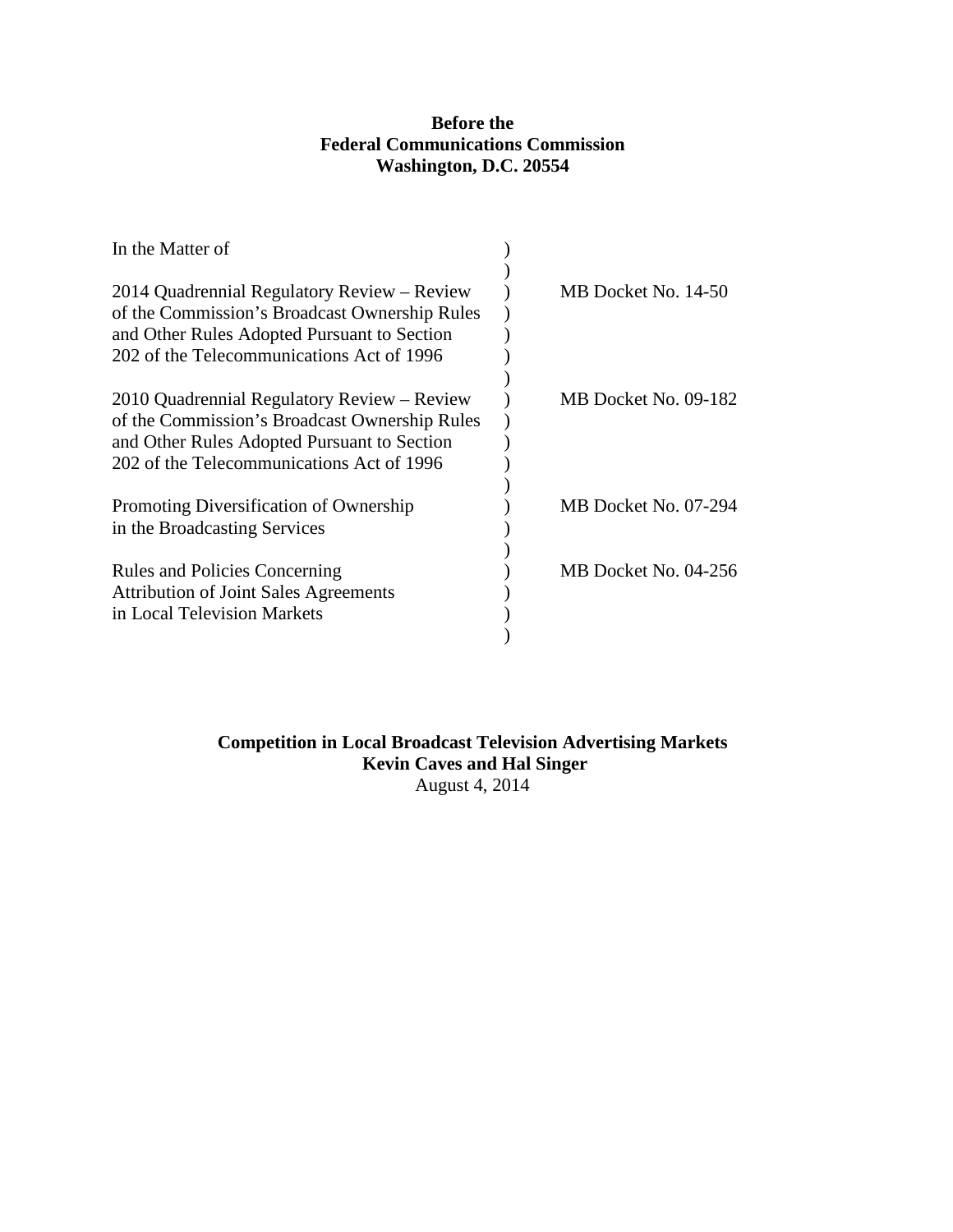# **Before the Federal Communications Commission Washington, D.C. 20554**

| In the Matter of                                                                             |                      |
|----------------------------------------------------------------------------------------------|----------------------|
| 2014 Quadrennial Regulatory Review - Review<br>of the Commission's Broadcast Ownership Rules | MB Docket No. 14-50  |
| and Other Rules Adopted Pursuant to Section<br>202 of the Telecommunications Act of 1996     |                      |
|                                                                                              |                      |
| 2010 Quadrennial Regulatory Review – Review<br>of the Commission's Broadcast Ownership Rules | MB Docket No. 09-182 |
| and Other Rules Adopted Pursuant to Section<br>202 of the Telecommunications Act of 1996     |                      |
|                                                                                              |                      |
| Promoting Diversification of Ownership<br>in the Broadcasting Services                       | MB Docket No. 07-294 |
| <b>Rules and Policies Concerning</b>                                                         | MB Docket No. 04-256 |
| <b>Attribution of Joint Sales Agreements</b>                                                 |                      |
| in Local Television Markets                                                                  |                      |
|                                                                                              |                      |

# **Competition in Local Broadcast Television Advertising Markets Kevin Caves and Hal Singer** August 4, 2014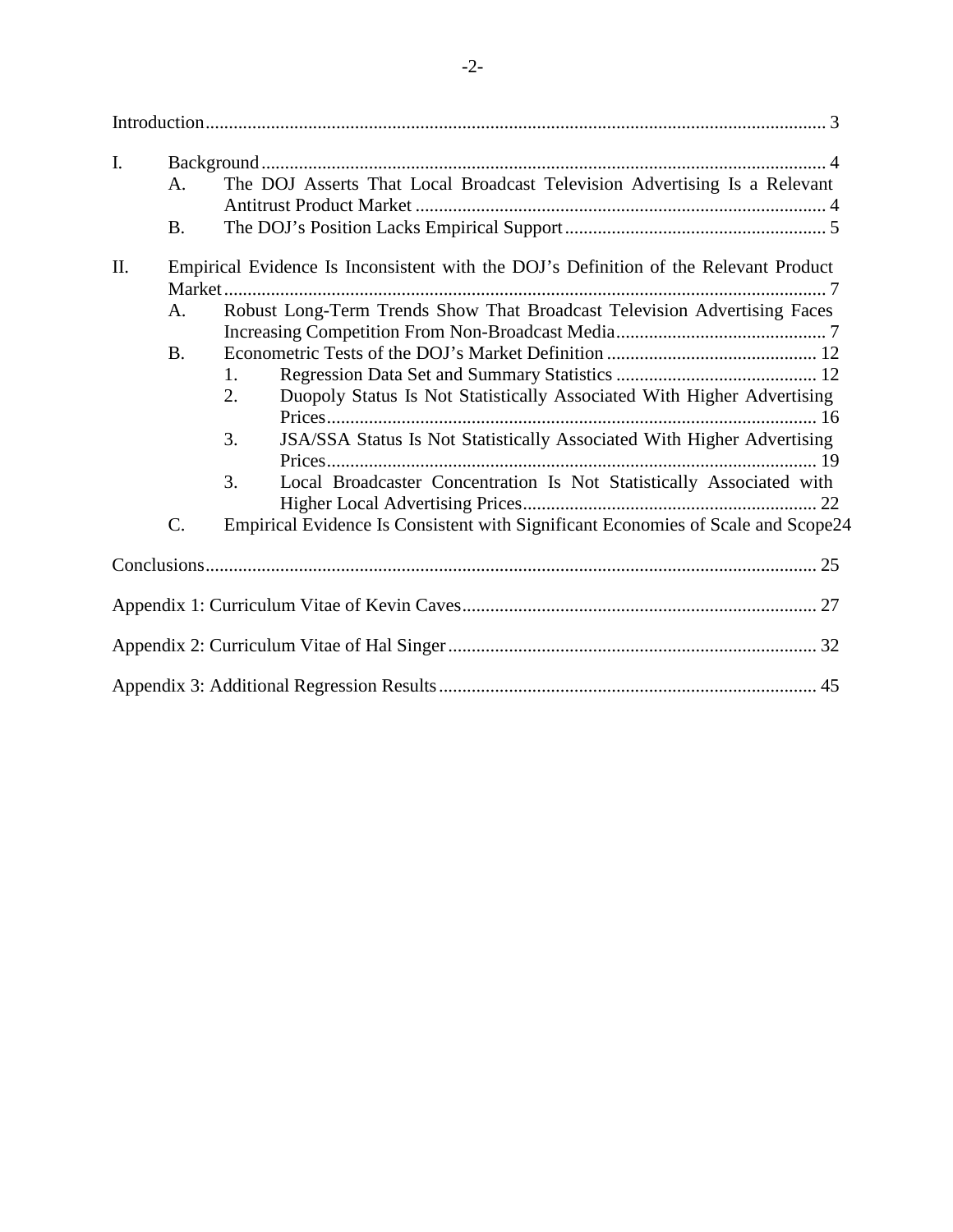| $\mathbf{I}$ . |                 |                                                                                      |  |
|----------------|-----------------|--------------------------------------------------------------------------------------|--|
|                | A.              | The DOJ Asserts That Local Broadcast Television Advertising Is a Relevant            |  |
|                | <b>B.</b>       |                                                                                      |  |
| II.            |                 | Empirical Evidence Is Inconsistent with the DOJ's Definition of the Relevant Product |  |
|                |                 |                                                                                      |  |
|                | A.              | Robust Long-Term Trends Show That Broadcast Television Advertising Faces             |  |
|                |                 |                                                                                      |  |
|                | <b>B.</b>       |                                                                                      |  |
|                |                 | 1.                                                                                   |  |
|                |                 | Duopoly Status Is Not Statistically Associated With Higher Advertising<br>2.         |  |
|                |                 |                                                                                      |  |
|                |                 | JSA/SSA Status Is Not Statistically Associated With Higher Advertising<br>3.         |  |
|                |                 |                                                                                      |  |
|                |                 | Local Broadcaster Concentration Is Not Statistically Associated with<br>3.           |  |
|                |                 |                                                                                      |  |
|                | $\mathcal{C}$ . | Empirical Evidence Is Consistent with Significant Economies of Scale and Scope24     |  |
|                |                 |                                                                                      |  |
|                |                 |                                                                                      |  |
|                |                 |                                                                                      |  |
|                |                 |                                                                                      |  |
|                |                 |                                                                                      |  |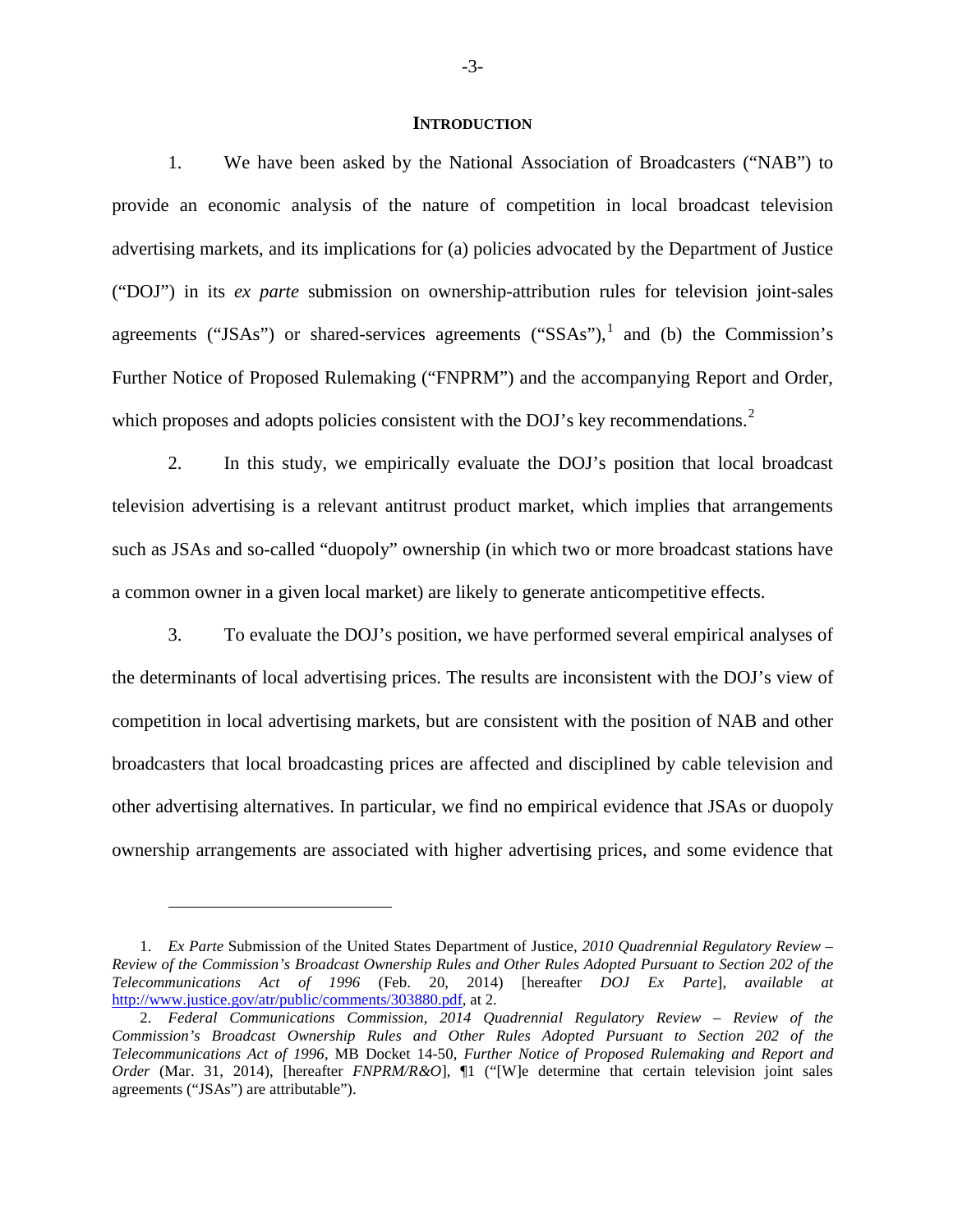#### **INTRODUCTION**

<span id="page-2-0"></span>1. We have been asked by the National Association of Broadcasters ("NAB") to provide an economic analysis of the nature of competition in local broadcast television advertising markets, and its implications for (a) policies advocated by the Department of Justice ("DOJ") in its *ex parte* submission on ownership-attribution rules for television joint-sales agreements ("JSAs") or shared-services agreements (" $SSAs$ "), and (b) the Commission's Further Notice of Proposed Rulemaking ("FNPRM") and the accompanying Report and Order, which proposes and adopts policies consistent with the DOJ's key recommendations. $2$ 

2. In this study, we empirically evaluate the DOJ's position that local broadcast television advertising is a relevant antitrust product market, which implies that arrangements such as JSAs and so-called "duopoly" ownership (in which two or more broadcast stations have a common owner in a given local market) are likely to generate anticompetitive effects.

3. To evaluate the DOJ's position, we have performed several empirical analyses of the determinants of local advertising prices. The results are inconsistent with the DOJ's view of competition in local advertising markets, but are consistent with the position of NAB and other broadcasters that local broadcasting prices are affected and disciplined by cable television and other advertising alternatives. In particular, we find no empirical evidence that JSAs or duopoly ownership arrangements are associated with higher advertising prices, and some evidence that

<span id="page-2-1"></span><sup>1.</sup> *Ex Parte* Submission of the United States Department of Justice, *2010 Quadrennial Regulatory Review – Review of the Commission's Broadcast Ownership Rules and Other Rules Adopted Pursuant to Section 202 of the Telecommunications Act of 1996* (Feb. 20, 2014) [hereafter *DOJ Ex Parte*], *available at* http://www.justice.gov/atr/public/comments/303880.pdf, at 2.

<span id="page-2-2"></span><sup>2.</sup> *Federal Communications Commission, 2014 Quadrennial Regulatory Review – Review of the Commission's Broadcast Ownership Rules and Other Rules Adopted Pursuant to Section 202 of the Telecommunications Act of 1996*, MB Docket 14-50, *Further Notice of Proposed Rulemaking and Report and Order* (Mar. 31, 2014), [hereafter *FNPRM/R&O*], ¶1 ("[W]e determine that certain television joint sales agreements ("JSAs") are attributable").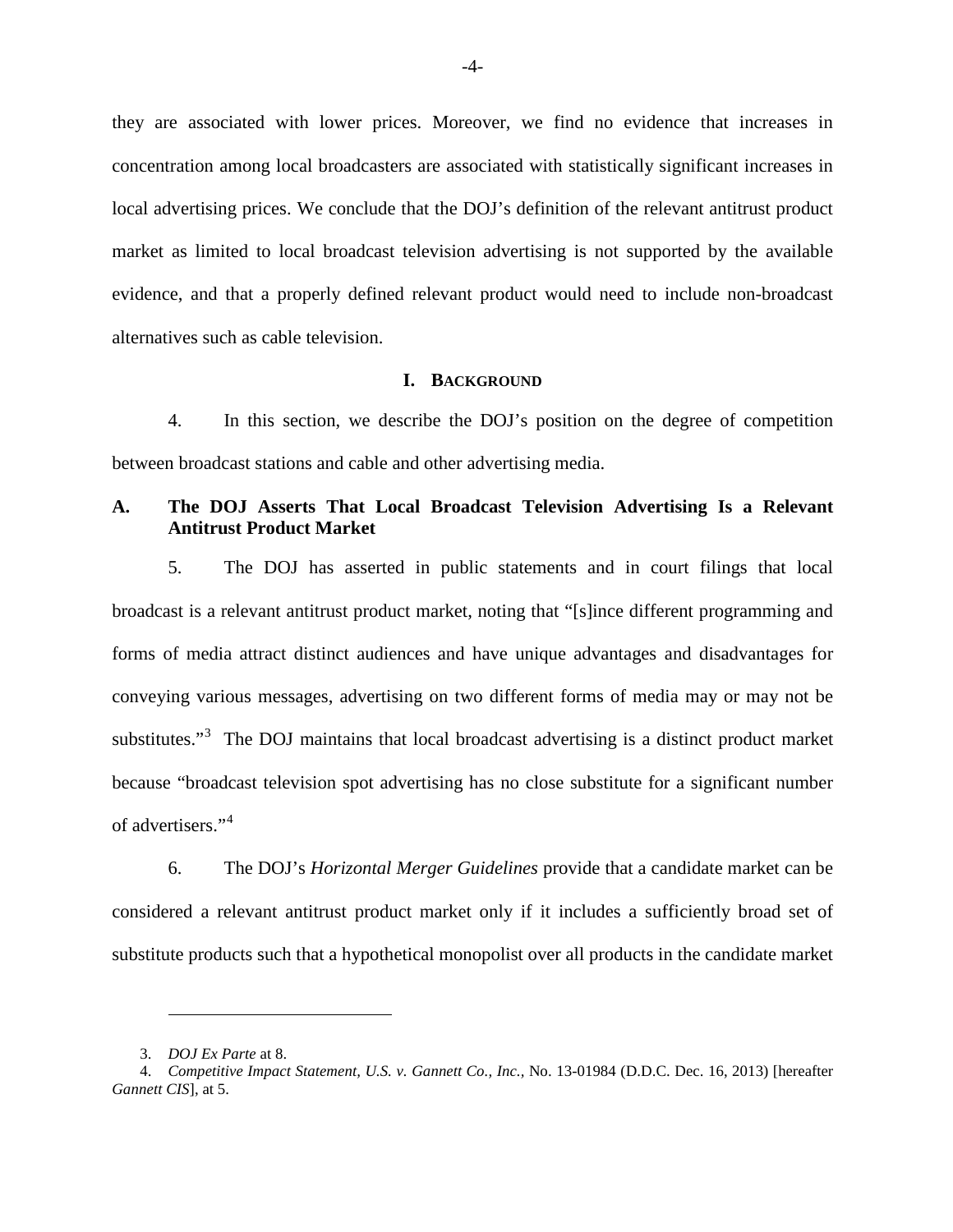they are associated with lower prices. Moreover, we find no evidence that increases in concentration among local broadcasters are associated with statistically significant increases in local advertising prices. We conclude that the DOJ's definition of the relevant antitrust product market as limited to local broadcast television advertising is not supported by the available evidence, and that a properly defined relevant product would need to include non-broadcast alternatives such as cable television.

#### **I. BACKGROUND**

<span id="page-3-0"></span>4. In this section, we describe the DOJ's position on the degree of competition between broadcast stations and cable and other advertising media.

# <span id="page-3-1"></span>**A. The DOJ Asserts That Local Broadcast Television Advertising Is a Relevant Antitrust Product Market**

5. The DOJ has asserted in public statements and in court filings that local broadcast is a relevant antitrust product market, noting that "[s]ince different programming and forms of media attract distinct audiences and have unique advantages and disadvantages for conveying various messages, advertising on two different forms of media may or may not be substitutes."<sup>[3](#page-3-2)</sup> The DOJ maintains that local broadcast advertising is a distinct product market because "broadcast television spot advertising has no close substitute for a significant number of advertisers."[4](#page-3-3)

6. The DOJ's *Horizontal Merger Guidelines* provide that a candidate market can be considered a relevant antitrust product market only if it includes a sufficiently broad set of substitute products such that a hypothetical monopolist over all products in the candidate market

<sup>3.</sup> *DOJ Ex Parte* at 8.

<span id="page-3-3"></span><span id="page-3-2"></span><sup>4.</sup> *Competitive Impact Statement, U.S. v. Gannett Co., Inc.,* No. 13-01984 (D.D.C. Dec. 16, 2013) [hereafter *Gannett CIS*], at 5.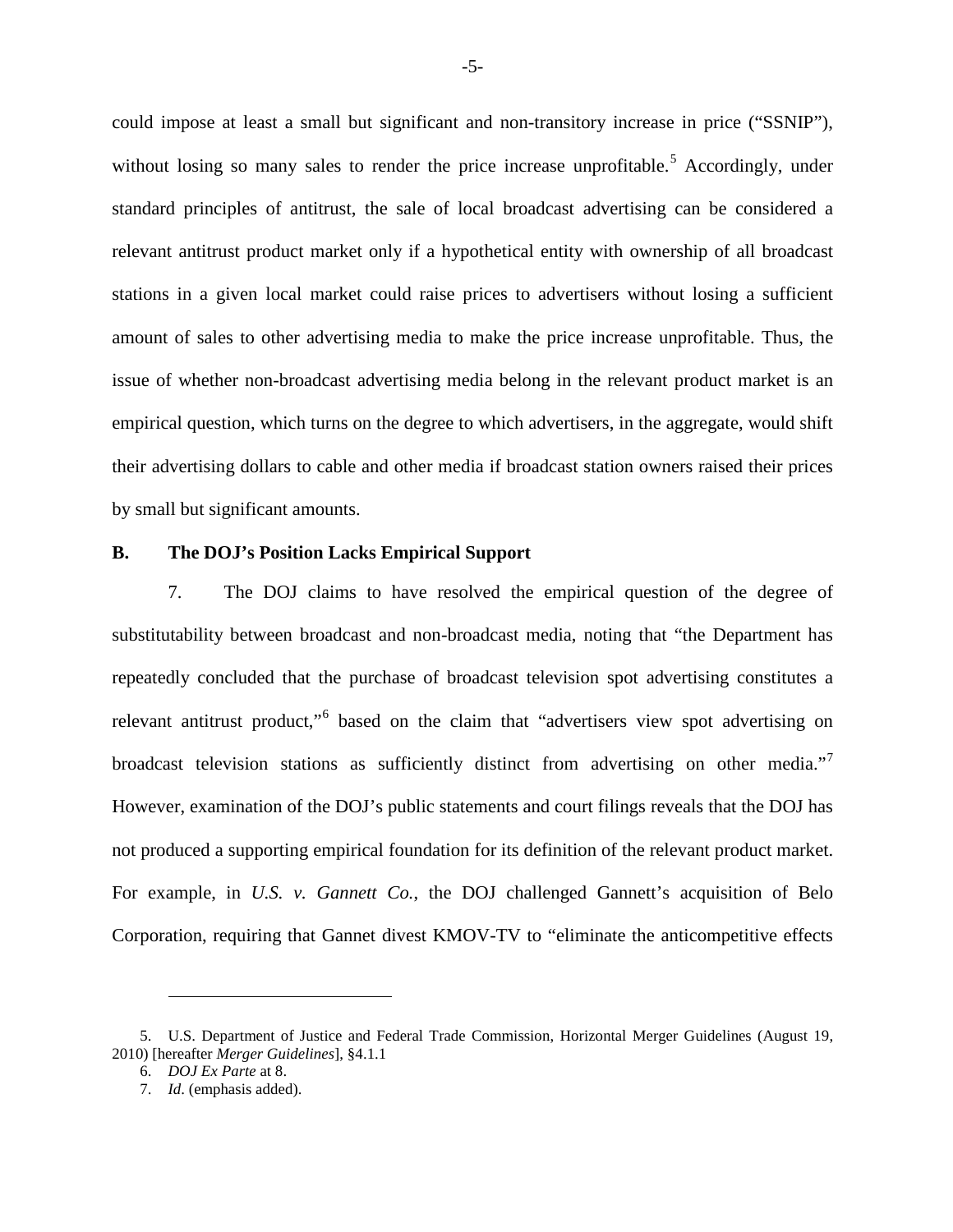could impose at least a small but significant and non-transitory increase in price ("SSNIP"), without losing so many sales to render the price increase unprofitable.<sup>[5](#page-4-1)</sup> Accordingly, under standard principles of antitrust, the sale of local broadcast advertising can be considered a relevant antitrust product market only if a hypothetical entity with ownership of all broadcast stations in a given local market could raise prices to advertisers without losing a sufficient amount of sales to other advertising media to make the price increase unprofitable. Thus, the issue of whether non-broadcast advertising media belong in the relevant product market is an empirical question, which turns on the degree to which advertisers, in the aggregate, would shift their advertising dollars to cable and other media if broadcast station owners raised their prices by small but significant amounts.

### <span id="page-4-0"></span>**B. The DOJ's Position Lacks Empirical Support**

7. The DOJ claims to have resolved the empirical question of the degree of substitutability between broadcast and non-broadcast media, noting that "the Department has repeatedly concluded that the purchase of broadcast television spot advertising constitutes a relevant antitrust product,"[6](#page-4-2) based on the claim that "advertisers view spot advertising on broadcast television stations as sufficiently distinct from advertising on other media."<sup>[7](#page-4-3)</sup> However, examination of the DOJ's public statements and court filings reveals that the DOJ has not produced a supporting empirical foundation for its definition of the relevant product market. For example, in *U.S. v. Gannett Co.*, the DOJ challenged Gannett's acquisition of Belo Corporation, requiring that Gannet divest KMOV-TV to "eliminate the anticompetitive effects

<span id="page-4-3"></span><span id="page-4-2"></span><span id="page-4-1"></span><sup>5.</sup> U.S. Department of Justice and Federal Trade Commission, Horizontal Merger Guidelines (August 19, 2010) [hereafter *Merger Guidelines*], §4.1.1

<sup>6.</sup> *DOJ Ex Parte* at 8.

<sup>7.</sup> *Id*. (emphasis added).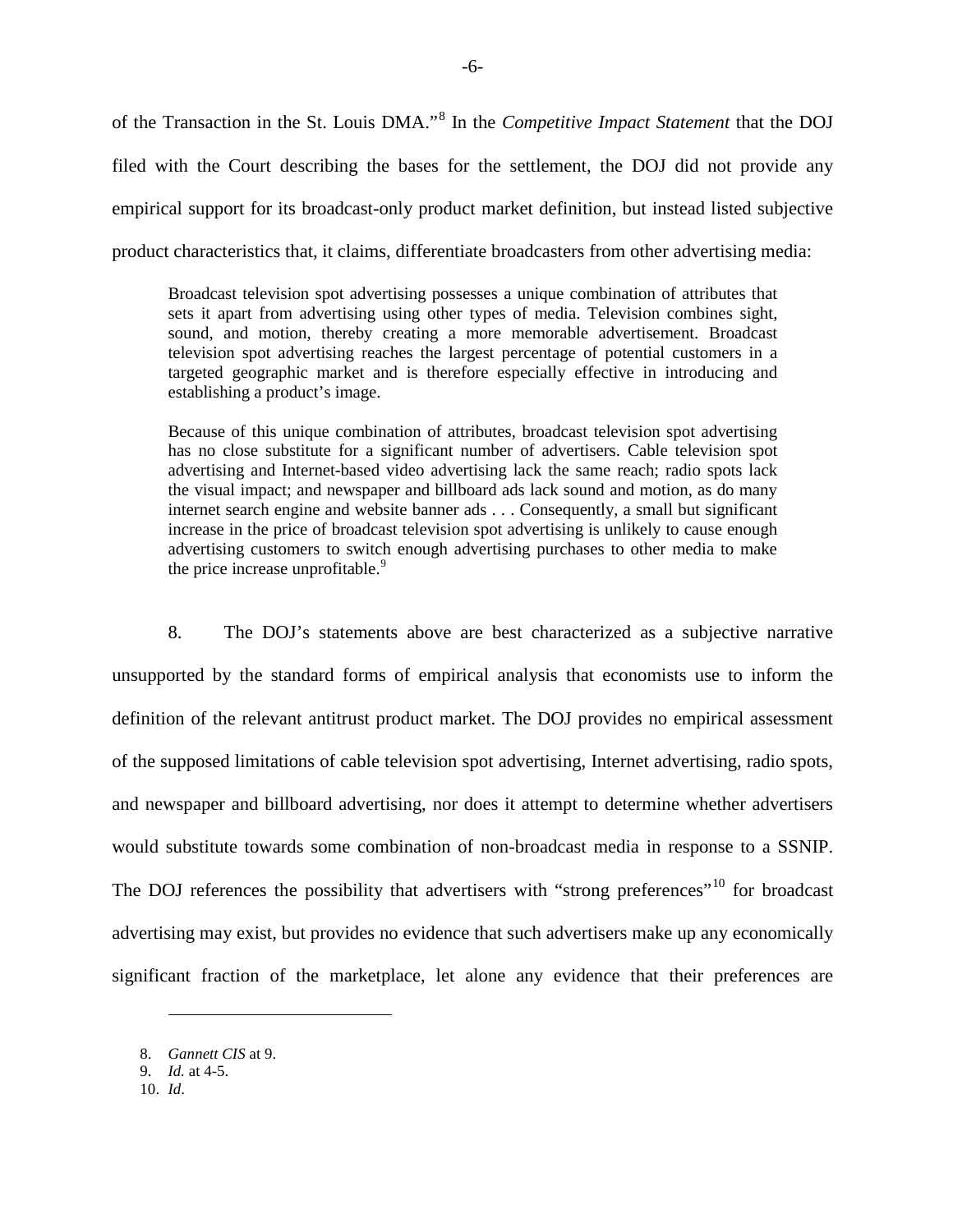of the Transaction in the St. Louis DMA."[8](#page-5-0) In the *Competitive Impact Statement* that the DOJ filed with the Court describing the bases for the settlement, the DOJ did not provide any empirical support for its broadcast-only product market definition, but instead listed subjective product characteristics that, it claims, differentiate broadcasters from other advertising media:

Broadcast television spot advertising possesses a unique combination of attributes that sets it apart from advertising using other types of media. Television combines sight, sound, and motion, thereby creating a more memorable advertisement. Broadcast television spot advertising reaches the largest percentage of potential customers in a targeted geographic market and is therefore especially effective in introducing and establishing a product's image.

Because of this unique combination of attributes, broadcast television spot advertising has no close substitute for a significant number of advertisers. Cable television spot advertising and Internet-based video advertising lack the same reach; radio spots lack the visual impact; and newspaper and billboard ads lack sound and motion, as do many internet search engine and website banner ads . . . Consequently, a small but significant increase in the price of broadcast television spot advertising is unlikely to cause enough advertising customers to switch enough advertising purchases to other media to make the price increase unprofitable.<sup>[9](#page-5-1)</sup>

8. The DOJ's statements above are best characterized as a subjective narrative unsupported by the standard forms of empirical analysis that economists use to inform the definition of the relevant antitrust product market. The DOJ provides no empirical assessment of the supposed limitations of cable television spot advertising, Internet advertising, radio spots, and newspaper and billboard advertising, nor does it attempt to determine whether advertisers would substitute towards some combination of non-broadcast media in response to a SSNIP. The DOJ references the possibility that advertisers with "strong preferences"<sup>[10](#page-5-2)</sup> for broadcast advertising may exist, but provides no evidence that such advertisers make up any economically significant fraction of the marketplace, let alone any evidence that their preferences are

<span id="page-5-0"></span><sup>8.</sup> *Gannett CIS* at 9.

<span id="page-5-1"></span><sup>9.</sup> *Id.* at 4-5.

<span id="page-5-2"></span><sup>10.</sup> *Id*.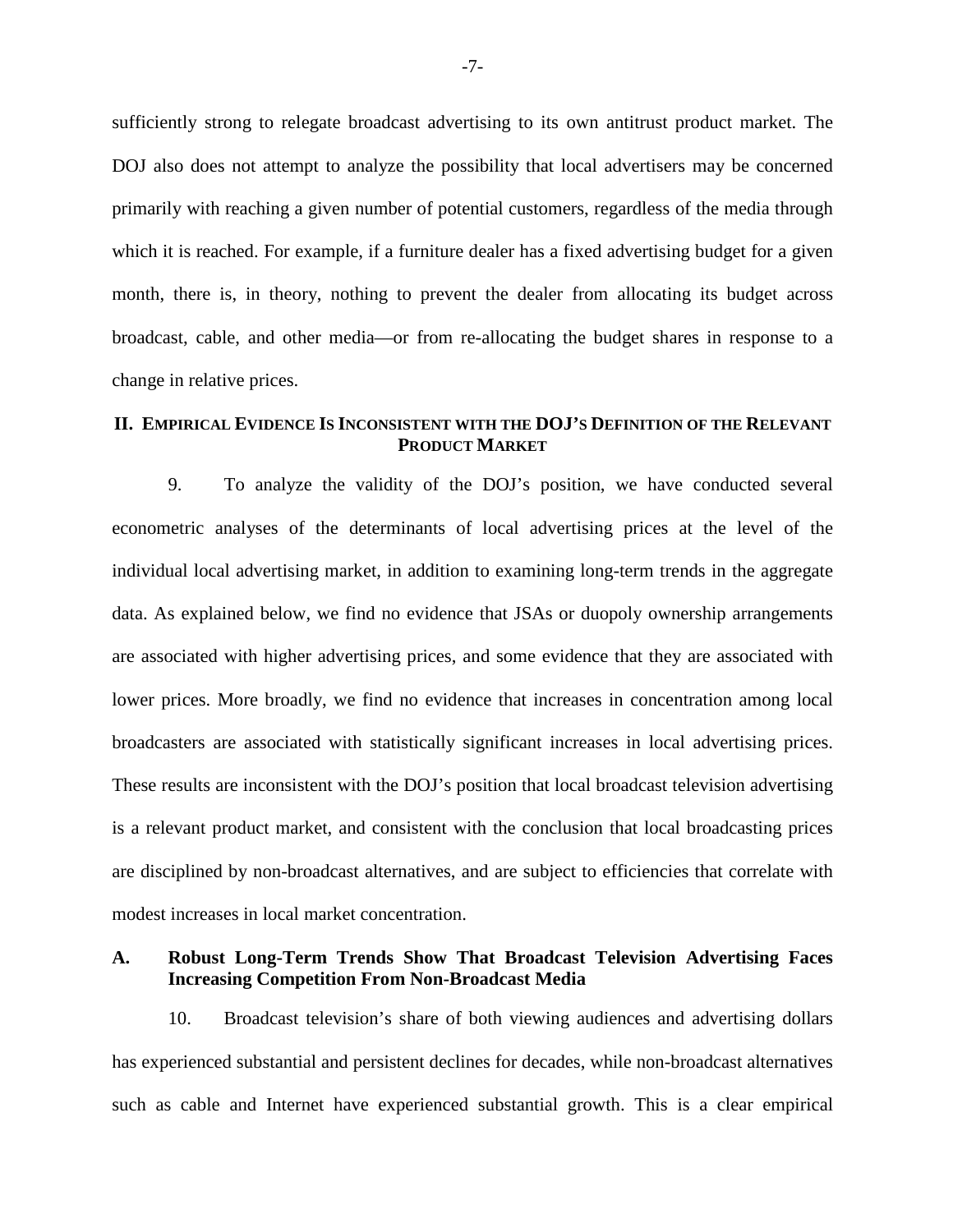sufficiently strong to relegate broadcast advertising to its own antitrust product market. The DOJ also does not attempt to analyze the possibility that local advertisers may be concerned primarily with reaching a given number of potential customers, regardless of the media through which it is reached. For example, if a furniture dealer has a fixed advertising budget for a given month, there is, in theory, nothing to prevent the dealer from allocating its budget across broadcast, cable, and other media—or from re-allocating the budget shares in response to a change in relative prices.

# <span id="page-6-0"></span>**II. EMPIRICAL EVIDENCE IS INCONSISTENT WITH THE DOJ'S DEFINITION OF THE RELEVANT PRODUCT MARKET**

9. To analyze the validity of the DOJ's position, we have conducted several econometric analyses of the determinants of local advertising prices at the level of the individual local advertising market, in addition to examining long-term trends in the aggregate data. As explained below, we find no evidence that JSAs or duopoly ownership arrangements are associated with higher advertising prices, and some evidence that they are associated with lower prices. More broadly, we find no evidence that increases in concentration among local broadcasters are associated with statistically significant increases in local advertising prices. These results are inconsistent with the DOJ's position that local broadcast television advertising is a relevant product market, and consistent with the conclusion that local broadcasting prices are disciplined by non-broadcast alternatives, and are subject to efficiencies that correlate with modest increases in local market concentration.

### <span id="page-6-1"></span>**A. Robust Long-Term Trends Show That Broadcast Television Advertising Faces Increasing Competition From Non-Broadcast Media**

10. Broadcast television's share of both viewing audiences and advertising dollars has experienced substantial and persistent declines for decades, while non-broadcast alternatives such as cable and Internet have experienced substantial growth. This is a clear empirical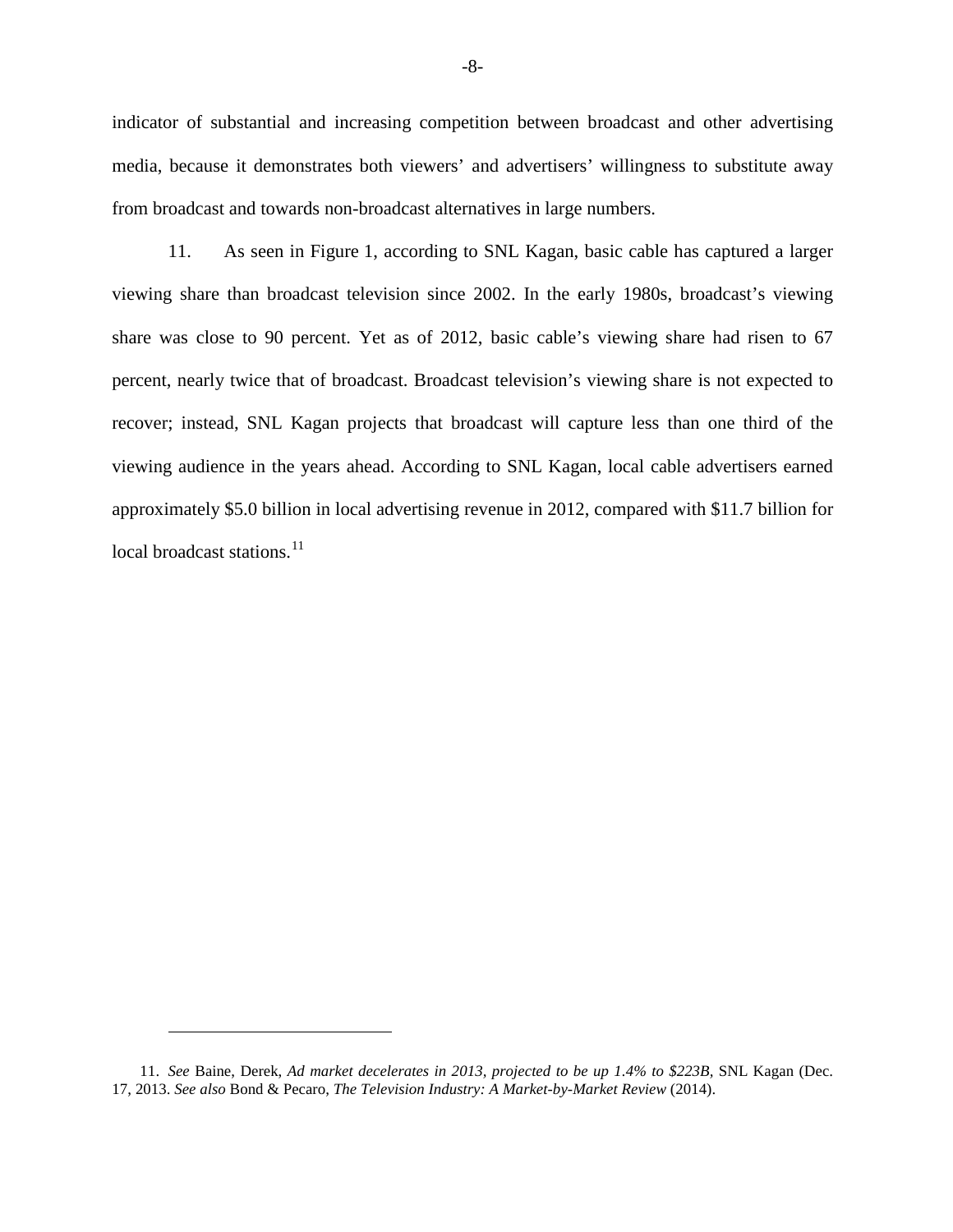indicator of substantial and increasing competition between broadcast and other advertising media, because it demonstrates both viewers' and advertisers' willingness to substitute away from broadcast and towards non-broadcast alternatives in large numbers.

<span id="page-7-0"></span>11. As seen in [Figure](#page-7-0) 1, according to SNL Kagan, basic cable has captured a larger viewing share than broadcast television since 2002. In the early 1980s, broadcast's viewing share was close to 90 percent. Yet as of 2012, basic cable's viewing share had risen to 67 percent, nearly twice that of broadcast. Broadcast television's viewing share is not expected to recover; instead, SNL Kagan projects that broadcast will capture less than one third of the viewing audience in the years ahead. According to SNL Kagan, local cable advertisers earned approximately \$5.0 billion in local advertising revenue in 2012, compared with \$11.7 billion for local broadcast stations.<sup>[11](#page-7-1)</sup>

<span id="page-7-1"></span><sup>11.</sup> *See* Baine, Derek, *Ad market decelerates in 2013, projected to be up 1.4% to \$223B,* SNL Kagan (Dec. 17, 2013. *See also* Bond & Pecaro, *The Television Industry: A Market-by-Market Review* (2014).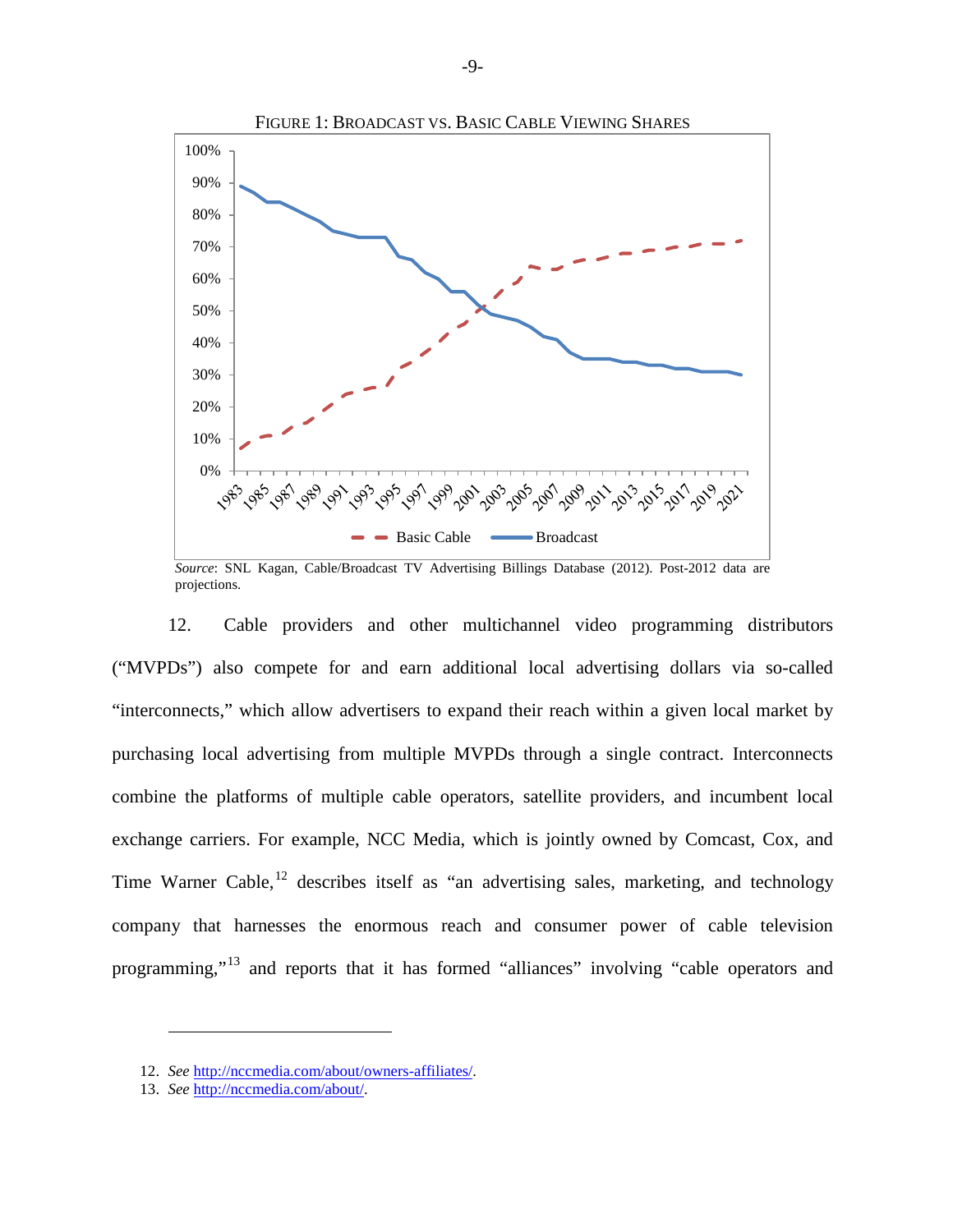

*Source*: SNL Kagan, Cable/Broadcast TV Advertising Billings Database (2012). Post-2012 data are projections.

12. Cable providers and other multichannel video programming distributors ("MVPDs") also compete for and earn additional local advertising dollars via so-called "interconnects," which allow advertisers to expand their reach within a given local market by purchasing local advertising from multiple MVPDs through a single contract. Interconnects combine the platforms of multiple cable operators, satellite providers, and incumbent local exchange carriers. For example, NCC Media, which is jointly owned by Comcast, Cox, and Time Warner Cable,  $^{12}$  $^{12}$  $^{12}$  describes itself as "an advertising sales, marketing, and technology company that harnesses the enormous reach and consumer power of cable television programming,"[13](#page-8-1) and reports that it has formed "alliances" involving "cable operators and

<span id="page-8-1"></span>13. *See* http://nccmedia.com/about/.

<span id="page-8-0"></span><sup>12.</sup> *See* http://nccmedia.com/about/owners-affiliates/.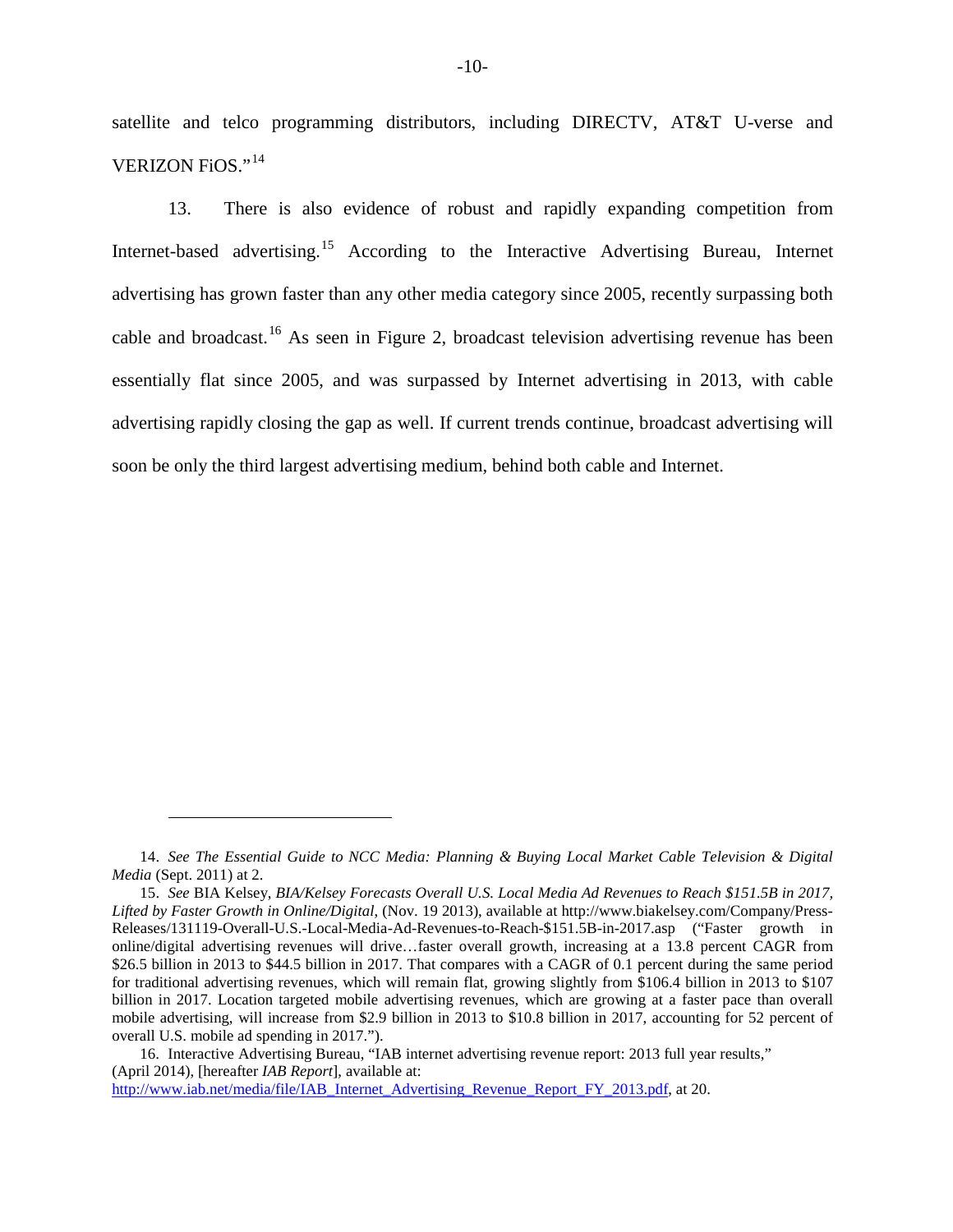satellite and telco programming distributors, including DIRECTV, AT&T U-verse and VERIZON FiOS."[14](#page-9-0)

13. There is also evidence of robust and rapidly expanding competition from Internet-based advertising.<sup>[15](#page-9-1)</sup> According to the Interactive Advertising Bureau, Internet advertising has grown faster than any other media category since 2005, recently surpassing both cable and broadcast.[16](#page-9-2) As seen in [Figure 2,](#page-10-0) broadcast television advertising revenue has been essentially flat since 2005, and was surpassed by Internet advertising in 2013, with cable advertising rapidly closing the gap as well. If current trends continue, broadcast advertising will soon be only the third largest advertising medium, behind both cable and Internet.

<span id="page-9-2"></span>16. Interactive Advertising Bureau, "IAB internet advertising revenue report: 2013 full year results," (April 2014), [hereafter *IAB Report*], available at:

http://www.iab.net/media/file/IAB\_Internet\_Advertising\_Revenue\_Report\_FY\_2013.pdf, at 20.

<span id="page-9-0"></span><sup>14.</sup> *See The Essential Guide to NCC Media: Planning & Buying Local Market Cable Television & Digital Media* (Sept. 2011) at 2.

<span id="page-9-1"></span><sup>15.</sup> *See* BIA Kelsey, *BIA/Kelsey Forecasts Overall U.S. Local Media Ad Revenues to Reach \$151.5B in 2017, Lifted by Faster Growth in Online/Digital*, (Nov. 19 2013), available at http://www.biakelsey.com/Company/Press-Releases/131119-Overall-U.S.-Local-Media-Ad-Revenues-to-Reach-\$151.5B-in-2017.asp ("Faster growth in online/digital advertising revenues will drive…faster overall growth, increasing at a 13.8 percent CAGR from \$26.5 billion in 2013 to \$44.5 billion in 2017. That compares with a CAGR of 0.1 percent during the same period for traditional advertising revenues, which will remain flat, growing slightly from \$106.4 billion in 2013 to \$107 billion in 2017. Location targeted mobile advertising revenues, which are growing at a faster pace than overall mobile advertising, will increase from \$2.9 billion in 2013 to \$10.8 billion in 2017, accounting for 52 percent of overall U.S. mobile ad spending in 2017.").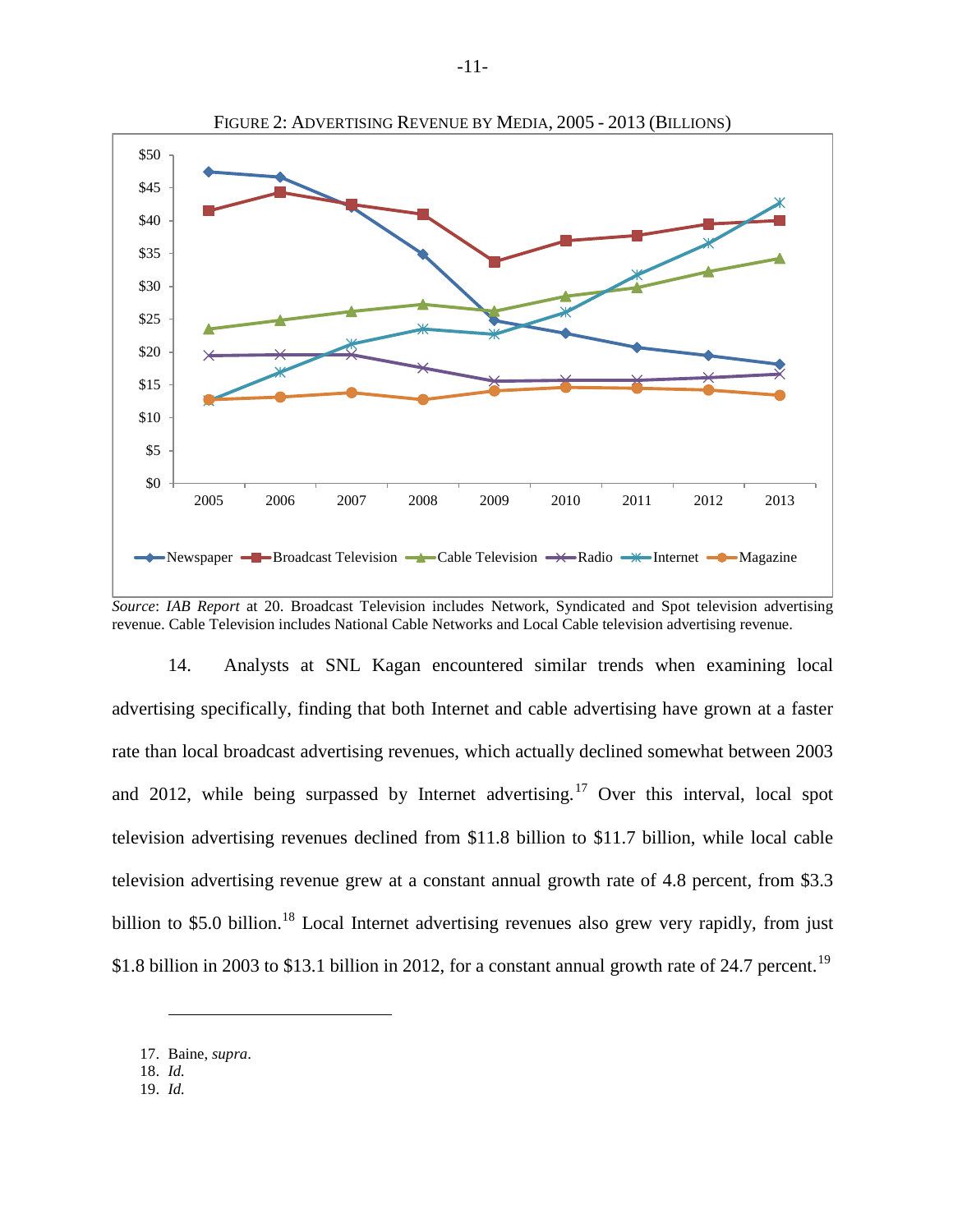<span id="page-10-0"></span>

*Source*: *IAB Report* at 20. Broadcast Television includes Network, Syndicated and Spot television advertising revenue. Cable Television includes National Cable Networks and Local Cable television advertising revenue.

14. Analysts at SNL Kagan encountered similar trends when examining local advertising specifically, finding that both Internet and cable advertising have grown at a faster rate than local broadcast advertising revenues, which actually declined somewhat between 2003 and 2012, while being surpassed by Internet advertising.<sup>[17](#page-10-1)</sup> Over this interval, local spot television advertising revenues declined from \$11.8 billion to \$11.7 billion, while local cable television advertising revenue grew at a constant annual growth rate of 4.8 percent, from \$3.3 billion to \$5.0 billion.<sup>18</sup> Local Internet advertising revenues also grew very rapidly, from just \$1.8 billion in 2003 to \$13.1 billion in 2012, for a constant annual growth rate of 24.7 percent.<sup>19</sup>

<span id="page-10-1"></span><sup>17.</sup> Baine, *supra*.

<span id="page-10-2"></span><sup>18.</sup> *Id.*

<span id="page-10-3"></span><sup>19.</sup> *Id.*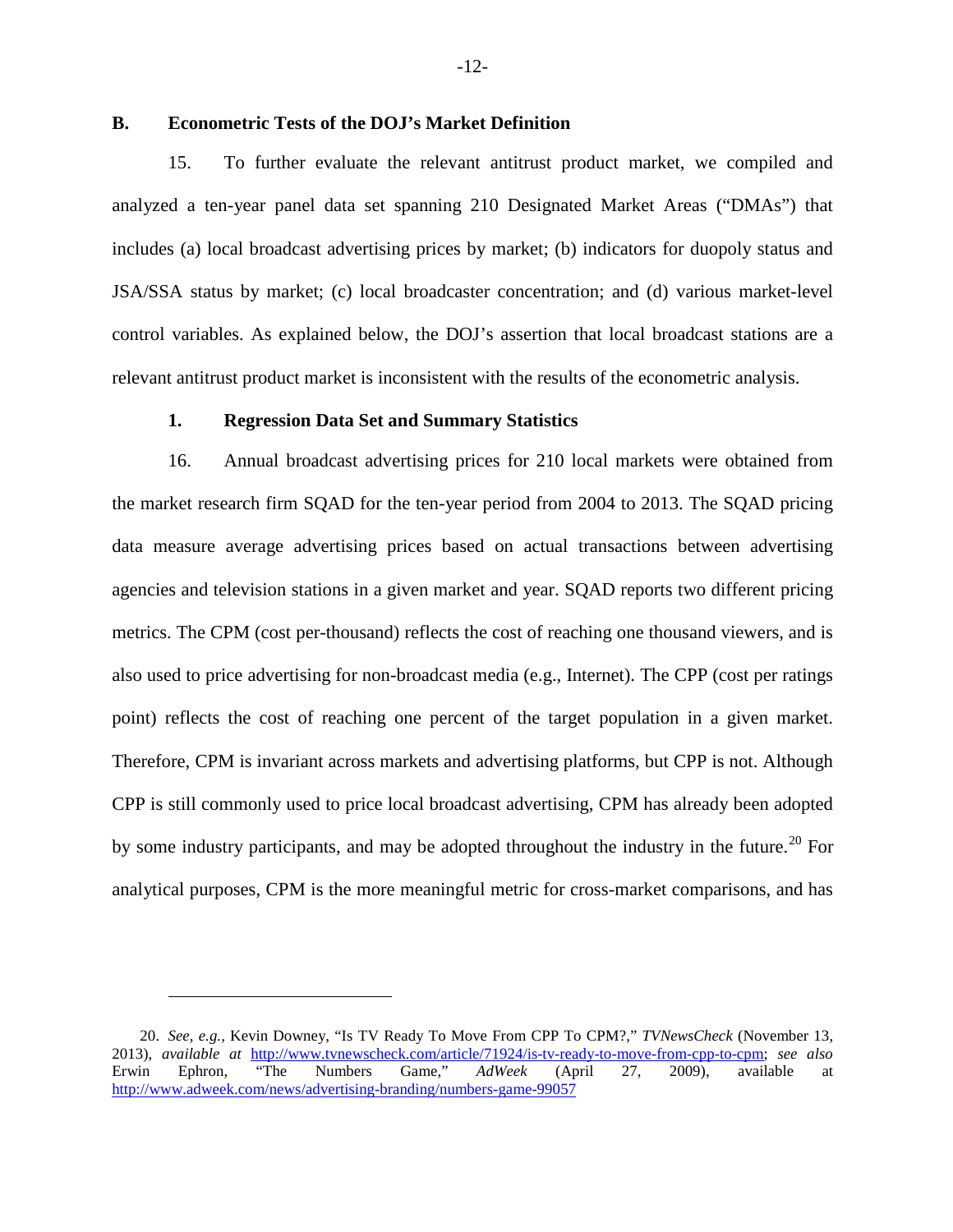### <span id="page-11-0"></span>**B. Econometric Tests of the DOJ's Market Definition**

15. To further evaluate the relevant antitrust product market, we compiled and analyzed a ten-year panel data set spanning 210 Designated Market Areas ("DMAs") that includes (a) local broadcast advertising prices by market; (b) indicators for duopoly status and JSA/SSA status by market; (c) local broadcaster concentration; and (d) various market-level control variables. As explained below, the DOJ's assertion that local broadcast stations are a relevant antitrust product market is inconsistent with the results of the econometric analysis.

### **1. Regression Data Set and Summary Statistics**

<span id="page-11-1"></span>16. Annual broadcast advertising prices for 210 local markets were obtained from the market research firm SQAD for the ten-year period from 2004 to 2013. The SQAD pricing data measure average advertising prices based on actual transactions between advertising agencies and television stations in a given market and year. SQAD reports two different pricing metrics. The CPM (cost per-thousand) reflects the cost of reaching one thousand viewers, and is also used to price advertising for non-broadcast media (e.g., Internet). The CPP (cost per ratings point) reflects the cost of reaching one percent of the target population in a given market. Therefore, CPM is invariant across markets and advertising platforms, but CPP is not. Although CPP is still commonly used to price local broadcast advertising, CPM has already been adopted by some industry participants, and may be adopted throughout the industry in the future.<sup>[20](#page-11-2)</sup> For analytical purposes, CPM is the more meaningful metric for cross-market comparisons, and has

<span id="page-11-2"></span><sup>20.</sup> *See, e.g.,* Kevin Downey, "Is TV Ready To Move From CPP To CPM?," *TVNewsCheck* (November 13, 2013), *available at* http://www.tvnewscheck.com/article/71924/is-tv-ready-to-move-from-cpp-to-cpm; *see also* Erwin Ephron, "The Numbers Game," *AdWeek* (April 27, 2009), available at http://www.adweek.com/news/advertising-branding/numbers-game-99057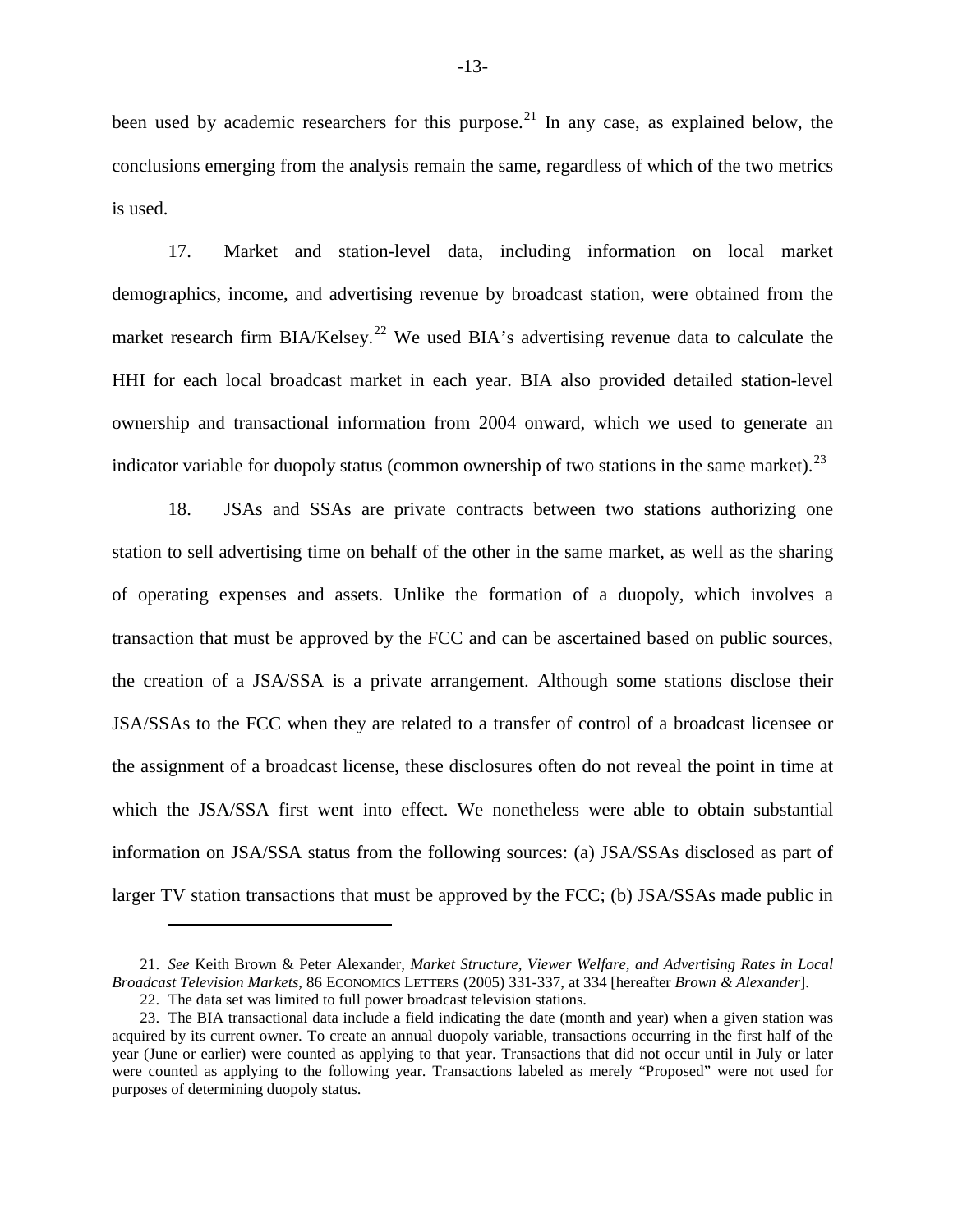been used by academic researchers for this purpose.<sup>[21](#page-12-0)</sup> In any case, as explained below, the conclusions emerging from the analysis remain the same, regardless of which of the two metrics is used.

17. Market and station-level data, including information on local market demographics, income, and advertising revenue by broadcast station, were obtained from the market research firm  $BIA/Kelsey.$ <sup>[22](#page-12-1)</sup> We used  $BIA's$  advertising revenue data to calculate the HHI for each local broadcast market in each year. BIA also provided detailed station-level ownership and transactional information from 2004 onward, which we used to generate an indicator variable for duopoly status (common ownership of two stations in the same market).<sup>[23](#page-12-2)</sup>

18. JSAs and SSAs are private contracts between two stations authorizing one station to sell advertising time on behalf of the other in the same market, as well as the sharing of operating expenses and assets. Unlike the formation of a duopoly, which involves a transaction that must be approved by the FCC and can be ascertained based on public sources, the creation of a JSA/SSA is a private arrangement. Although some stations disclose their JSA/SSAs to the FCC when they are related to a transfer of control of a broadcast licensee or the assignment of a broadcast license, these disclosures often do not reveal the point in time at which the JSA/SSA first went into effect. We nonetheless were able to obtain substantial information on JSA/SSA status from the following sources: (a) JSA/SSAs disclosed as part of larger TV station transactions that must be approved by the FCC; (b) JSA/SSAs made public in

<span id="page-12-0"></span><sup>21.</sup> *See* Keith Brown & Peter Alexander, *Market Structure, Viewer Welfare, and Advertising Rates in Local Broadcast Television Markets*, 86 ECONOMICS LETTERS (2005) 331-337, at 334 [hereafter *Brown & Alexander*].

<sup>22.</sup> The data set was limited to full power broadcast television stations.

<span id="page-12-2"></span><span id="page-12-1"></span><sup>23.</sup> The BIA transactional data include a field indicating the date (month and year) when a given station was acquired by its current owner. To create an annual duopoly variable, transactions occurring in the first half of the year (June or earlier) were counted as applying to that year. Transactions that did not occur until in July or later were counted as applying to the following year. Transactions labeled as merely "Proposed" were not used for purposes of determining duopoly status.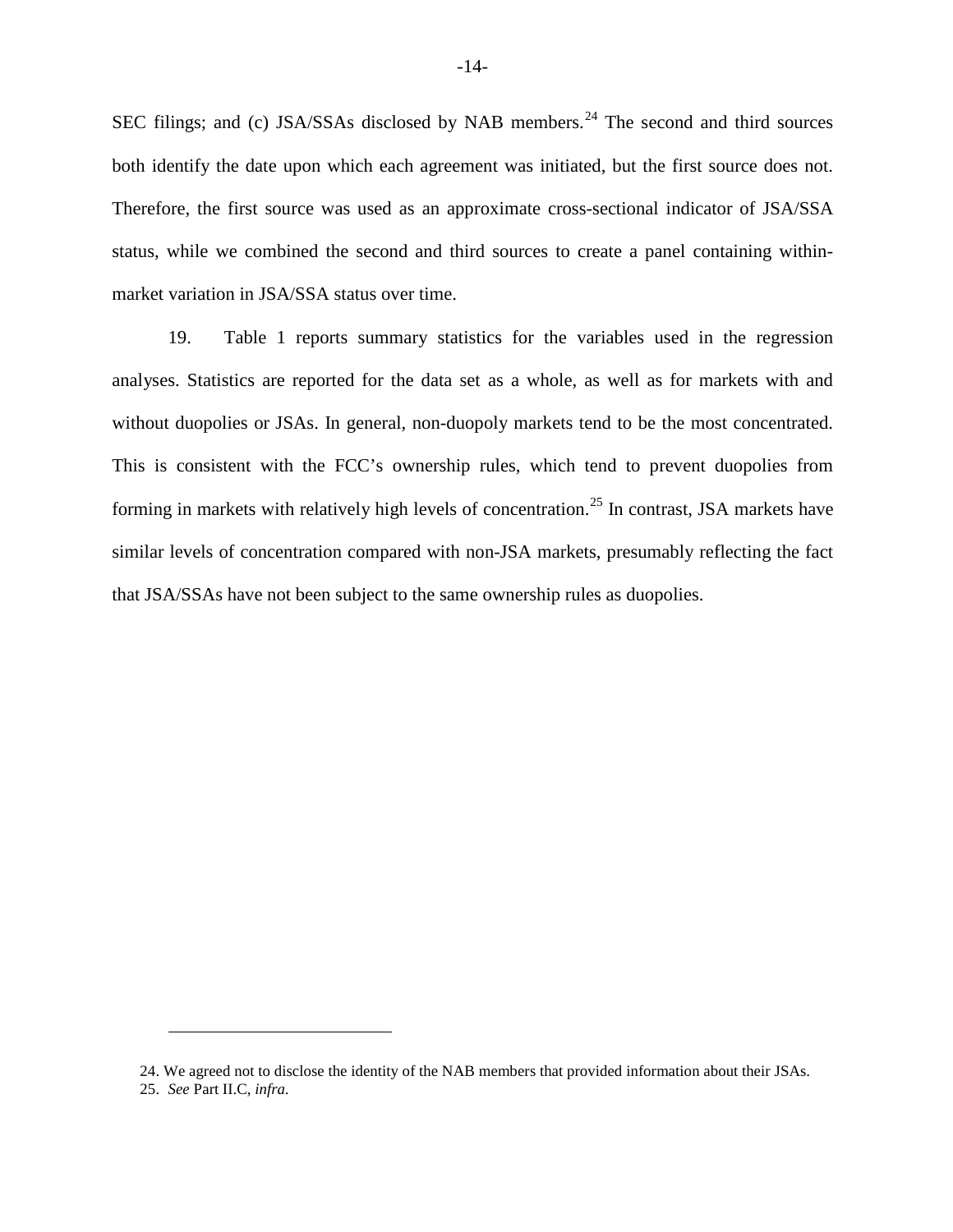SEC filings; and (c) JSA/SSAs disclosed by NAB members.<sup>[24](#page-13-0)</sup> The second and third sources both identify the date upon which each agreement was initiated, but the first source does not. Therefore, the first source was used as an approximate cross-sectional indicator of JSA/SSA status, while we combined the second and third sources to create a panel containing withinmarket variation in JSA/SSA status over time.

19. [Table 1](#page-14-0) reports summary statistics for the variables used in the regression analyses. Statistics are reported for the data set as a whole, as well as for markets with and without duopolies or JSAs. In general, non-duopoly markets tend to be the most concentrated. This is consistent with the FCC's ownership rules, which tend to prevent duopolies from forming in markets with relatively high levels of concentration.<sup>[25](#page-13-1)</sup> In contrast, JSA markets have similar levels of concentration compared with non-JSA markets, presumably reflecting the fact that JSA/SSAs have not been subject to the same ownership rules as duopolies.

<span id="page-13-1"></span><span id="page-13-0"></span>25. *See* Part II.C, *infra.*

<sup>24.</sup> We agreed not to disclose the identity of the NAB members that provided information about their JSAs.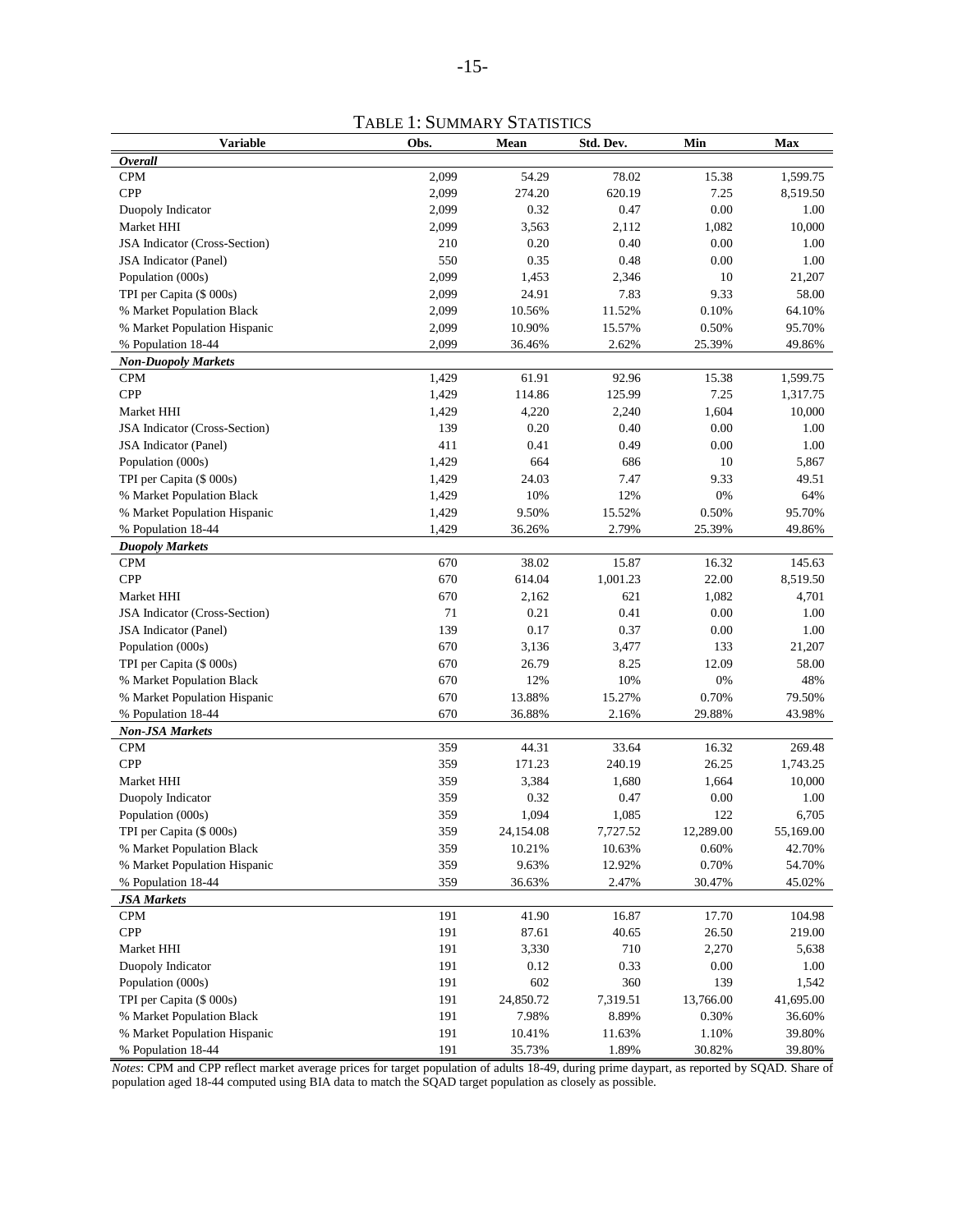TABLE 1: SUMMARY STATISTICS

<span id="page-14-0"></span>

| <b>Variable</b>               | Obs.  | Mean      | Std. Dev. | Min       | Max       |
|-------------------------------|-------|-----------|-----------|-----------|-----------|
| <b>Overall</b>                |       |           |           |           |           |
| <b>CPM</b>                    | 2,099 | 54.29     | 78.02     | 15.38     | 1,599.75  |
| <b>CPP</b>                    | 2,099 | 274.20    | 620.19    | 7.25      | 8,519.50  |
| Duopoly Indicator             | 2,099 | 0.32      | 0.47      | 0.00      | 1.00      |
| Market HHI                    | 2,099 | 3,563     | 2,112     | 1,082     | 10,000    |
| JSA Indicator (Cross-Section) | 210   | 0.20      | 0.40      | 0.00      | 1.00      |
| JSA Indicator (Panel)         | 550   | 0.35      | 0.48      | 0.00      | 1.00      |
| Population (000s)             | 2,099 | 1,453     | 2,346     | 10        | 21,207    |
| TPI per Capita (\$ 000s)      | 2,099 | 24.91     | 7.83      | 9.33      | 58.00     |
| % Market Population Black     | 2,099 | 10.56%    | 11.52%    | 0.10%     | 64.10%    |
| % Market Population Hispanic  | 2,099 | 10.90%    | 15.57%    | 0.50%     | 95.70%    |
| % Population 18-44            | 2,099 | 36.46%    | 2.62%     | 25.39%    | 49.86%    |
| <b>Non-Duopoly Markets</b>    |       |           |           |           |           |
| <b>CPM</b>                    | 1,429 | 61.91     | 92.96     | 15.38     | 1,599.75  |
| <b>CPP</b>                    | 1,429 | 114.86    | 125.99    | 7.25      | 1,317.75  |
| Market HHI                    | 1,429 | 4,220     | 2,240     | 1,604     | 10,000    |
| JSA Indicator (Cross-Section) | 139   | 0.20      | 0.40      | 0.00      | 1.00      |
| JSA Indicator (Panel)         | 411   | 0.41      | 0.49      | 0.00      | 1.00      |
| Population (000s)             | 1,429 | 664       | 686       | 10        | 5,867     |
| TPI per Capita (\$ 000s)      | 1,429 | 24.03     | 7.47      | 9.33      | 49.51     |
| % Market Population Black     | 1,429 | 10%       | 12%       | 0%        | 64%       |
| % Market Population Hispanic  | 1,429 | 9.50%     | 15.52%    | 0.50%     | 95.70%    |
| % Population 18-44            | 1,429 | 36.26%    | 2.79%     | 25.39%    | 49.86%    |
| <b>Duopoly Markets</b>        |       |           |           |           |           |
| <b>CPM</b>                    | 670   | 38.02     | 15.87     | 16.32     | 145.63    |
| <b>CPP</b>                    | 670   | 614.04    | 1,001.23  | 22.00     | 8,519.50  |
| Market HHI                    | 670   | 2,162     | 621       | 1,082     | 4,701     |
| JSA Indicator (Cross-Section) | 71    | 0.21      | 0.41      | 0.00      | 1.00      |
| JSA Indicator (Panel)         | 139   | 0.17      | 0.37      | 0.00      | 1.00      |
| Population (000s)             | 670   | 3,136     | 3,477     | 133       | 21,207    |
| TPI per Capita (\$ 000s)      | 670   | 26.79     | 8.25      | 12.09     | 58.00     |
| % Market Population Black     | 670   | 12%       | 10%       | 0%        | 48%       |
| % Market Population Hispanic  | 670   | 13.88%    | 15.27%    | 0.70%     | 79.50%    |
| % Population 18-44            | 670   | 36.88%    | 2.16%     | 29.88%    | 43.98%    |
| <b>Non-JSA Markets</b>        |       |           |           |           |           |
| <b>CPM</b>                    | 359   | 44.31     | 33.64     | 16.32     | 269.48    |
| <b>CPP</b>                    | 359   | 171.23    | 240.19    | 26.25     | 1,743.25  |
| Market HHI                    | 359   | 3,384     | 1,680     | 1,664     | 10,000    |
| Duopoly Indicator             | 359   | 0.32      | 0.47      | 0.00      | 1.00      |
| Population (000s)             | 359   | 1,094     | 1,085     | 122       | 6,705     |
| TPI per Capita (\$ 000s)      | 359   | 24,154.08 | 7,727.52  | 12,289.00 | 55,169.00 |
| % Market Population Black     | 359   | 10.21%    | 10.63%    | 0.60%     | 42.70%    |
| % Market Population Hispanic  | 359   | 9.63%     | 12.92%    | 0.70%     | 54.70%    |
| % Population 18-44            | 359   | 36.63%    | 2.47%     | 30.47%    | 45.02%    |
| <b>JSA Markets</b>            |       |           |           |           |           |
| <b>CPM</b>                    | 191   | 41.90     | 16.87     | 17.70     | 104.98    |
| ${\bf CPP}$                   | 191   | 87.61     | 40.65     | 26.50     | 219.00    |
| Market HHI                    | 191   | 3,330     | 710       | 2,270     | 5,638     |
| Duopoly Indicator             | 191   | 0.12      | 0.33      | 0.00      | 1.00      |
| Population (000s)             | 191   | 602       | 360       | 139       | 1,542     |
| TPI per Capita (\$ 000s)      | 191   | 24,850.72 | 7,319.51  | 13,766.00 | 41,695.00 |
| % Market Population Black     | 191   | 7.98%     | 8.89%     | 0.30%     | 36.60%    |
| % Market Population Hispanic  | 191   | 10.41%    | 11.63%    | 1.10%     | 39.80%    |
| % Population 18-44            | 191   | 35.73%    | 1.89%     | 30.82%    | 39.80%    |

*Notes*: CPM and CPP reflect market average prices for target population of adults 18-49, during prime daypart, as reported by SQAD. Share of population aged 18-44 computed using BIA data to match the SQAD target population as closely as possible.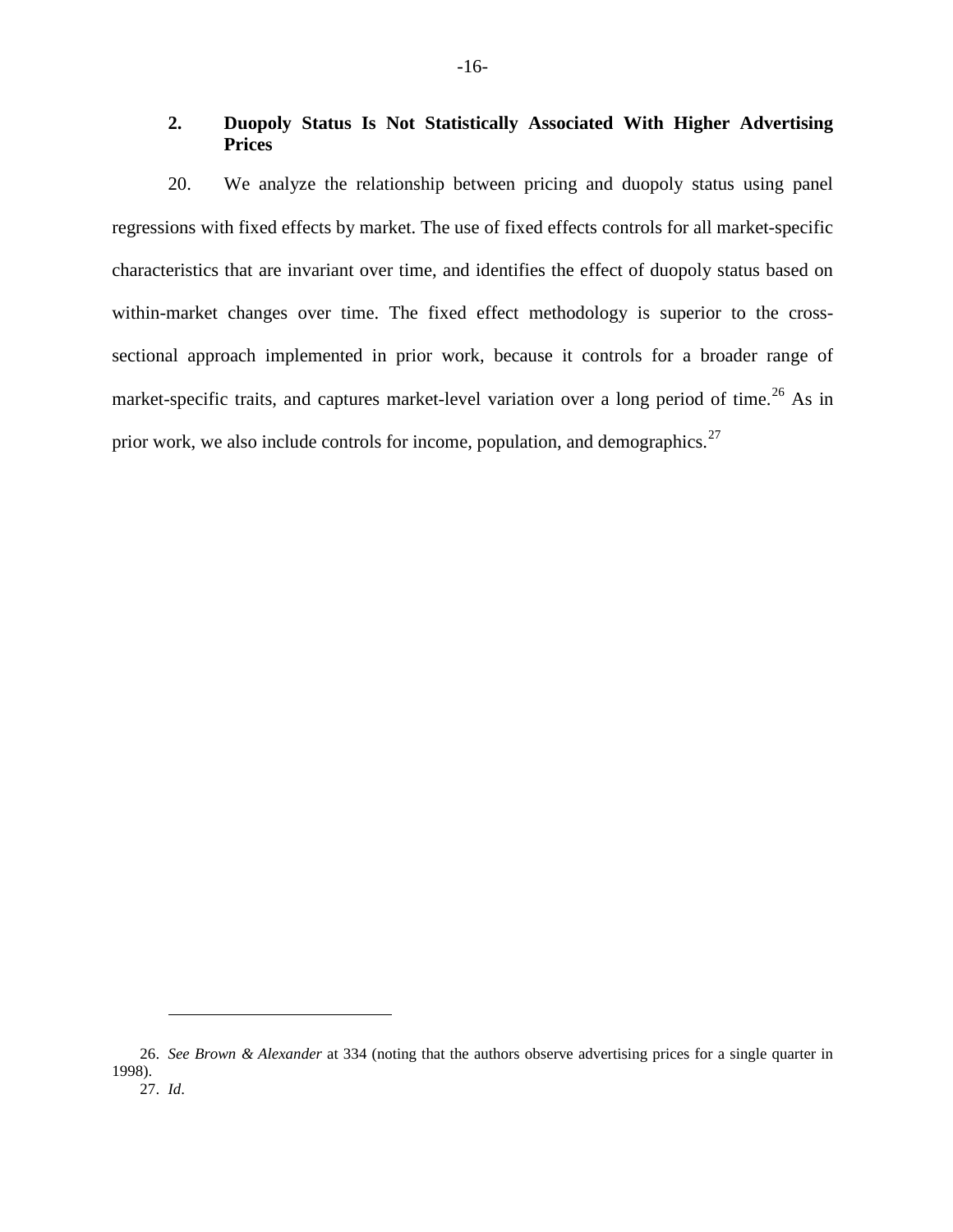# <span id="page-15-0"></span>**2. Duopoly Status Is Not Statistically Associated With Higher Advertising Prices**

20. We analyze the relationship between pricing and duopoly status using panel regressions with fixed effects by market. The use of fixed effects controls for all market-specific characteristics that are invariant over time, and identifies the effect of duopoly status based on within-market changes over time. The fixed effect methodology is superior to the crosssectional approach implemented in prior work, because it controls for a broader range of market-specific traits, and captures market-level variation over a long period of time.<sup>[26](#page-15-1)</sup> As in prior work, we also include controls for income, population, and demographics.<sup>[27](#page-15-2)</sup>

<span id="page-15-2"></span><span id="page-15-1"></span><sup>26.</sup> *See Brown & Alexander* at 334 (noting that the authors observe advertising prices for a single quarter in 1998).

<sup>27.</sup> *Id*.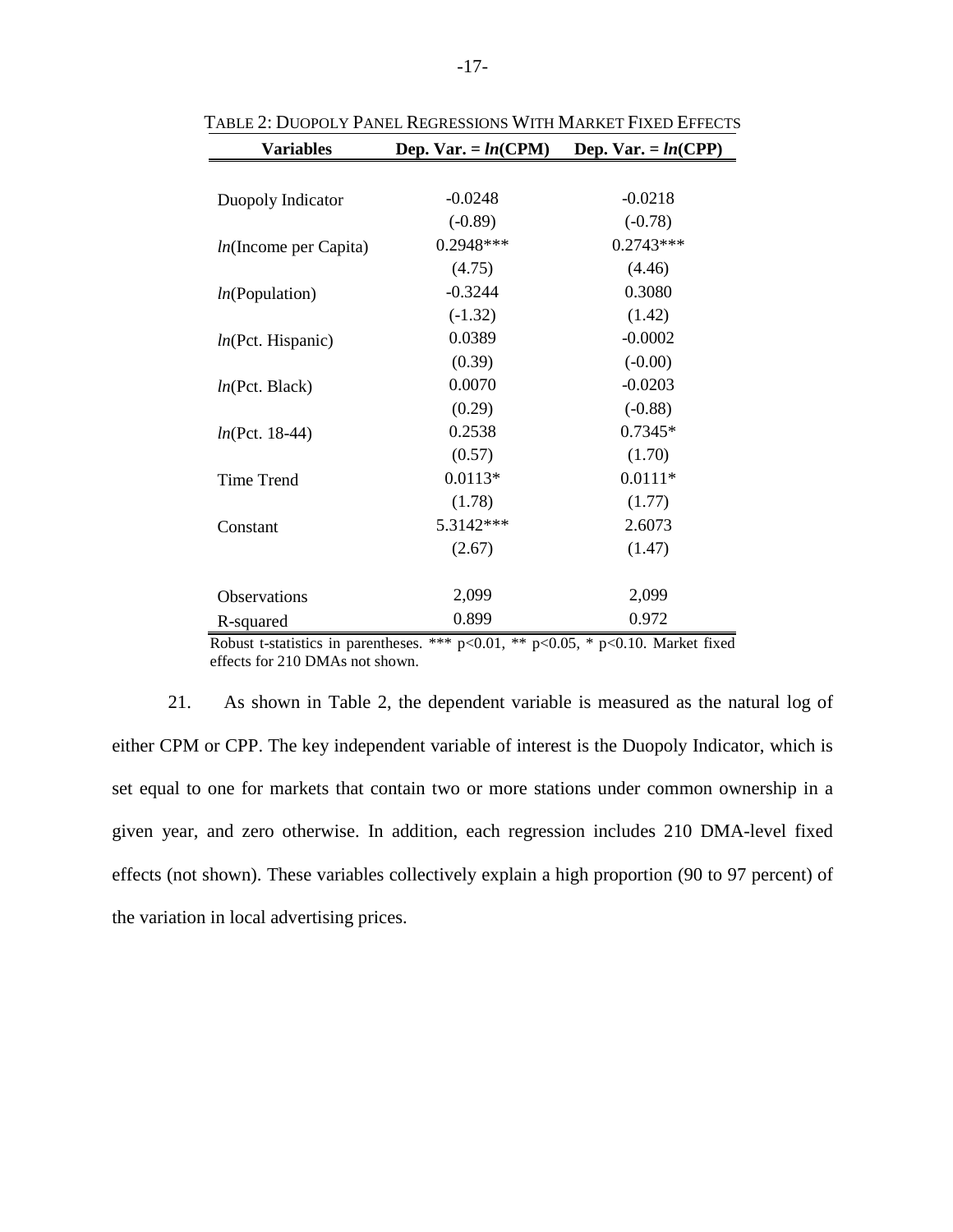| <b>Variables</b>         | Dep. Var. = $ln(CPM)$ | Dep. Var. = $ln(CPP)$ |
|--------------------------|-----------------------|-----------------------|
|                          |                       |                       |
| Duopoly Indicator        | $-0.0248$             | $-0.0218$             |
|                          | $(-0.89)$             | $(-0.78)$             |
| $ln($ Income per Capita) | 0.2948***             | $0.2743***$           |
|                          | (4.75)                | (4.46)                |
| ln(Population)           | $-0.3244$             | 0.3080                |
|                          | $(-1.32)$             | (1.42)                |
| ln(Pct. Hispanic)        | 0.0389                | $-0.0002$             |
|                          | (0.39)                | $(-0.00)$             |
| ln(Pct. Black)           | 0.0070                | $-0.0203$             |
|                          | (0.29)                | $(-0.88)$             |
| $ln(Pct. 18-44)$         | 0.2538                | $0.7345*$             |
|                          | (0.57)                | (1.70)                |
| Time Trend               | $0.0113*$             | $0.0111*$             |
|                          | (1.78)                | (1.77)                |
| Constant                 | 5.3142***             | 2.6073                |
|                          | (2.67)                | (1.47)                |
|                          |                       |                       |
| Observations             | 2,099                 | 2,099                 |
| R-squared                | 0.899                 | 0.972                 |

<span id="page-16-0"></span>TABLE 2: DUOPOLY PANEL REGRESSIONS WITH MARKET FIXED EFFECTS

Robust t-statistics in parentheses. \*\*\*  $p<0.01$ , \*\*  $p<0.05$ , \*  $p<0.10$ . Market fixed effects for 210 DMAs not shown.

21. As shown in [Table 2,](#page-16-0) the dependent variable is measured as the natural log of either CPM or CPP. The key independent variable of interest is the Duopoly Indicator, which is set equal to one for markets that contain two or more stations under common ownership in a given year, and zero otherwise. In addition, each regression includes 210 DMA-level fixed effects (not shown). These variables collectively explain a high proportion (90 to 97 percent) of the variation in local advertising prices.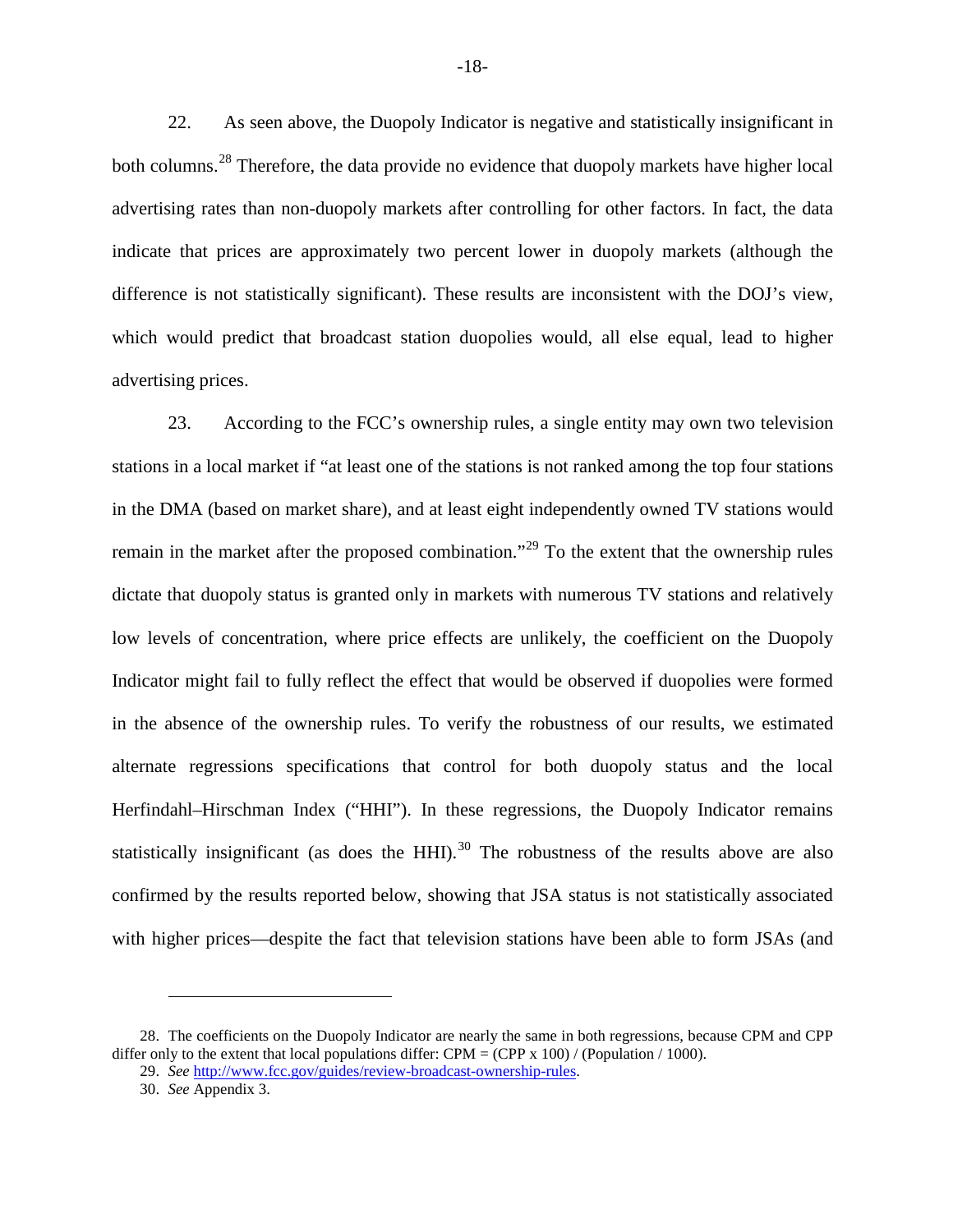22. As seen above, the Duopoly Indicator is negative and statistically insignificant in both columns.<sup>[28](#page-17-0)</sup> Therefore, the data provide no evidence that duopoly markets have higher local advertising rates than non-duopoly markets after controlling for other factors. In fact, the data indicate that prices are approximately two percent lower in duopoly markets (although the difference is not statistically significant). These results are inconsistent with the DOJ's view, which would predict that broadcast station duopolies would, all else equal, lead to higher advertising prices.

23. According to the FCC's ownership rules, a single entity may own two television stations in a local market if "at least one of the stations is not ranked among the top four stations in the DMA (based on market share), and at least eight independently owned TV stations would remain in the market after the proposed combination."<sup>[29](#page-17-1)</sup> To the extent that the ownership rules dictate that duopoly status is granted only in markets with numerous TV stations and relatively low levels of concentration, where price effects are unlikely, the coefficient on the Duopoly Indicator might fail to fully reflect the effect that would be observed if duopolies were formed in the absence of the ownership rules. To verify the robustness of our results, we estimated alternate regressions specifications that control for both duopoly status and the local Herfindahl–Hirschman Index ("HHI"). In these regressions, the Duopoly Indicator remains statistically insignificant (as does the HHI).<sup>[30](#page-17-2)</sup> The robustness of the results above are also confirmed by the results reported below, showing that JSA status is not statistically associated with higher prices—despite the fact that television stations have been able to form JSAs (and

<span id="page-17-2"></span><span id="page-17-1"></span><span id="page-17-0"></span><sup>28.</sup> The coefficients on the Duopoly Indicator are nearly the same in both regressions, because CPM and CPP differ only to the extent that local populations differ: CPM = (CPP x 100) / (Population / 1000).

<sup>29.</sup> *See* http://www.fcc.gov/guides/review-broadcast-ownership-rules.

<sup>30.</sup> *See* Appendix 3.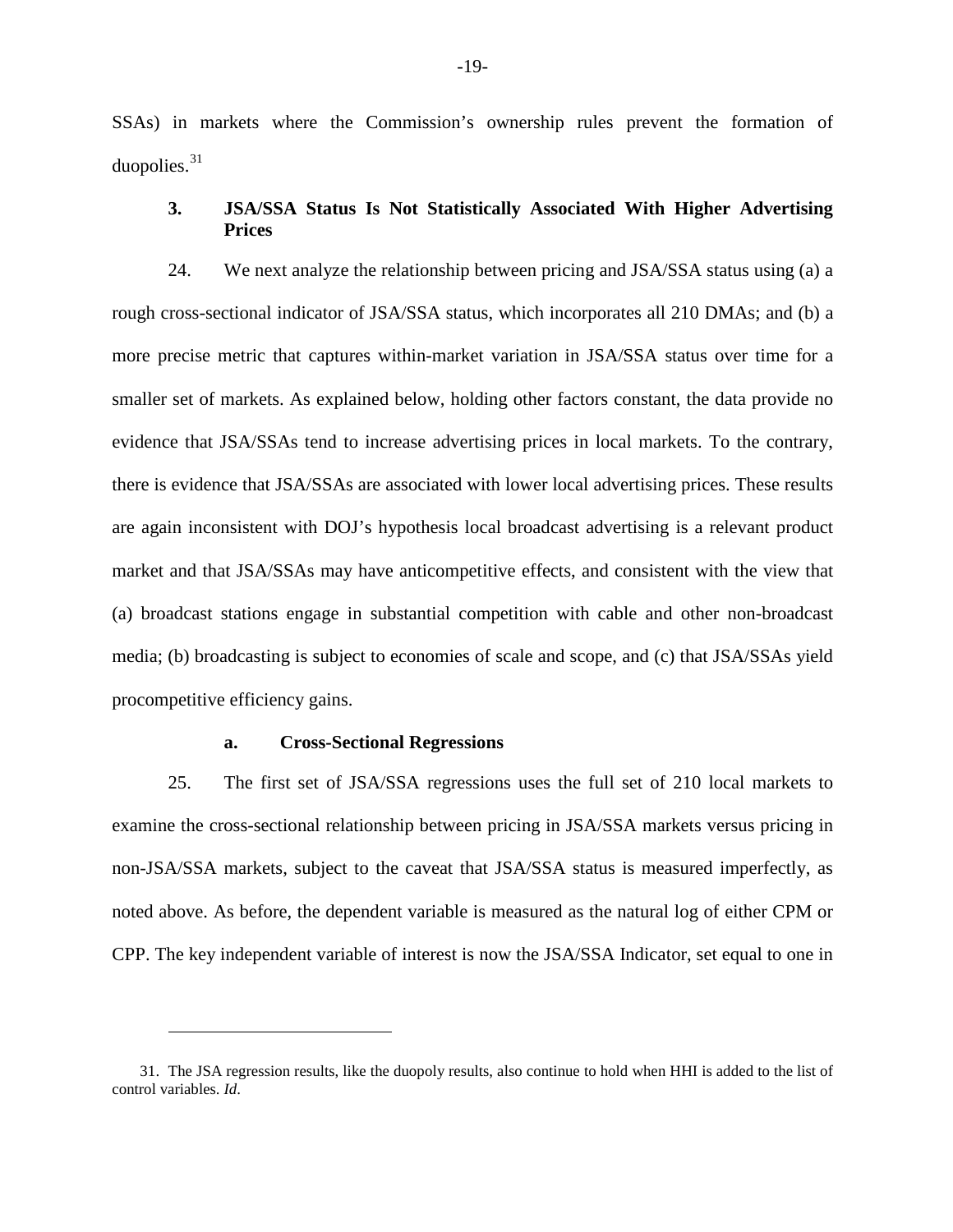SSAs) in markets where the Commission's ownership rules prevent the formation of duopolies. $31$ 

# <span id="page-18-0"></span>**3. JSA/SSA Status Is Not Statistically Associated With Higher Advertising Prices**

24. We next analyze the relationship between pricing and JSA/SSA status using (a) a rough cross-sectional indicator of JSA/SSA status, which incorporates all 210 DMAs; and (b) a more precise metric that captures within-market variation in JSA/SSA status over time for a smaller set of markets. As explained below, holding other factors constant, the data provide no evidence that JSA/SSAs tend to increase advertising prices in local markets. To the contrary, there is evidence that JSA/SSAs are associated with lower local advertising prices. These results are again inconsistent with DOJ's hypothesis local broadcast advertising is a relevant product market and that JSA/SSAs may have anticompetitive effects, and consistent with the view that (a) broadcast stations engage in substantial competition with cable and other non-broadcast media; (b) broadcasting is subject to economies of scale and scope, and (c) that JSA/SSAs yield procompetitive efficiency gains.

#### **a. Cross-Sectional Regressions**

 $\overline{a}$ 

25. The first set of JSA/SSA regressions uses the full set of 210 local markets to examine the cross-sectional relationship between pricing in JSA/SSA markets versus pricing in non-JSA/SSA markets, subject to the caveat that JSA/SSA status is measured imperfectly, as noted above. As before, the dependent variable is measured as the natural log of either CPM or CPP. The key independent variable of interest is now the JSA/SSA Indicator, set equal to one in

<span id="page-18-1"></span><sup>31.</sup> The JSA regression results, like the duopoly results, also continue to hold when HHI is added to the list of control variables. *Id*.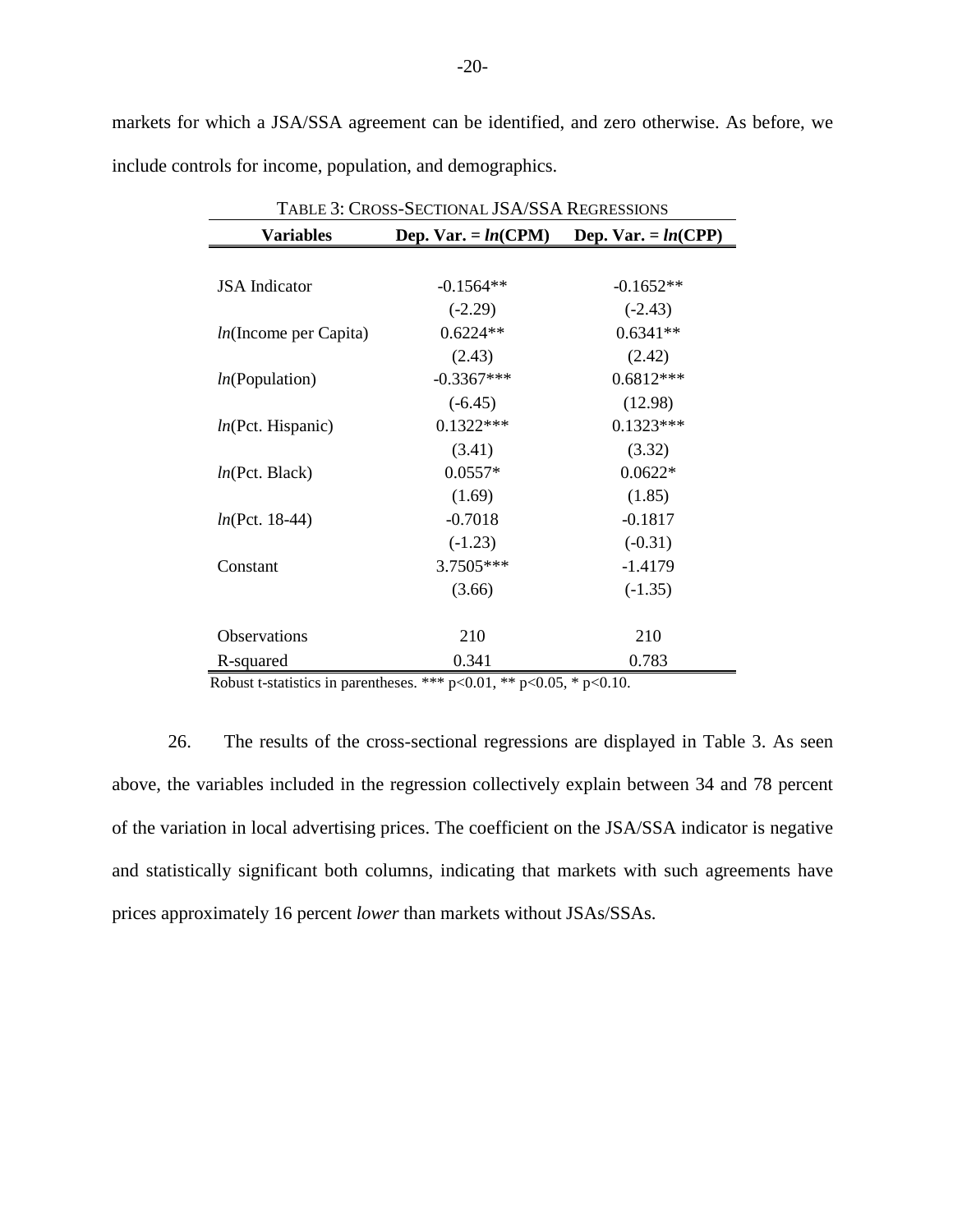<span id="page-19-0"></span>markets for which a JSA/SSA agreement can be identified, and zero otherwise. As before, we include controls for income, population, and demographics.

| <b>TABLE 3: CROSS-SECTIONAL JSA/SSA REGRESSIONS</b> |                                             |             |  |
|-----------------------------------------------------|---------------------------------------------|-------------|--|
| <b>Variables</b>                                    | Dep. Var. = $ln(CPM)$ Dep. Var. = $ln(CPP)$ |             |  |
|                                                     |                                             |             |  |
| <b>JSA</b> Indicator                                | $-0.1564**$                                 | $-0.1652**$ |  |
|                                                     | $(-2.29)$                                   | $(-2.43)$   |  |
| $ln($ Income per Capita)                            | $0.6224**$                                  | $0.6341**$  |  |
|                                                     | (2.43)                                      | (2.42)      |  |
| ln(Population)                                      | $-0.3367***$                                | $0.6812***$ |  |
|                                                     | $(-6.45)$                                   | (12.98)     |  |
| ln(Pct. Hispanic)                                   | $0.1322***$                                 | $0.1323***$ |  |
|                                                     | (3.41)                                      | (3.32)      |  |
| ln(Pct. Black)                                      | $0.0557*$                                   | $0.0622*$   |  |
|                                                     | (1.69)                                      | (1.85)      |  |
| $ln(Pct. 18-44)$                                    | $-0.7018$                                   | $-0.1817$   |  |
|                                                     | $(-1.23)$                                   | $(-0.31)$   |  |
| Constant                                            | 3.7505***                                   | $-1.4179$   |  |
|                                                     | (3.66)                                      | $(-1.35)$   |  |
|                                                     |                                             |             |  |
| Observations                                        | 210                                         | 210         |  |
| R-squared                                           | 0.341                                       | 0.783       |  |

Robust t-statistics in parentheses. \*\*\* p<0.01, \*\* p<0.05, \* p<0.10.

26. The results of the cross-sectional regressions are displayed in [Table 3.](#page-19-0) As seen above, the variables included in the regression collectively explain between 34 and 78 percent of the variation in local advertising prices. The coefficient on the JSA/SSA indicator is negative and statistically significant both columns, indicating that markets with such agreements have prices approximately 16 percent *lower* than markets without JSAs/SSAs.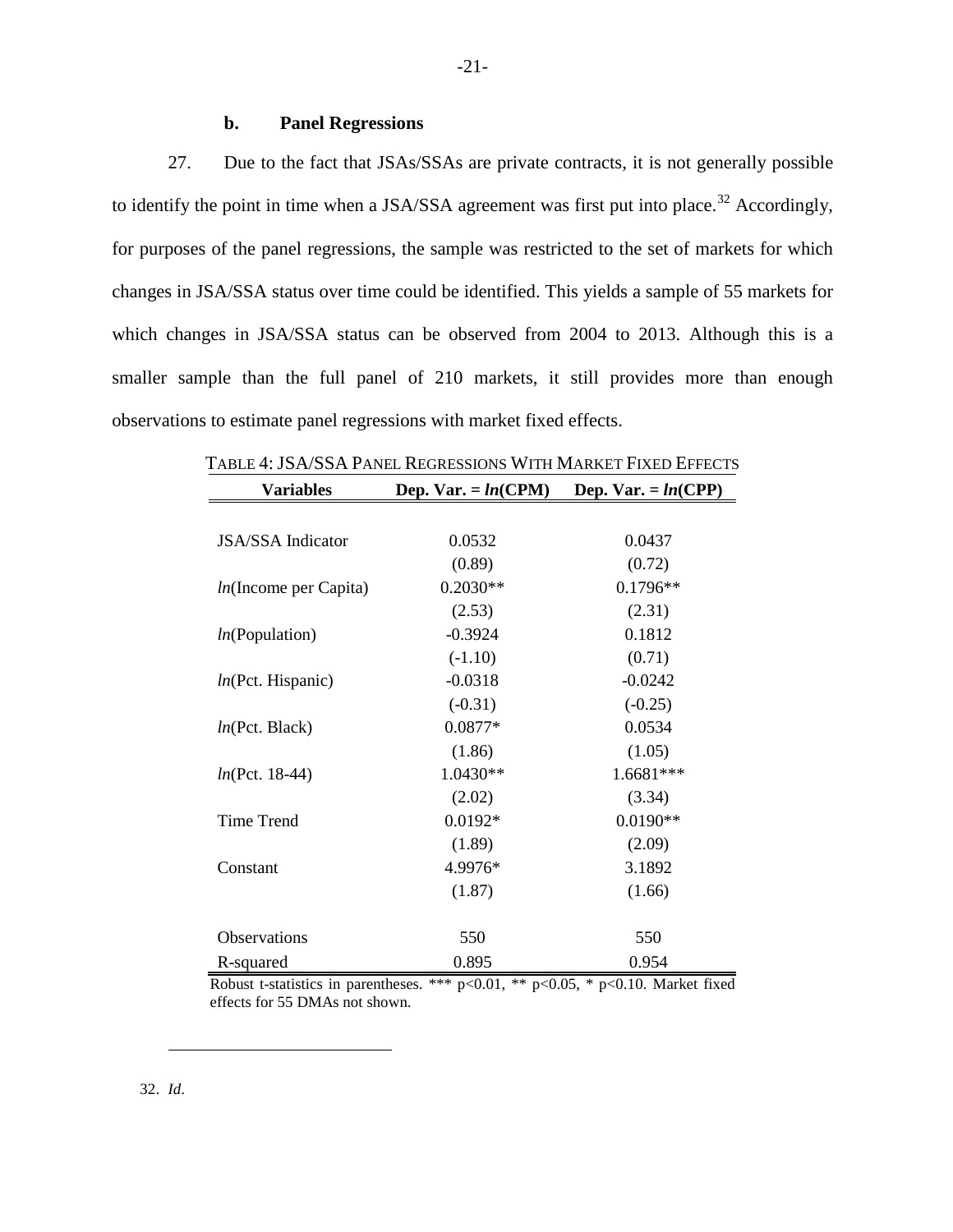### **b. Panel Regressions**

27. Due to the fact that JSAs/SSAs are private contracts, it is not generally possible to identify the point in time when a JSA/SSA agreement was first put into place.<sup>[32](#page-20-0)</sup> Accordingly, for purposes of the panel regressions, the sample was restricted to the set of markets for which changes in JSA/SSA status over time could be identified. This yields a sample of 55 markets for which changes in JSA/SSA status can be observed from 2004 to 2013. Although this is a smaller sample than the full panel of 210 markets, it still provides more than enough observations to estimate panel regressions with market fixed effects.

| <b>Variables</b>         | Dep. Var. = $ln(CPM)$ | Dep. Var. = $ln(CPP)$ |
|--------------------------|-----------------------|-----------------------|
|                          |                       |                       |
| <b>JSA/SSA</b> Indicator | 0.0532                | 0.0437                |
|                          | (0.89)                | (0.72)                |
| $ln($ Income per Capita) | $0.2030**$            | $0.1796**$            |
|                          | (2.53)                | (2.31)                |
| ln(Population)           | $-0.3924$             | 0.1812                |
|                          | $(-1.10)$             | (0.71)                |
| ln(Pct. Hispanic)        | $-0.0318$             | $-0.0242$             |
|                          | $(-0.31)$             | $(-0.25)$             |
| ln(Pct. Black)           | 0.0877*               | 0.0534                |
|                          | (1.86)                | (1.05)                |
| $ln(Pct. 18-44)$         | $1.0430**$            | 1.6681***             |
|                          | (2.02)                | (3.34)                |
| <b>Time Trend</b>        | $0.0192*$             | $0.0190**$            |
|                          | (1.89)                | (2.09)                |
| Constant                 | 4.9976*               | 3.1892                |
|                          | (1.87)                | (1.66)                |
| Observations             | 550                   | 550                   |
| R-squared                | 0.895                 | 0.954                 |

<span id="page-20-1"></span>TABLE 4: JSA/SSA PANEL REGRESSIONS WITH MARKET FIXED EFFECTS

<span id="page-20-0"></span>Robust t-statistics in parentheses. \*\*\*  $p<0.01$ , \*\*  $p<0.05$ , \*  $p<0.10$ . Market fixed effects for 55 DMAs not shown.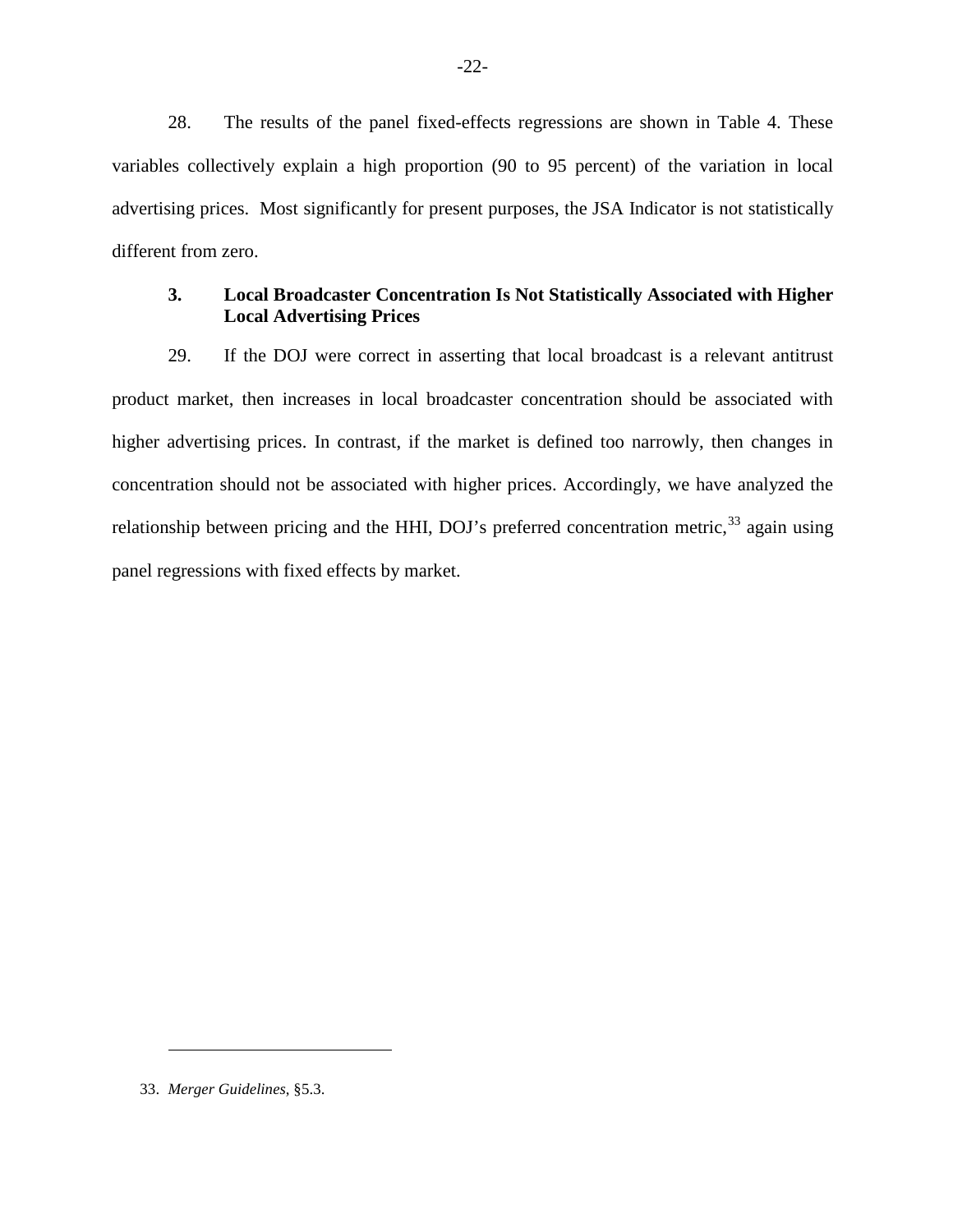28. The results of the panel fixed-effects regressions are shown in [Table 4.](#page-20-1) These variables collectively explain a high proportion (90 to 95 percent) of the variation in local advertising prices. Most significantly for present purposes, the JSA Indicator is not statistically different from zero.

# <span id="page-21-0"></span>**3. Local Broadcaster Concentration Is Not Statistically Associated with Higher Local Advertising Prices**

29. If the DOJ were correct in asserting that local broadcast is a relevant antitrust product market, then increases in local broadcaster concentration should be associated with higher advertising prices. In contrast, if the market is defined too narrowly, then changes in concentration should not be associated with higher prices. Accordingly, we have analyzed the relationship between pricing and the HHI, DOJ's preferred concentration metric,<sup>[33](#page-21-1)</sup> again using panel regressions with fixed effects by market.

<span id="page-21-1"></span><sup>33.</sup> *Merger Guidelines*, §5.3.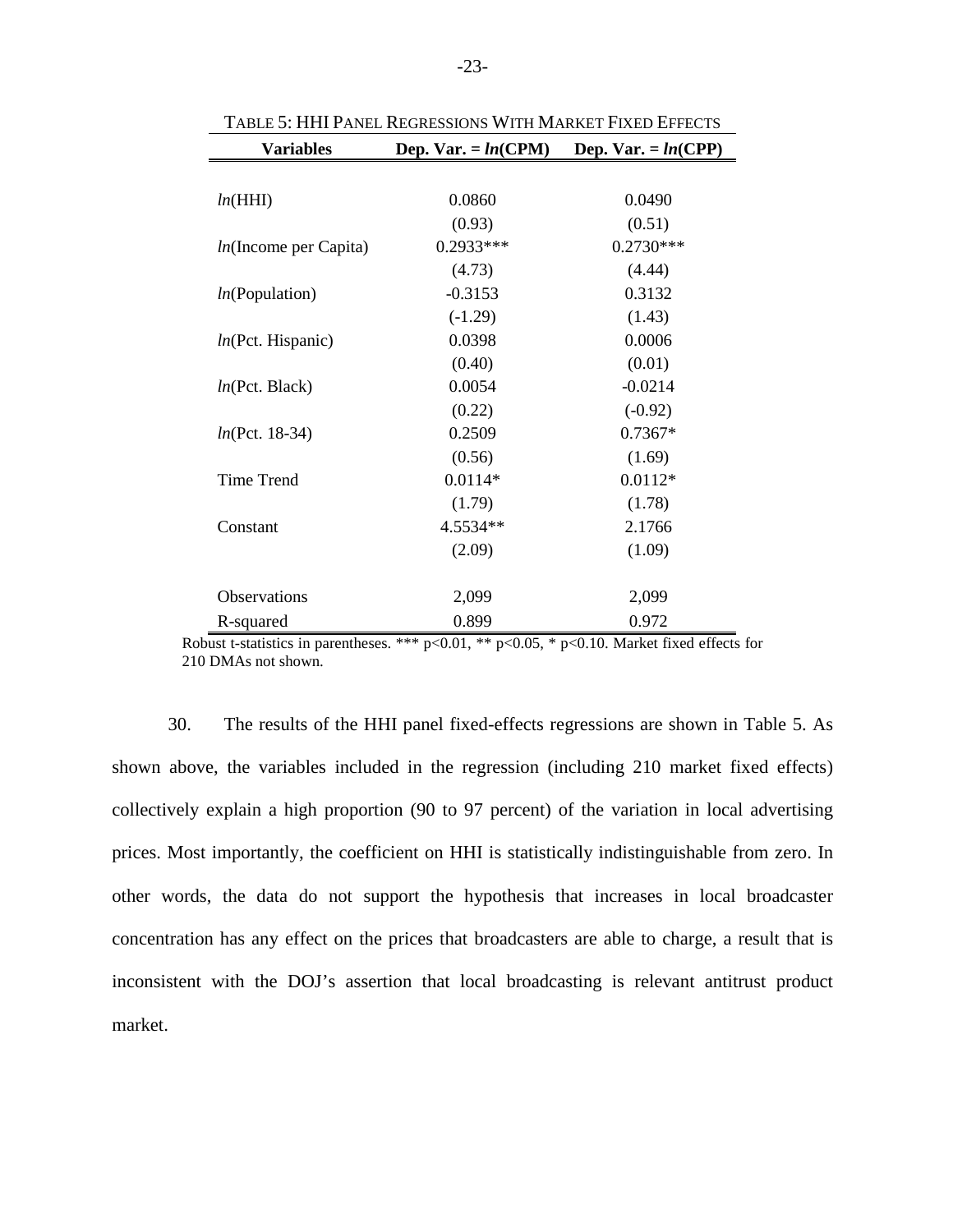<span id="page-22-0"></span>

| <b>Variables</b>         | Dep. Var. $= ln(CPM)$ | Dep. Var. = $ln(CPP)$ |
|--------------------------|-----------------------|-----------------------|
|                          |                       |                       |
| ln(HHI)                  | 0.0860                | 0.0490                |
|                          | (0.93)                | (0.51)                |
| $ln($ Income per Capita) | 0.2933***             | $0.2730***$           |
|                          | (4.73)                | (4.44)                |
| ln(Population)           | $-0.3153$             | 0.3132                |
|                          | $(-1.29)$             | (1.43)                |
| ln(Pct. Hispanic)        | 0.0398                | 0.0006                |
|                          | (0.40)                | (0.01)                |
| ln(Pct. Black)           | 0.0054                | $-0.0214$             |
|                          | (0.22)                | $(-0.92)$             |
| $ln(Pct. 18-34)$         | 0.2509                | $0.7367*$             |
|                          | (0.56)                | (1.69)                |
| <b>Time Trend</b>        | $0.0114*$             | $0.0112*$             |
|                          | (1.79)                | (1.78)                |
| Constant                 | 4.5534**              | 2.1766                |
|                          | (2.09)                | (1.09)                |
|                          |                       |                       |
| Observations             | 2,099                 | 2,099                 |
| R-squared                | 0.899                 | 0.972                 |

TABLE 5: HHI PANEL REGRESSIONS WITH MARKET FIXED EFFECTS

Robust t-statistics in parentheses. \*\*\*  $p<0.01$ , \*\*  $p<0.05$ , \*  $p<0.10$ . Market fixed effects for 210 DMAs not shown.

30. The results of the HHI panel fixed-effects regressions are shown in [Table 5.](#page-22-0) As shown above, the variables included in the regression (including 210 market fixed effects) collectively explain a high proportion (90 to 97 percent) of the variation in local advertising prices. Most importantly, the coefficient on HHI is statistically indistinguishable from zero. In other words, the data do not support the hypothesis that increases in local broadcaster concentration has any effect on the prices that broadcasters are able to charge, a result that is inconsistent with the DOJ's assertion that local broadcasting is relevant antitrust product market.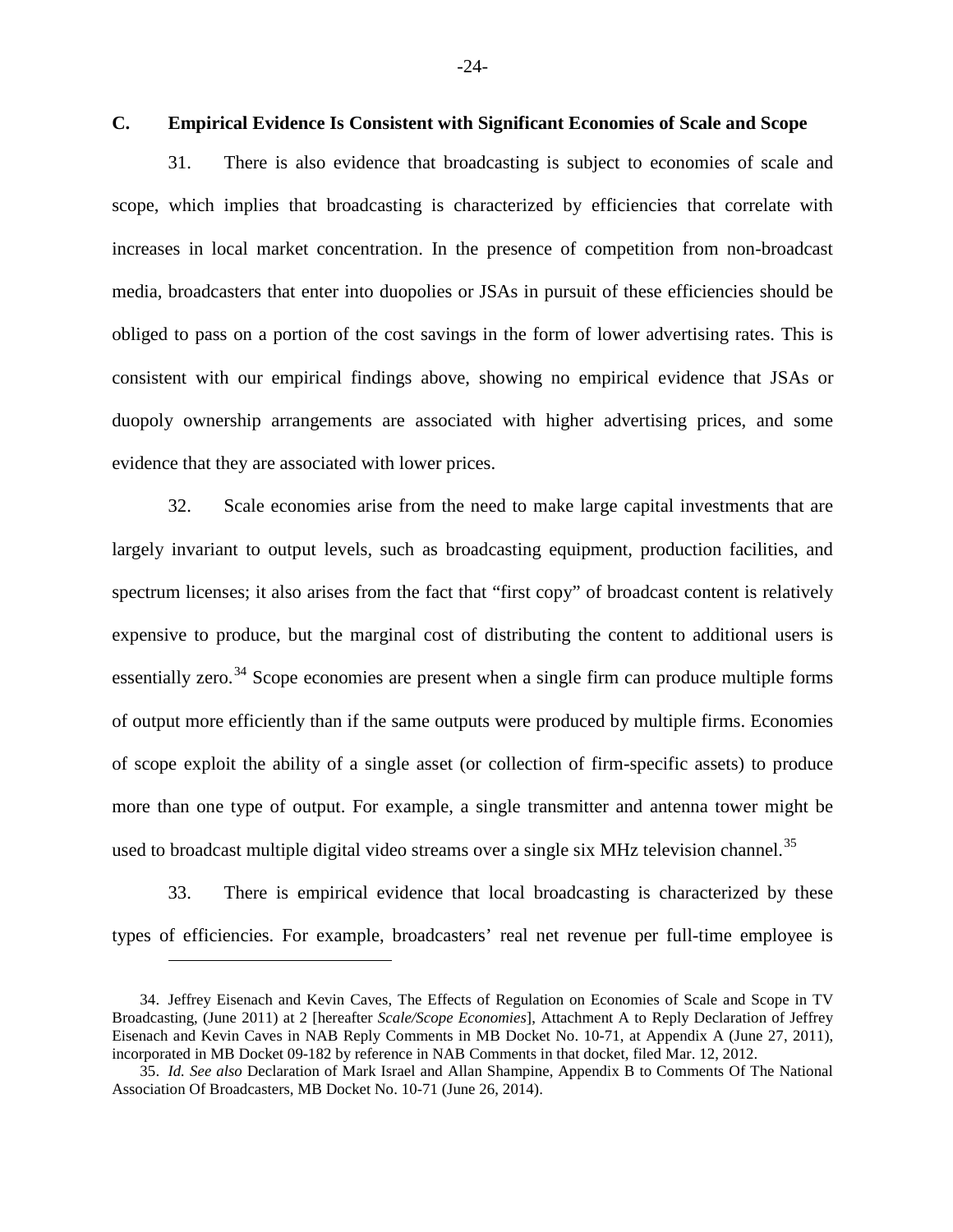# <span id="page-23-0"></span>**C. Empirical Evidence Is Consistent with Significant Economies of Scale and Scope**

31. There is also evidence that broadcasting is subject to economies of scale and scope, which implies that broadcasting is characterized by efficiencies that correlate with increases in local market concentration. In the presence of competition from non-broadcast media, broadcasters that enter into duopolies or JSAs in pursuit of these efficiencies should be obliged to pass on a portion of the cost savings in the form of lower advertising rates. This is consistent with our empirical findings above, showing no empirical evidence that JSAs or duopoly ownership arrangements are associated with higher advertising prices, and some evidence that they are associated with lower prices.

32. Scale economies arise from the need to make large capital investments that are largely invariant to output levels, such as broadcasting equipment, production facilities, and spectrum licenses; it also arises from the fact that "first copy" of broadcast content is relatively expensive to produce, but the marginal cost of distributing the content to additional users is essentially zero.<sup>[34](#page-23-1)</sup> Scope economies are present when a single firm can produce multiple forms of output more efficiently than if the same outputs were produced by multiple firms. Economies of scope exploit the ability of a single asset (or collection of firm-specific assets) to produce more than one type of output. For example, a single transmitter and antenna tower might be used to broadcast multiple digital video streams over a single six MHz television channel.<sup>[35](#page-23-2)</sup>

33. There is empirical evidence that local broadcasting is characterized by these types of efficiencies. For example, broadcasters' real net revenue per full-time employee is

<span id="page-23-1"></span><sup>34.</sup> Jeffrey Eisenach and Kevin Caves, The Effects of Regulation on Economies of Scale and Scope in TV Broadcasting, (June 2011) at 2 [hereafter *Scale/Scope Economies*], Attachment A to Reply Declaration of Jeffrey Eisenach and Kevin Caves in NAB Reply Comments in MB Docket No. 10-71, at Appendix A (June 27, 2011), incorporated in MB Docket 09-182 by reference in NAB Comments in that docket, filed Mar. 12, 2012.

<span id="page-23-2"></span><sup>35.</sup> *Id. See also* Declaration of Mark Israel and Allan Shampine, Appendix B to Comments Of The National Association Of Broadcasters, MB Docket No. 10-71 (June 26, 2014).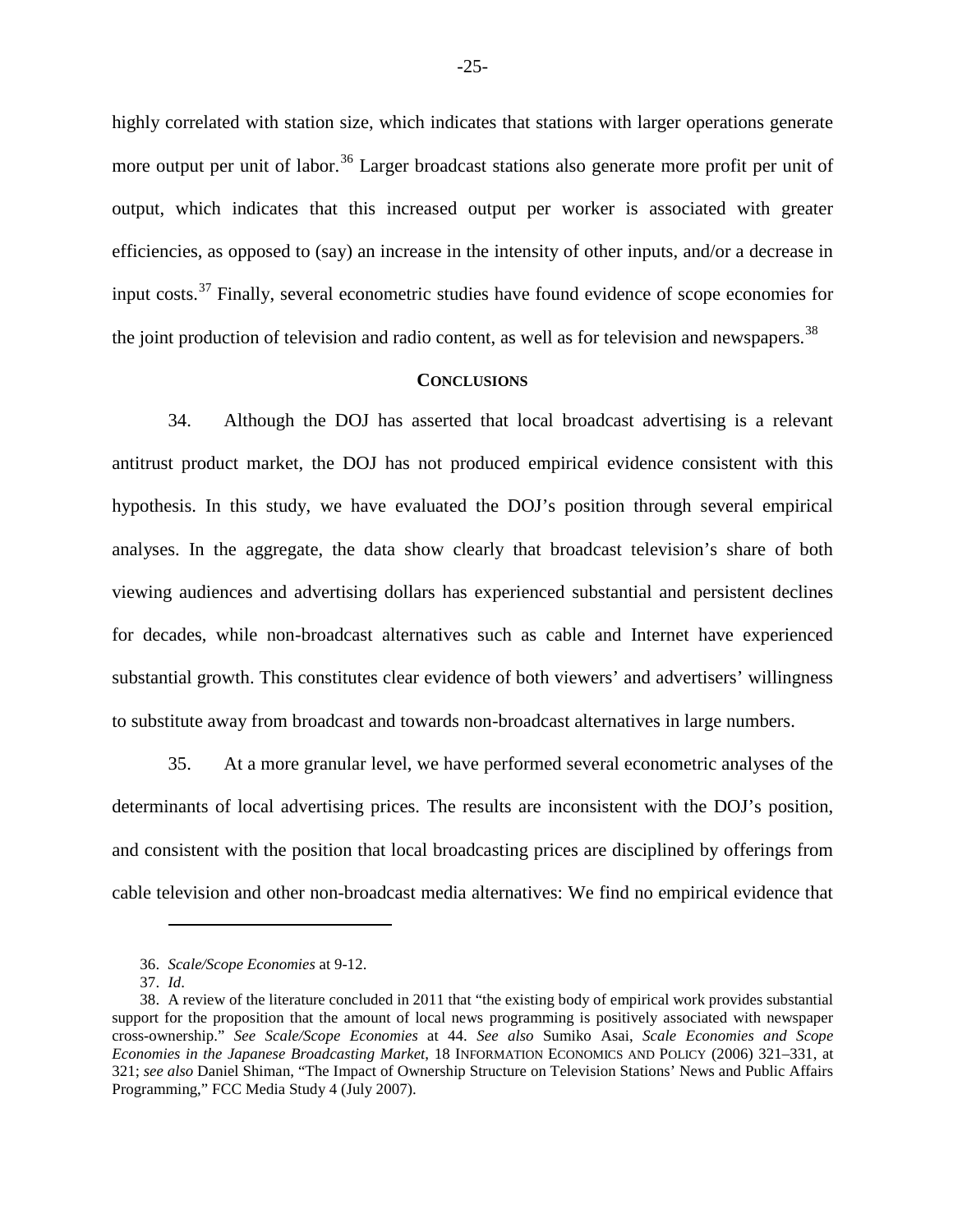highly correlated with station size, which indicates that stations with larger operations generate more output per unit of labor.<sup>[36](#page-24-1)</sup> Larger broadcast stations also generate more profit per unit of output, which indicates that this increased output per worker is associated with greater efficiencies, as opposed to (say) an increase in the intensity of other inputs, and/or a decrease in input costs.<sup>[37](#page-24-2)</sup> Finally, several econometric studies have found evidence of scope economies for the joint production of television and radio content, as well as for television and newspapers.<sup>[38](#page-24-3)</sup>

#### **CONCLUSIONS**

<span id="page-24-0"></span>34. Although the DOJ has asserted that local broadcast advertising is a relevant antitrust product market, the DOJ has not produced empirical evidence consistent with this hypothesis. In this study, we have evaluated the DOJ's position through several empirical analyses. In the aggregate, the data show clearly that broadcast television's share of both viewing audiences and advertising dollars has experienced substantial and persistent declines for decades, while non-broadcast alternatives such as cable and Internet have experienced substantial growth. This constitutes clear evidence of both viewers' and advertisers' willingness to substitute away from broadcast and towards non-broadcast alternatives in large numbers.

35. At a more granular level, we have performed several econometric analyses of the determinants of local advertising prices. The results are inconsistent with the DOJ's position, and consistent with the position that local broadcasting prices are disciplined by offerings from cable television and other non-broadcast media alternatives: We find no empirical evidence that

<sup>36.</sup> *Scale/Scope Economies* at 9-12.

<sup>37.</sup> *Id*.

<span id="page-24-3"></span><span id="page-24-2"></span><span id="page-24-1"></span><sup>38.</sup> A review of the literature concluded in 2011 that "the existing body of empirical work provides substantial support for the proposition that the amount of local news programming is positively associated with newspaper cross-ownership." *See Scale/Scope Economies* at 44. *See also* Sumiko Asai, *Scale Economies and Scope Economies in the Japanese Broadcasting Market*, 18 INFORMATION ECONOMICS AND POLICY (2006) 321–331, at 321; *see also* Daniel Shiman, "The Impact of Ownership Structure on Television Stations' News and Public Affairs Programming," FCC Media Study 4 (July 2007).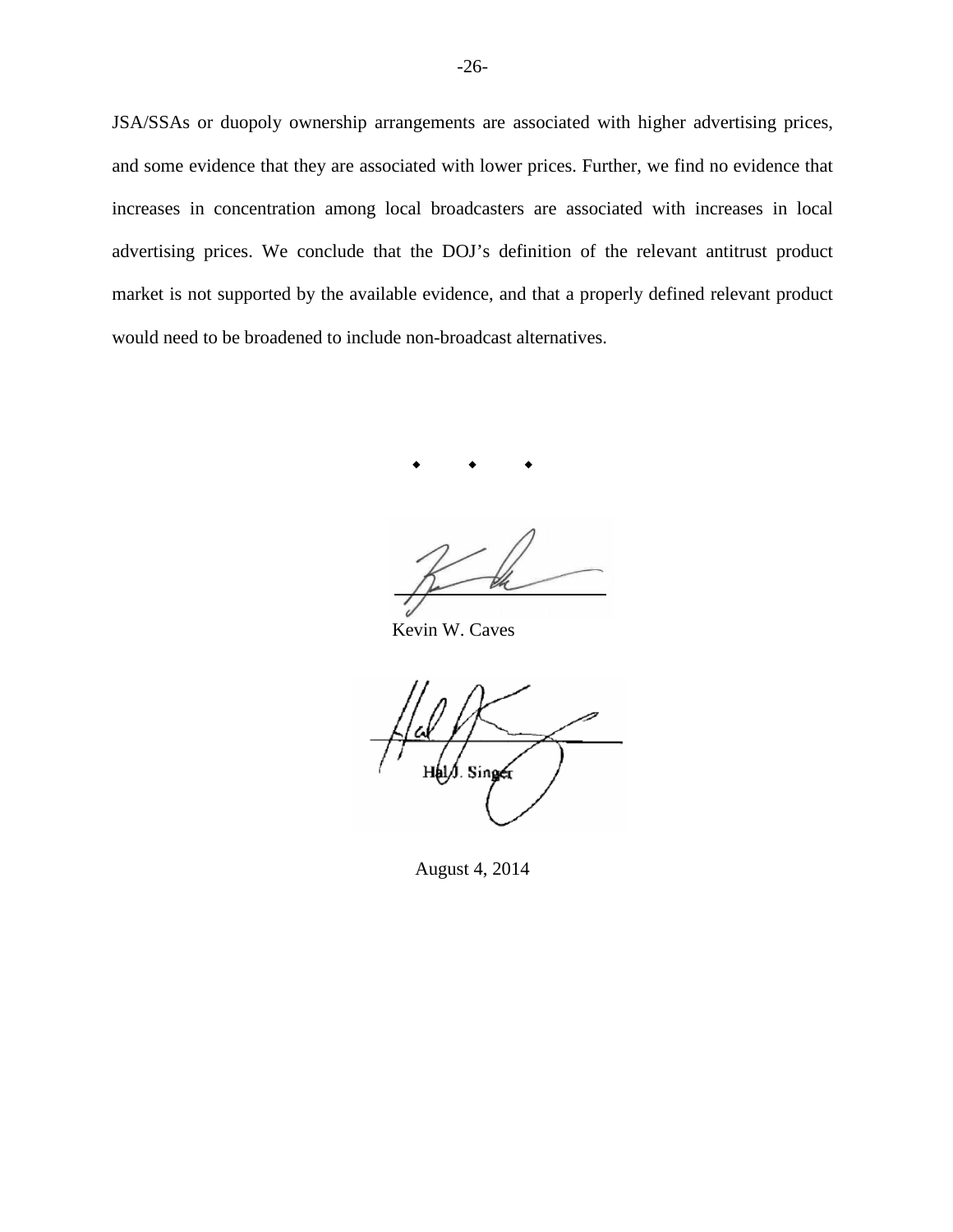JSA/SSAs or duopoly ownership arrangements are associated with higher advertising prices, and some evidence that they are associated with lower prices. Further, we find no evidence that increases in concentration among local broadcasters are associated with increases in local advertising prices. We conclude that the DOJ's definition of the relevant antitrust product market is not supported by the available evidence, and that a properly defined relevant product would need to be broadened to include non-broadcast alternatives.

 $\begin{array}{cccccccccccccc} \bullet & & & \bullet & & & \bullet & & & \bullet & & \end{array}$ 

Kevin W. Caves

l. Sine

August 4, 2014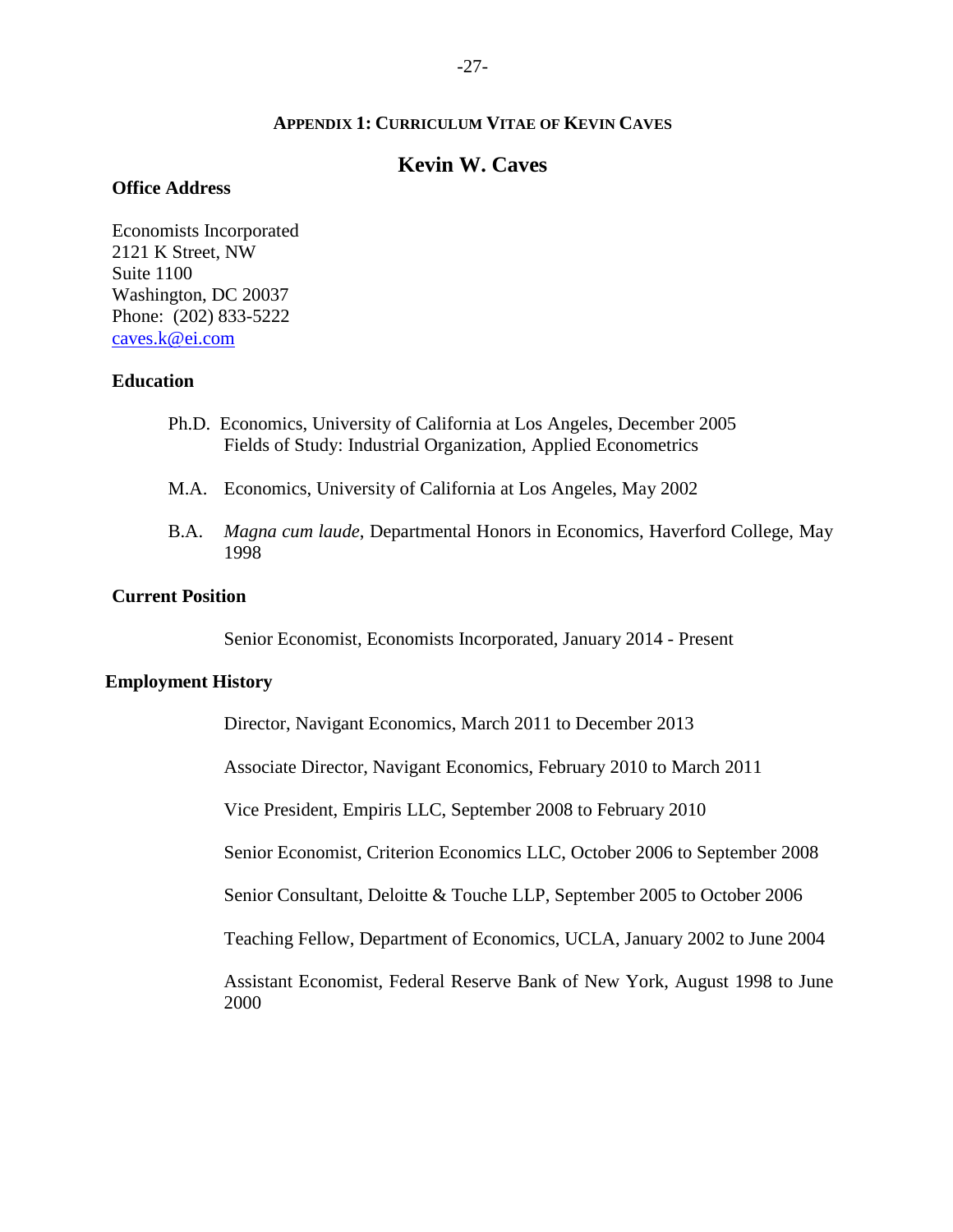### **APPENDIX 1: CURRICULUM VITAE OF KEVIN CAVES**

# **Kevin W. Caves**

## <span id="page-26-0"></span>**Office Address**

Economists Incorporated 2121 K Street, NW Suite 1100 Washington, DC 20037 Phone: (202) 833-5222 caves.k@ei.com

### **Education**

- Ph.D. Economics, University of California at Los Angeles, December 2005 Fields of Study: Industrial Organization, Applied Econometrics
- M.A. Economics, University of California at Los Angeles, May 2002
- B.A. *Magna cum laude*, Departmental Honors in Economics, Haverford College, May 1998

#### **Current Position**

Senior Economist, Economists Incorporated, January 2014 - Present

#### **Employment History**

Director, Navigant Economics, March 2011 to December 2013

Associate Director, Navigant Economics, February 2010 to March 2011

Vice President, Empiris LLC, September 2008 to February 2010

Senior Economist, Criterion Economics LLC, October 2006 to September 2008

Senior Consultant, Deloitte & Touche LLP, September 2005 to October 2006

Teaching Fellow, Department of Economics, UCLA, January 2002 to June 2004

Assistant Economist, Federal Reserve Bank of New York, August 1998 to June 2000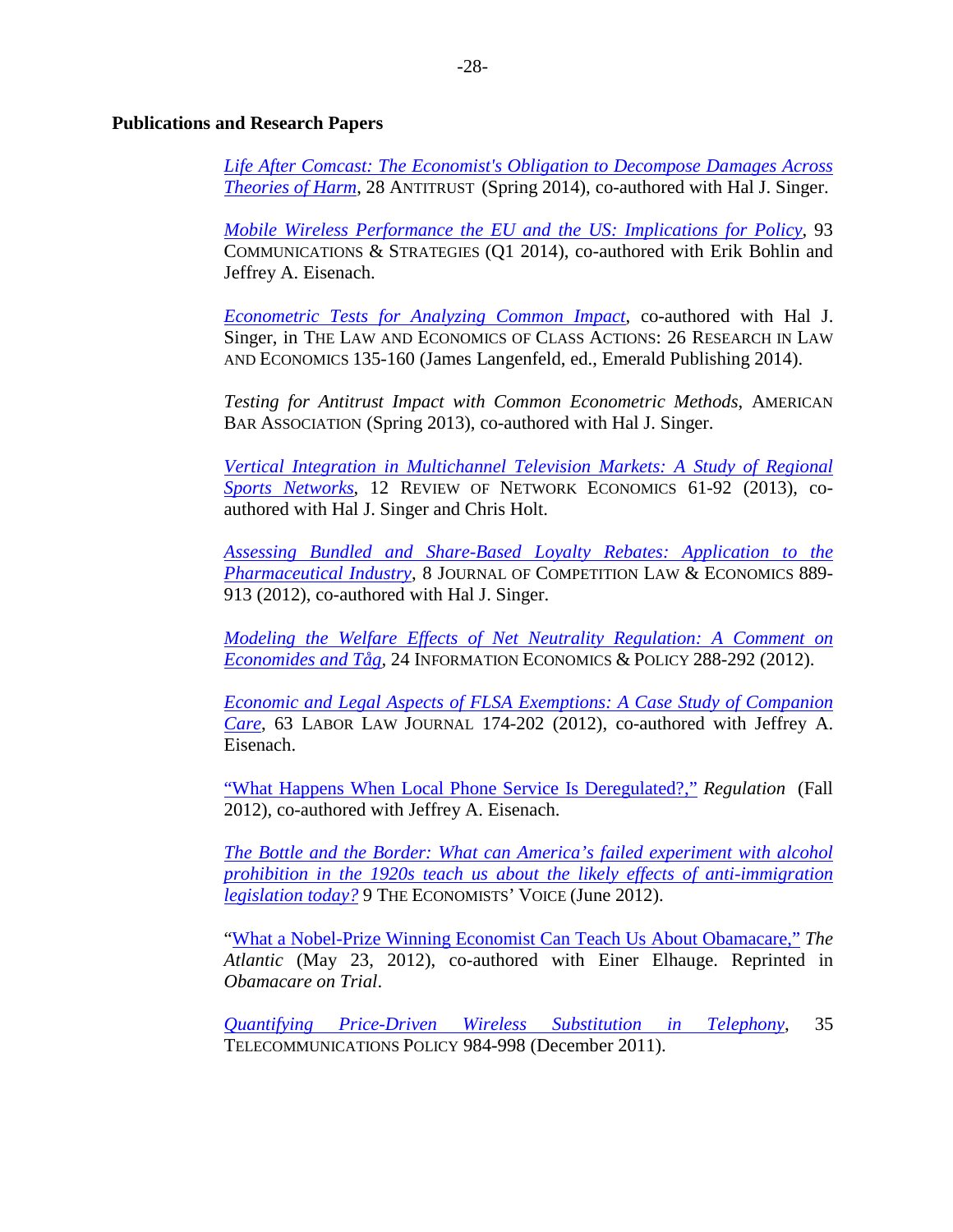### **Publications and Research Papers**

*Life After Comcast: The Economist's Obligation to Decompose Damages Across Theories of Harm*, 28 ANTITRUST (Spring 2014), co-authored with Hal J. Singer.

*Mobile Wireless Performance the EU and the US: Implications for Policy*, 93 COMMUNICATIONS & STRATEGIES (Q1 2014), co-authored with Erik Bohlin and Jeffrey A. Eisenach.

*Econometric Tests for Analyzing Common Impact*, co-authored with Hal J. Singer, in THE LAW AND ECONOMICS OF CLASS ACTIONS: 26 RESEARCH IN LAW AND ECONOMICS 135-160 (James Langenfeld, ed., Emerald Publishing 2014).

*Testing for Antitrust Impact with Common Econometric Methods*, AMERICAN BAR ASSOCIATION (Spring 2013), co-authored with Hal J. Singer.

*Vertical Integration in Multichannel Television Markets: A Study of Regional Sports Networks*, 12 REVIEW OF NETWORK ECONOMICS 61-92 (2013), coauthored with Hal J. Singer and Chris Holt.

*Assessing Bundled and Share-Based Loyalty Rebates: Application to the Pharmaceutical Industry*, 8 JOURNAL OF COMPETITION LAW & ECONOMICS 889- 913 (2012), co-authored with Hal J. Singer.

*Modeling the Welfare Effects of Net Neutrality Regulation: A Comment on Economides and Tåg,* 24 INFORMATION ECONOMICS & POLICY 288-292 (2012).

*Economic and Legal Aspects of FLSA Exemptions: A Case Study of Companion Care*, 63 LABOR LAW JOURNAL 174-202 (2012), co-authored with Jeffrey A. Eisenach.

"What Happens When Local Phone Service Is Deregulated?," *Regulation* (Fall 2012), co-authored with Jeffrey A. Eisenach.

*The Bottle and the Border: What can America's failed experiment with alcohol prohibition in the 1920s teach us about the likely effects of anti-immigration legislation today?* 9 THE ECONOMISTS' VOICE (June 2012).

"What a Nobel-Prize Winning Economist Can Teach Us About Obamacare," *The Atlantic* (May 23, 2012), co-authored with Einer Elhauge. Reprinted in *Obamacare on Trial*.

*Quantifying Price-Driven Wireless Substitution in Telephony*, 35 TELECOMMUNICATIONS POLICY 984-998 (December 2011).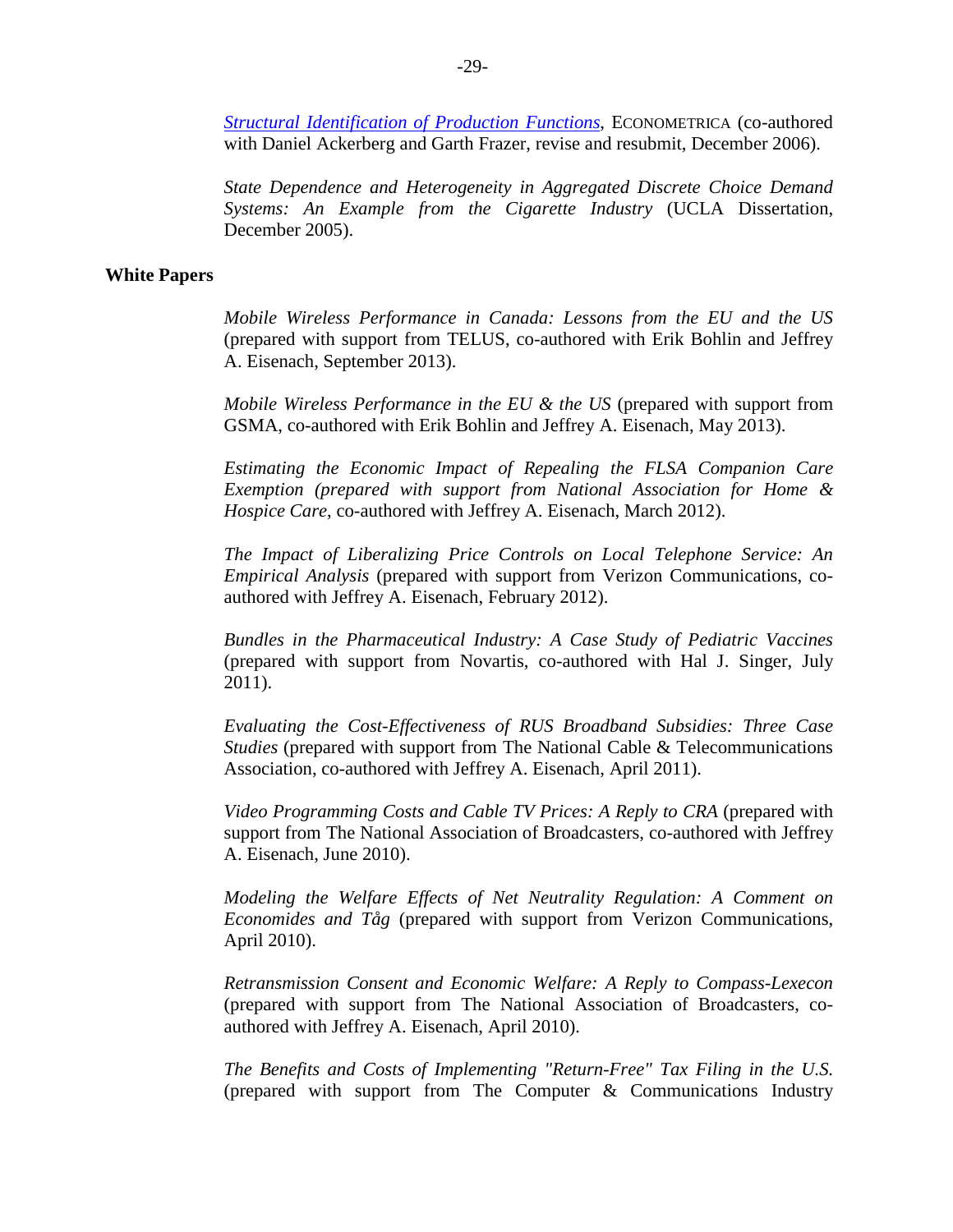*Structural Identification of Production Functions*, ECONOMETRICA (co-authored with Daniel Ackerberg and Garth Frazer, revise and resubmit, December 2006).

*State Dependence and Heterogeneity in Aggregated Discrete Choice Demand Systems: An Example from the Cigarette Industry* (UCLA Dissertation, December 2005).

### **White Papers**

*Mobile Wireless Performance in Canada: Lessons from the EU and the US*  (prepared with support from TELUS, co-authored with Erik Bohlin and Jeffrey A. Eisenach, September 2013).

*Mobile Wireless Performance in the EU & the US* (prepared with support from GSMA, co-authored with Erik Bohlin and Jeffrey A. Eisenach, May 2013).

*Estimating the Economic Impact of Repealing the FLSA Companion Care Exemption (prepared with support from National Association for Home & Hospice Care*, co-authored with Jeffrey A. Eisenach, March 2012).

*The Impact of Liberalizing Price Controls on Local Telephone Service: An Empirical Analysis* (prepared with support from Verizon Communications, coauthored with Jeffrey A. Eisenach, February 2012).

*Bundles in the Pharmaceutical Industry: A Case Study of Pediatric Vaccines*  (prepared with support from Novartis, co-authored with Hal J. Singer, July 2011).

*Evaluating the Cost-Effectiveness of RUS Broadband Subsidies: Three Case Studies* (prepared with support from The National Cable & Telecommunications Association, co-authored with Jeffrey A. Eisenach, April 2011).

*Video Programming Costs and Cable TV Prices: A Reply to CRA* (prepared with support from The National Association of Broadcasters, co-authored with Jeffrey A. Eisenach, June 2010).

*Modeling the Welfare Effects of Net Neutrality Regulation: A Comment on Economides and Tåg* (prepared with support from Verizon Communications, April 2010).

*Retransmission Consent and Economic Welfare: A Reply to Compass-Lexecon*  (prepared with support from The National Association of Broadcasters, coauthored with Jeffrey A. Eisenach, April 2010).

*The Benefits and Costs of Implementing "Return-Free" Tax Filing in the U.S.* (prepared with support from The Computer & Communications Industry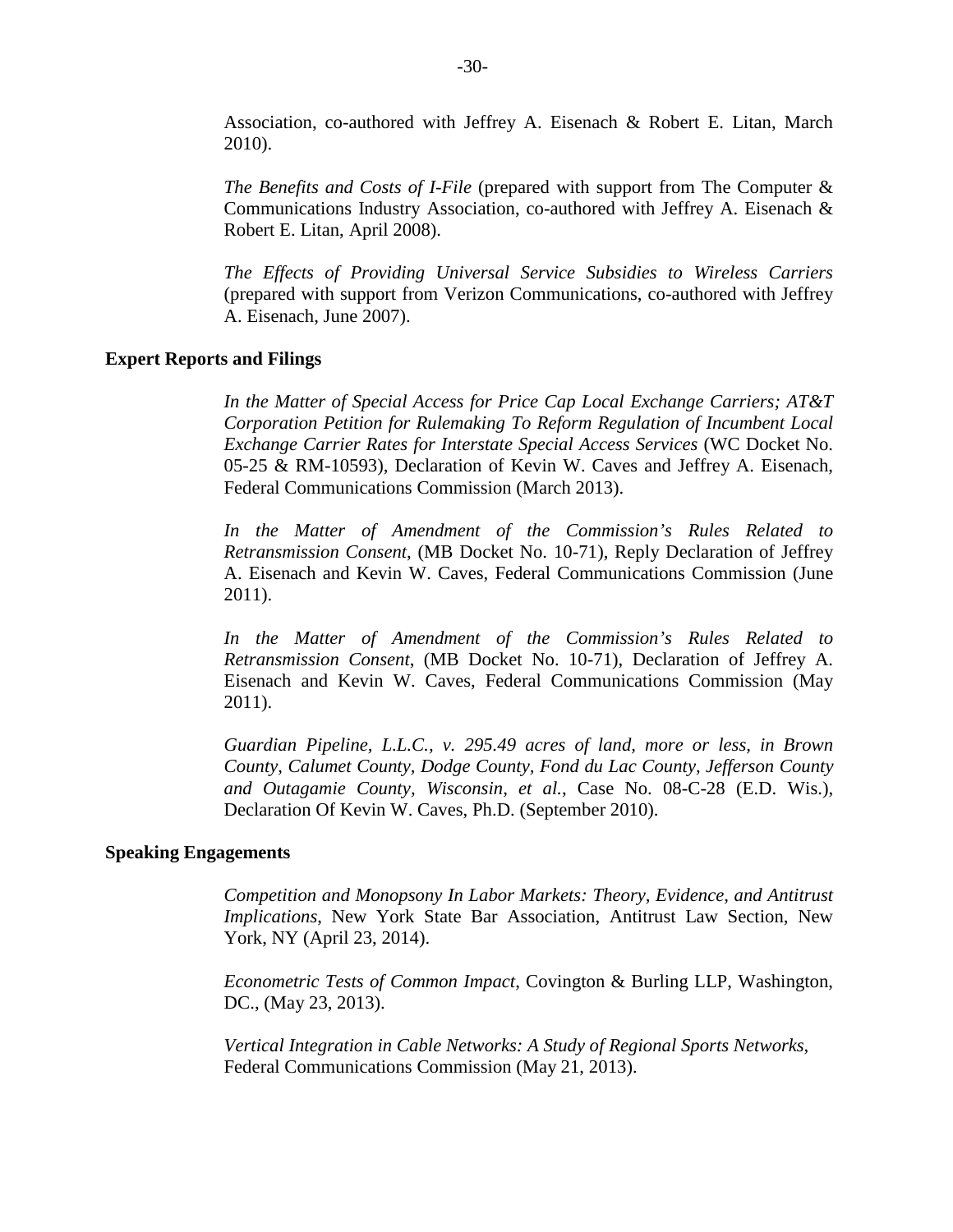Association, co-authored with Jeffrey A. Eisenach & Robert E. Litan, March 2010).

*The Benefits and Costs of I-File* (prepared with support from The Computer & Communications Industry Association, co-authored with Jeffrey A. Eisenach & Robert E. Litan, April 2008).

*The Effects of Providing Universal Service Subsidies to Wireless Carriers* (prepared with support from Verizon Communications, co-authored with Jeffrey A. Eisenach, June 2007).

### **Expert Reports and Filings**

*In the Matter of Special Access for Price Cap Local Exchange Carriers; AT&T Corporation Petition for Rulemaking To Reform Regulation of Incumbent Local Exchange Carrier Rates for Interstate Special Access Services* (WC Docket No. 05-25 & RM-10593), Declaration of Kevin W. Caves and Jeffrey A. Eisenach, Federal Communications Commission (March 2013).

*In the Matter of Amendment of the Commission's Rules Related to Retransmission Consent*, (MB Docket No. 10-71), Reply Declaration of Jeffrey A. Eisenach and Kevin W. Caves, Federal Communications Commission (June 2011).

*In the Matter of Amendment of the Commission's Rules Related to Retransmission Consent*, (MB Docket No. 10-71), Declaration of Jeffrey A. Eisenach and Kevin W. Caves, Federal Communications Commission (May 2011).

*Guardian Pipeline, L.L.C., v. 295.49 acres of land, more or less, in Brown County, Calumet County, Dodge County, Fond du Lac County, Jefferson County and Outagamie County, Wisconsin, et al.*, Case No. 08-C-28 (E.D. Wis.), Declaration Of Kevin W. Caves, Ph.D. (September 2010).

### **Speaking Engagements**

*Competition and Monopsony In Labor Markets: Theory, Evidence, and Antitrust Implications*, New York State Bar Association, Antitrust Law Section, New York, NY (April 23, 2014).

*Econometric Tests of Common Impact*, Covington & Burling LLP, Washington, DC., (May 23, 2013).

*Vertical Integration in Cable Networks: A Study of Regional Sports Networks*, Federal Communications Commission (May 21, 2013).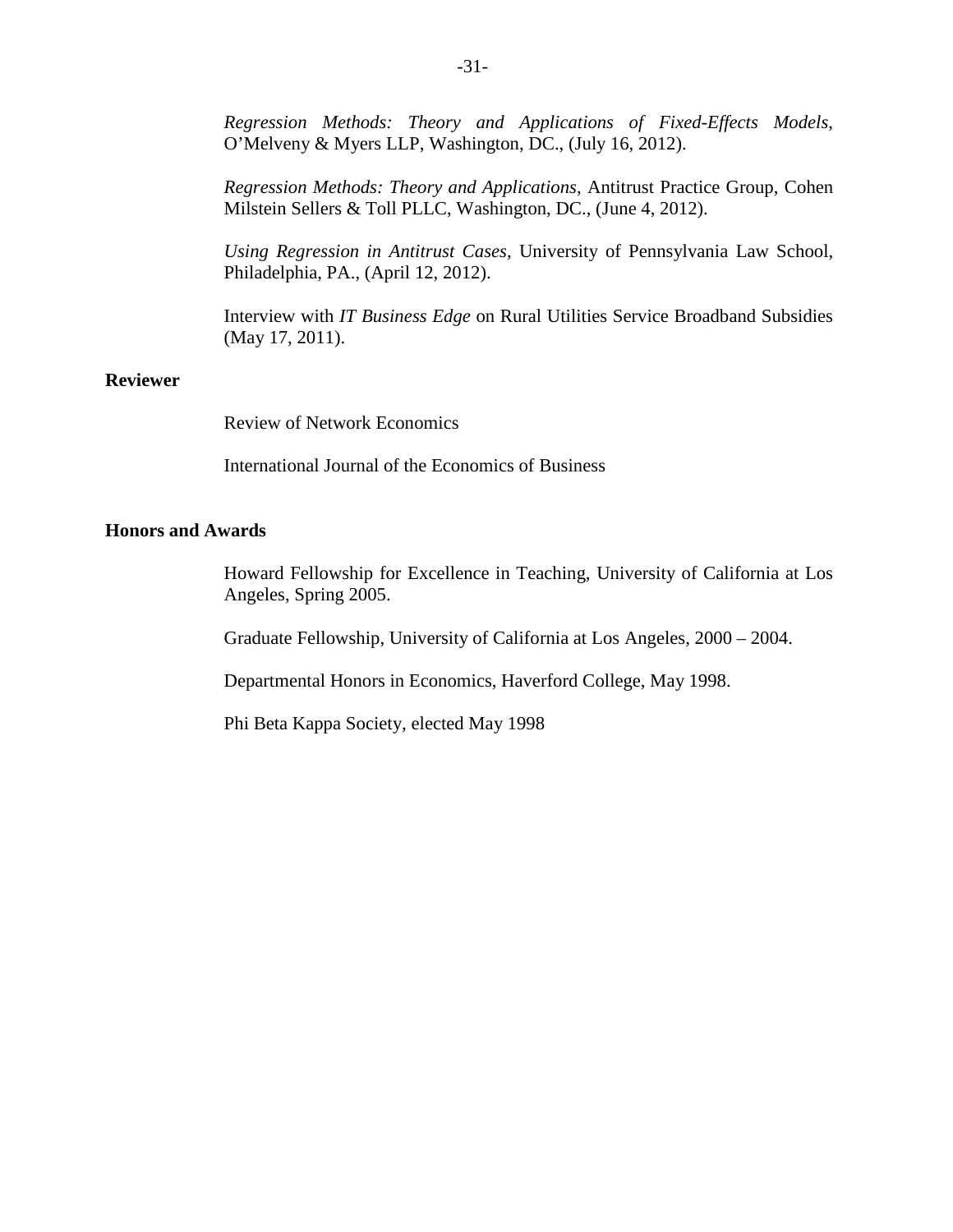*Regression Methods: Theory and Applications of Fixed-Effects Models*, O'Melveny & Myers LLP, Washington, DC., (July 16, 2012).

*Regression Methods: Theory and Applications*, Antitrust Practice Group, Cohen Milstein Sellers & Toll PLLC, Washington, DC., (June 4, 2012).

*Using Regression in Antitrust Cases*, University of Pennsylvania Law School, Philadelphia, PA., (April 12, 2012).

Interview with *IT Business Edge* on Rural Utilities Service Broadband Subsidies (May 17, 2011).

### **Reviewer**

Review of Network Economics

International Journal of the Economics of Business

## **Honors and Awards**

Howard Fellowship for Excellence in Teaching, University of California at Los Angeles, Spring 2005.

Graduate Fellowship, University of California at Los Angeles, 2000 – 2004.

Departmental Honors in Economics, Haverford College, May 1998.

Phi Beta Kappa Society, elected May 1998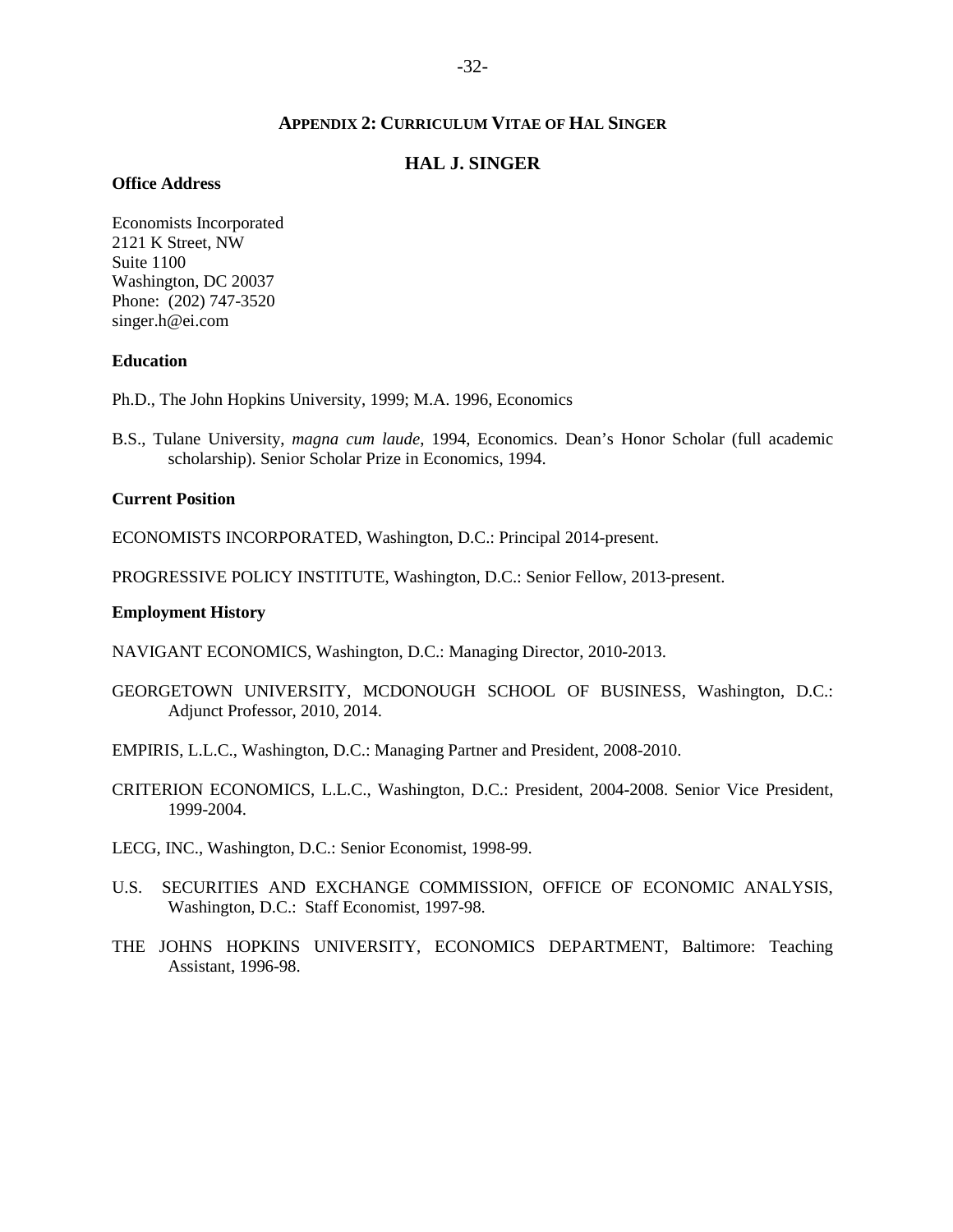### **APPENDIX 2: CURRICULUM VITAE OF HAL SINGER**

### **HAL J. SINGER**

#### <span id="page-31-0"></span>**Office Address**

Economists Incorporated 2121 K Street, NW Suite 1100 Washington, DC 20037 Phone: (202) 747-3520 singer.h@ei.com

### **Education**

Ph.D., The John Hopkins University, 1999; M.A. 1996, Economics

B.S., Tulane University, *magna cum laude*, 1994, Economics. Dean's Honor Scholar (full academic scholarship). Senior Scholar Prize in Economics, 1994.

#### **Current Position**

ECONOMISTS INCORPORATED, Washington, D.C.: Principal 2014-present.

PROGRESSIVE POLICY INSTITUTE, Washington, D.C.: Senior Fellow, 2013-present.

#### **Employment History**

NAVIGANT ECONOMICS, Washington, D.C.: Managing Director, 2010-2013.

GEORGETOWN UNIVERSITY, MCDONOUGH SCHOOL OF BUSINESS, Washington, D.C.: Adjunct Professor, 2010, 2014.

EMPIRIS, L.L.C., Washington, D.C.: Managing Partner and President, 2008-2010.

- CRITERION ECONOMICS, L.L.C., Washington, D.C.: President, 2004-2008. Senior Vice President, 1999-2004.
- LECG, INC., Washington, D.C.: Senior Economist, 1998-99.
- U.S. SECURITIES AND EXCHANGE COMMISSION, OFFICE OF ECONOMIC ANALYSIS, Washington, D.C.: Staff Economist, 1997-98.
- THE JOHNS HOPKINS UNIVERSITY, ECONOMICS DEPARTMENT, Baltimore: Teaching Assistant, 1996-98.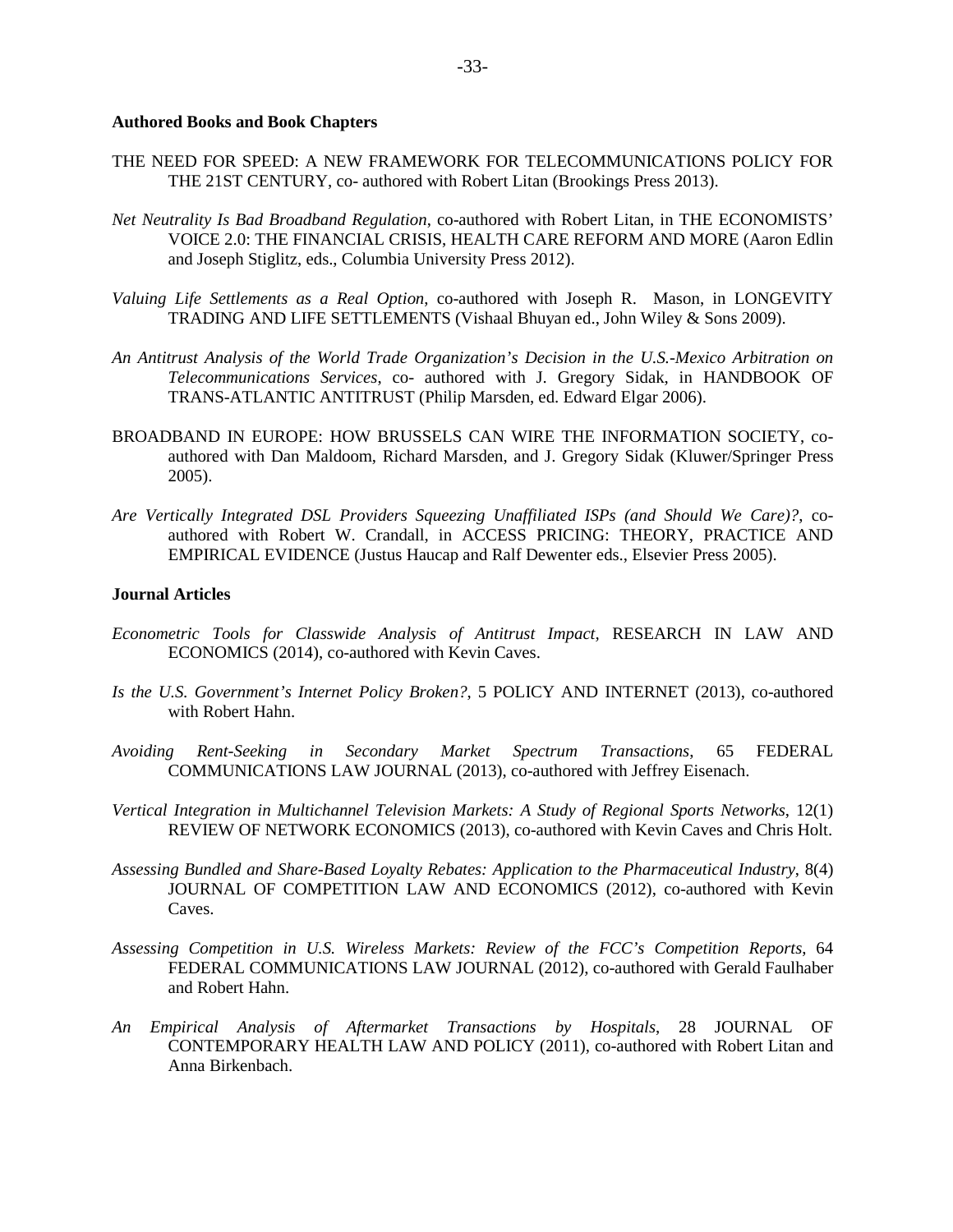#### **Authored Books and Book Chapters**

- THE NEED FOR SPEED: A NEW FRAMEWORK FOR TELECOMMUNICATIONS POLICY FOR THE 21ST CENTURY, co- authored with Robert Litan (Brookings Press 2013).
- *Net Neutrality Is Bad Broadband Regulation*, co-authored with Robert Litan, in THE ECONOMISTS' VOICE 2.0: THE FINANCIAL CRISIS, HEALTH CARE REFORM AND MORE (Aaron Edlin and Joseph Stiglitz, eds., Columbia University Press 2012).
- *Valuing Life Settlements as a Real Option*, co-authored with Joseph R. Mason, in LONGEVITY TRADING AND LIFE SETTLEMENTS (Vishaal Bhuyan ed., John Wiley & Sons 2009).
- *An Antitrust Analysis of the World Trade Organization's Decision in the U.S.-Mexico Arbitration on Telecommunications Services*, co- authored with J. Gregory Sidak, in HANDBOOK OF TRANS-ATLANTIC ANTITRUST (Philip Marsden, ed. Edward Elgar 2006).
- BROADBAND IN EUROPE: HOW BRUSSELS CAN WIRE THE INFORMATION SOCIETY, coauthored with Dan Maldoom, Richard Marsden, and J. Gregory Sidak (Kluwer/Springer Press 2005).
- *Are Vertically Integrated DSL Providers Squeezing Unaffiliated ISPs (and Should We Care)?*, coauthored with Robert W. Crandall, in ACCESS PRICING: THEORY, PRACTICE AND EMPIRICAL EVIDENCE (Justus Haucap and Ralf Dewenter eds., Elsevier Press 2005).

#### **Journal Articles**

- *Econometric Tools for Classwide Analysis of Antitrust Impact,* RESEARCH IN LAW AND ECONOMICS (2014), co-authored with Kevin Caves.
- *Is the U.S. Government's Internet Policy Broken?*, 5 POLICY AND INTERNET (2013), co-authored with Robert Hahn.
- *Avoiding Rent-Seeking in Secondary Market Spectrum Transactions*, 65 FEDERAL COMMUNICATIONS LAW JOURNAL (2013), co-authored with Jeffrey Eisenach.
- *Vertical Integration in Multichannel Television Markets: A Study of Regional Sports Networks*, 12(1) REVIEW OF NETWORK ECONOMICS (2013), co-authored with Kevin Caves and Chris Holt.
- *Assessing Bundled and Share-Based Loyalty Rebates: Application to the Pharmaceutical Industry*, 8(4) JOURNAL OF COMPETITION LAW AND ECONOMICS (2012), co-authored with Kevin Caves.
- *Assessing Competition in U.S. Wireless Markets: Review of the FCC's Competition Reports*, 64 FEDERAL COMMUNICATIONS LAW JOURNAL (2012), co-authored with Gerald Faulhaber and Robert Hahn.
- *An Empirical Analysis of Aftermarket Transactions by Hospitals*, 28 JOURNAL OF CONTEMPORARY HEALTH LAW AND POLICY (2011), co-authored with Robert Litan and Anna Birkenbach.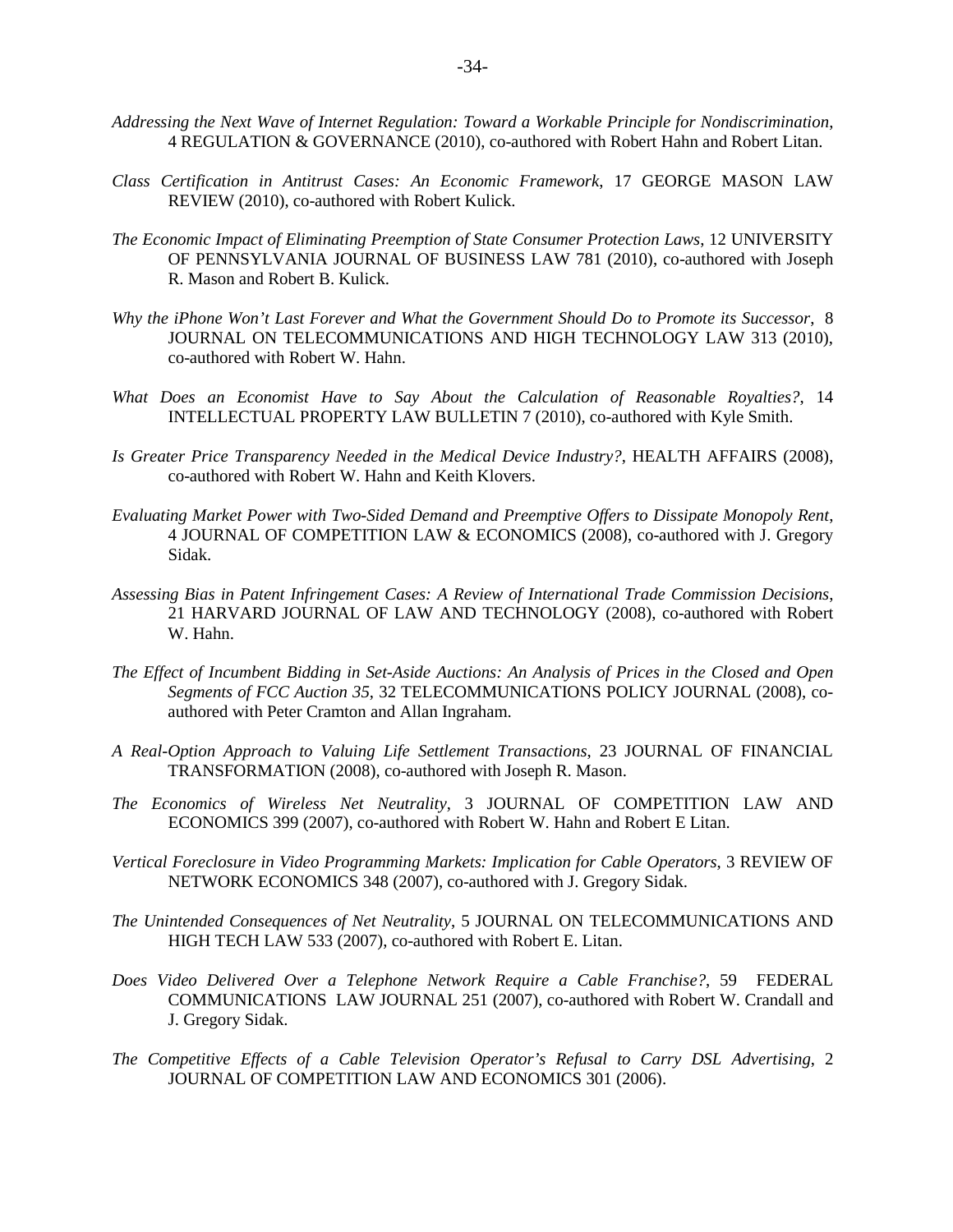- *Addressing the Next Wave of Internet Regulation: Toward a Workable Principle for Nondiscrimination*, 4 REGULATION & GOVERNANCE (2010), co-authored with Robert Hahn and Robert Litan.
- *Class Certification in Antitrust Cases: An Economic Framework*, 17 GEORGE MASON LAW REVIEW (2010), co-authored with Robert Kulick.
- *The Economic Impact of Eliminating Preemption of State Consumer Protection Laws*, 12 UNIVERSITY OF PENNSYLVANIA JOURNAL OF BUSINESS LAW 781 (2010), co-authored with Joseph R. Mason and Robert B. Kulick.
- *Why the iPhone Won't Last Forever and What the Government Should Do to Promote its Successor*, 8 JOURNAL ON TELECOMMUNICATIONS AND HIGH TECHNOLOGY LAW 313 (2010), co-authored with Robert W. Hahn.
- *What Does an Economist Have to Say About the Calculation of Reasonable Royalties?*, 14 INTELLECTUAL PROPERTY LAW BULLETIN 7 (2010), co-authored with Kyle Smith.
- *Is Greater Price Transparency Needed in the Medical Device Industry?*, HEALTH AFFAIRS (2008), co-authored with Robert W. Hahn and Keith Klovers.
- *Evaluating Market Power with Two-Sided Demand and Preemptive Offers to Dissipate Monopoly Rent*, 4 JOURNAL OF COMPETITION LAW & ECONOMICS (2008), co-authored with J. Gregory Sidak.
- *Assessing Bias in Patent Infringement Cases: A Review of International Trade Commission Decisions*, 21 HARVARD JOURNAL OF LAW AND TECHNOLOGY (2008), co-authored with Robert W. Hahn.
- *The Effect of Incumbent Bidding in Set-Aside Auctions: An Analysis of Prices in the Closed and Open Segments of FCC Auction 35*, 32 TELECOMMUNICATIONS POLICY JOURNAL (2008), coauthored with Peter Cramton and Allan Ingraham.
- *A Real-Option Approach to Valuing Life Settlement Transactions*, 23 JOURNAL OF FINANCIAL TRANSFORMATION (2008), co-authored with Joseph R. Mason.
- *The Economics of Wireless Net Neutrality*, 3 JOURNAL OF COMPETITION LAW AND ECONOMICS 399 (2007), co-authored with Robert W. Hahn and Robert E Litan.
- *Vertical Foreclosure in Video Programming Markets: Implication for Cable Operators*, 3 REVIEW OF NETWORK ECONOMICS 348 (2007), co-authored with J. Gregory Sidak.
- *The Unintended Consequences of Net Neutrality*, 5 JOURNAL ON TELECOMMUNICATIONS AND HIGH TECH LAW 533 (2007), co-authored with Robert E. Litan.
- *Does Video Delivered Over a Telephone Network Require a Cable Franchise?*, 59 FEDERAL COMMUNICATIONS LAW JOURNAL 251 (2007), co-authored with Robert W. Crandall and J. Gregory Sidak.
- *The Competitive Effects of a Cable Television Operator's Refusal to Carry DSL Advertising*, 2 JOURNAL OF COMPETITION LAW AND ECONOMICS 301 (2006).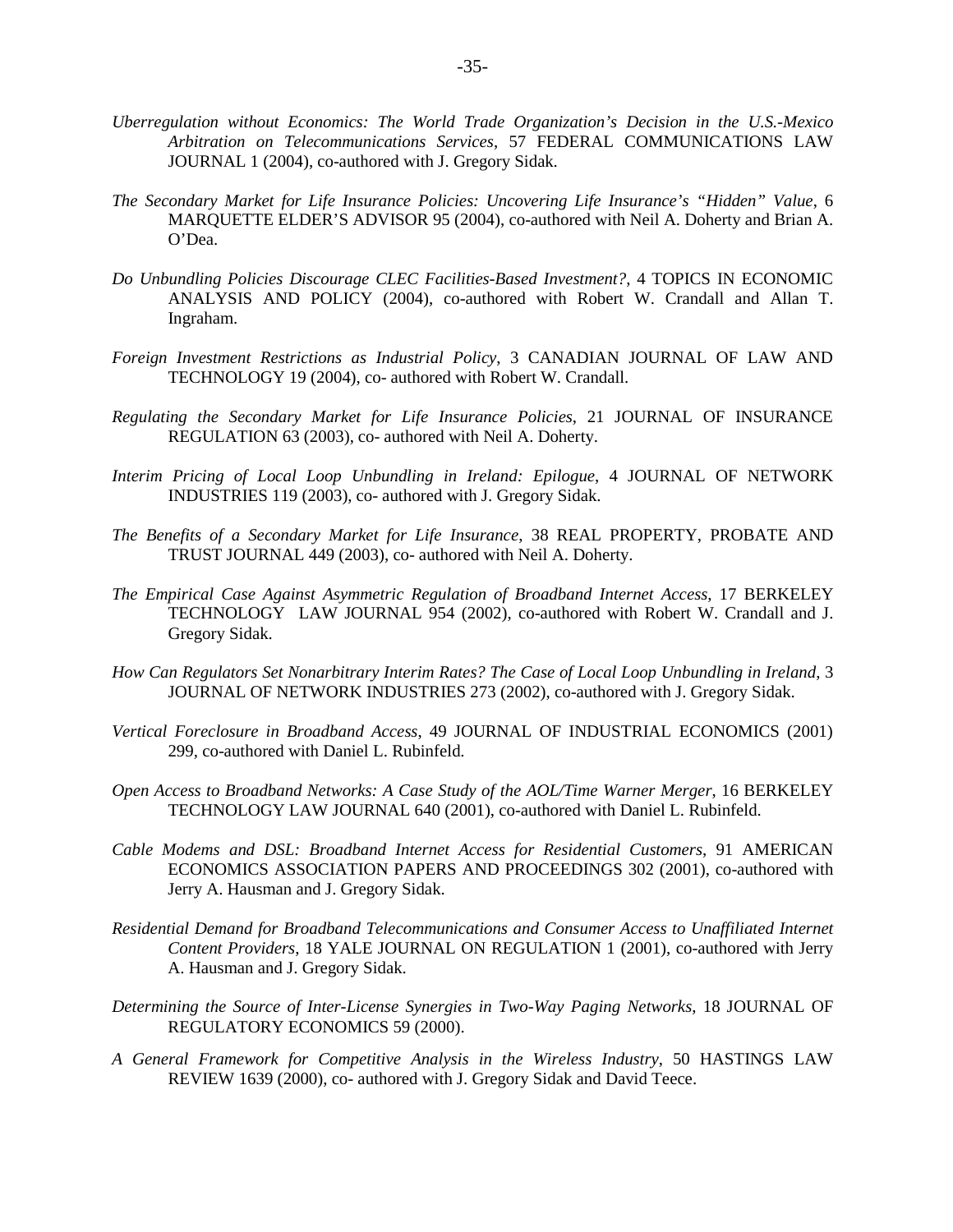- *Uberregulation without Economics: The World Trade Organization's Decision in the U.S.-Mexico Arbitration on Telecommunications Services*, 57 FEDERAL COMMUNICATIONS LAW JOURNAL 1 (2004), co-authored with J. Gregory Sidak.
- *The Secondary Market for Life Insurance Policies: Uncovering Life Insurance's "Hidden" Value*, 6 MARQUETTE ELDER'S ADVISOR 95 (2004), co-authored with Neil A. Doherty and Brian A. O'Dea.
- *Do Unbundling Policies Discourage CLEC Facilities-Based Investment?*, 4 TOPICS IN ECONOMIC ANALYSIS AND POLICY (2004), co-authored with Robert W. Crandall and Allan T. Ingraham.
- *Foreign Investment Restrictions as Industrial Policy*, 3 CANADIAN JOURNAL OF LAW AND TECHNOLOGY 19 (2004), co- authored with Robert W. Crandall.
- *Regulating the Secondary Market for Life Insurance Policies*, 21 JOURNAL OF INSURANCE REGULATION 63 (2003), co- authored with Neil A. Doherty.
- *Interim Pricing of Local Loop Unbundling in Ireland: Epilogue*, 4 JOURNAL OF NETWORK INDUSTRIES 119 (2003), co- authored with J. Gregory Sidak.
- *The Benefits of a Secondary Market for Life Insurance*, 38 REAL PROPERTY, PROBATE AND TRUST JOURNAL 449 (2003), co- authored with Neil A. Doherty.
- *The Empirical Case Against Asymmetric Regulation of Broadband Internet Access*, 17 BERKELEY TECHNOLOGY LAW JOURNAL 954 (2002), co-authored with Robert W. Crandall and J. Gregory Sidak.
- *How Can Regulators Set Nonarbitrary Interim Rates? The Case of Local Loop Unbundling in Ireland*, 3 JOURNAL OF NETWORK INDUSTRIES 273 (2002), co-authored with J. Gregory Sidak.
- *Vertical Foreclosure in Broadband Access*, 49 JOURNAL OF INDUSTRIAL ECONOMICS (2001) 299, co-authored with Daniel L. Rubinfeld.
- *Open Access to Broadband Networks: A Case Study of the AOL/Time Warner Merger*, 16 BERKELEY TECHNOLOGY LAW JOURNAL 640 (2001), co-authored with Daniel L. Rubinfeld.
- *Cable Modems and DSL: Broadband Internet Access for Residential Customers*, 91 AMERICAN ECONOMICS ASSOCIATION PAPERS AND PROCEEDINGS 302 (2001), co-authored with Jerry A. Hausman and J. Gregory Sidak.
- *Residential Demand for Broadband Telecommunications and Consumer Access to Unaffiliated Internet Content Providers*, 18 YALE JOURNAL ON REGULATION 1 (2001), co-authored with Jerry A. Hausman and J. Gregory Sidak.
- *Determining the Source of Inter-License Synergies in Two-Way Paging Networks*, 18 JOURNAL OF REGULATORY ECONOMICS 59 (2000).
- *A General Framework for Competitive Analysis in the Wireless Industry*, 50 HASTINGS LAW REVIEW 1639 (2000), co- authored with J. Gregory Sidak and David Teece.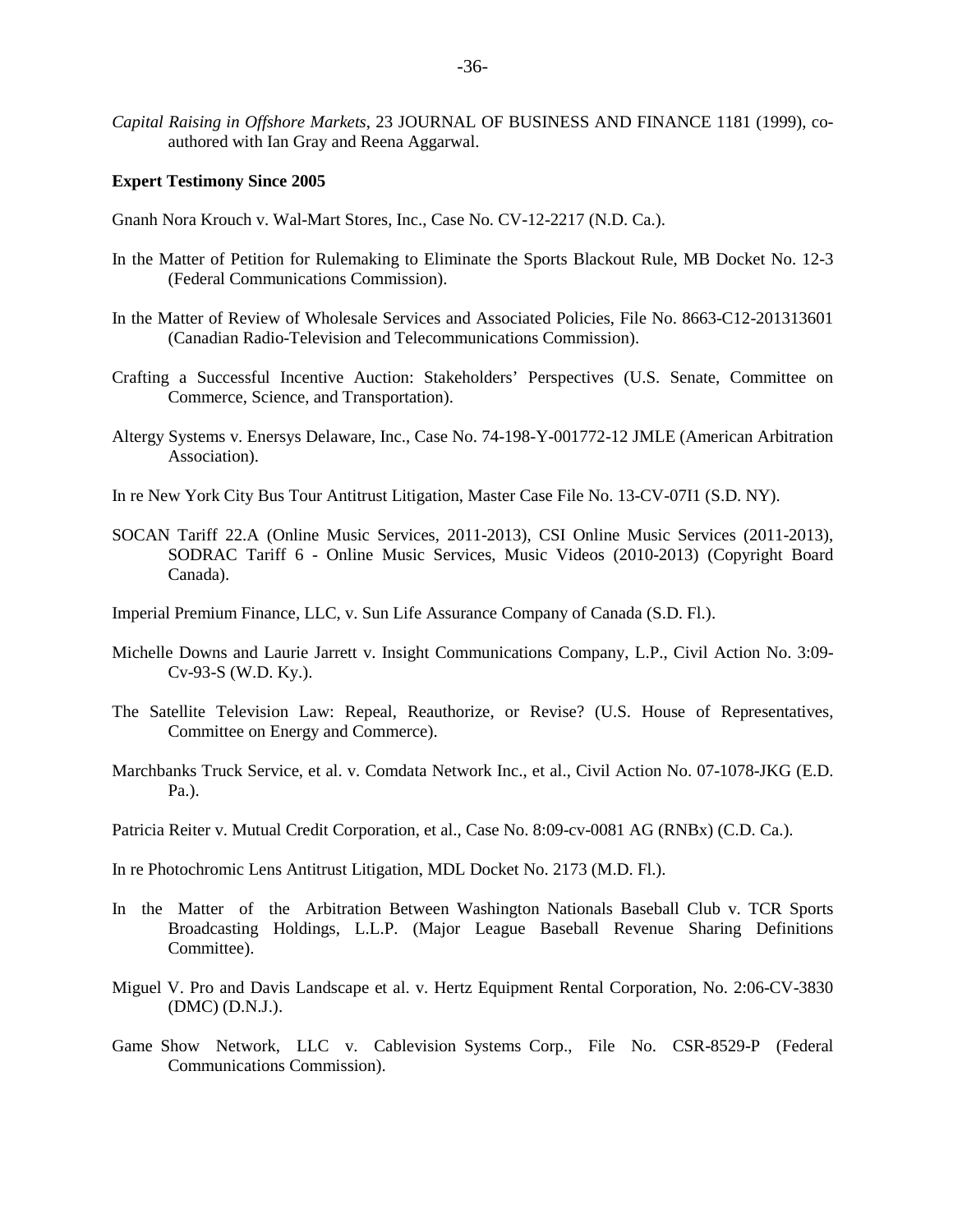*Capital Raising in Offshore Markets*, 23 JOURNAL OF BUSINESS AND FINANCE 1181 (1999), coauthored with Ian Gray and Reena Aggarwal.

#### **Expert Testimony Since 2005**

- Gnanh Nora Krouch v. Wal-Mart Stores, Inc., Case No. CV-12-2217 (N.D. Ca.).
- In the Matter of Petition for Rulemaking to Eliminate the Sports Blackout Rule, MB Docket No. 12-3 (Federal Communications Commission).
- In the Matter of Review of Wholesale Services and Associated Policies, File No. 8663-C12-201313601 (Canadian Radio-Television and Telecommunications Commission).
- Crafting a Successful Incentive Auction: Stakeholders' Perspectives (U.S. Senate, Committee on Commerce, Science, and Transportation).
- Altergy Systems v. Enersys Delaware, Inc., Case No. 74-198-Y-001772-12 JMLE (American Arbitration Association).
- In re New York City Bus Tour Antitrust Litigation, Master Case File No. 13-CV-07I1 (S.D. NY).
- SOCAN Tariff 22.A (Online Music Services, 2011-2013), CSI Online Music Services (2011-2013), SODRAC Tariff 6 - Online Music Services, Music Videos (2010-2013) (Copyright Board Canada).
- Imperial Premium Finance, LLC, v. Sun Life Assurance Company of Canada (S.D. Fl.).
- Michelle Downs and Laurie Jarrett v. Insight Communications Company, L.P., Civil Action No. 3:09- Cv-93-S (W.D. Ky.).
- The Satellite Television Law: Repeal, Reauthorize, or Revise? (U.S. House of Representatives, Committee on Energy and Commerce).
- Marchbanks Truck Service, et al. v. Comdata Network Inc., et al., Civil Action No. 07-1078-JKG (E.D. Pa.).
- Patricia Reiter v. Mutual Credit Corporation, et al., Case No. 8:09-cv-0081 AG (RNBx) (C.D. Ca.).

In re Photochromic Lens Antitrust Litigation, MDL Docket No. 2173 (M.D. Fl.).

- In the Matter of the Arbitration Between Washington Nationals Baseball Club v. TCR Sports Broadcasting Holdings, L.L.P. (Major League Baseball Revenue Sharing Definitions Committee).
- Miguel V. Pro and Davis Landscape et al. v. Hertz Equipment Rental Corporation, No. 2:06-CV-3830 (DMC) (D.N.J.).
- Game Show Network, LLC v. Cablevision Systems Corp., File No. CSR-8529-P (Federal Communications Commission).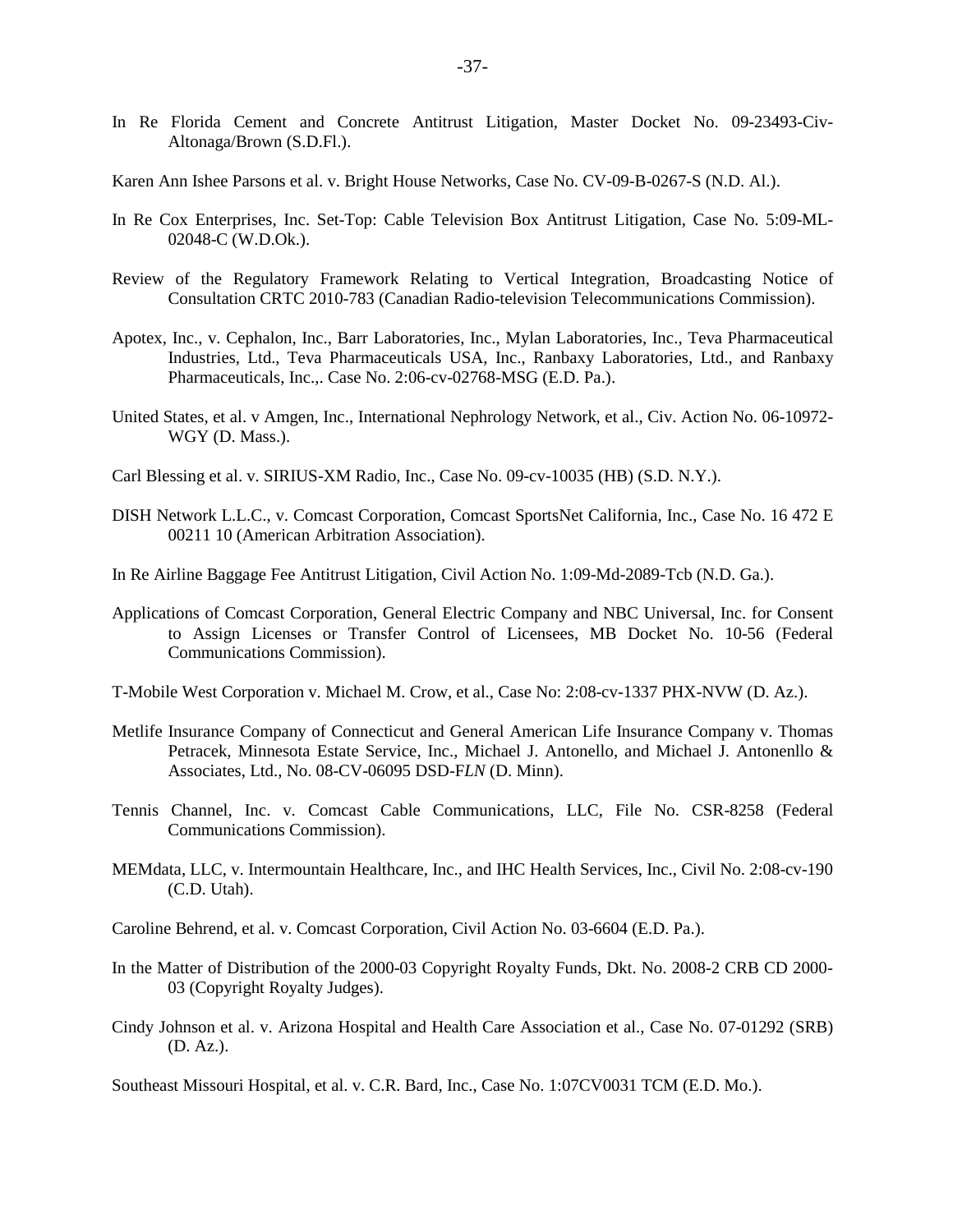- In Re Florida Cement and Concrete Antitrust Litigation, Master Docket No. 09-23493-Civ-Altonaga/Brown (S.D.Fl.).
- Karen Ann Ishee Parsons et al. v. Bright House Networks, Case No. CV-09-B-0267-S (N.D. Al.).
- In Re Cox Enterprises, Inc. Set-Top: Cable Television Box Antitrust Litigation, Case No. 5:09-ML-02048-C (W.D.Ok.).
- Review of the Regulatory Framework Relating to Vertical Integration, Broadcasting Notice of Consultation CRTC 2010-783 (Canadian Radio-television Telecommunications Commission).
- Apotex, Inc., v. Cephalon, Inc., Barr Laboratories, Inc., Mylan Laboratories, Inc., Teva Pharmaceutical Industries, Ltd., Teva Pharmaceuticals USA, Inc., Ranbaxy Laboratories, Ltd., and Ranbaxy Pharmaceuticals, Inc.,. Case No. 2:06-cv-02768-MSG (E.D. Pa.).
- United States, et al. v Amgen, Inc., International Nephrology Network, et al., Civ. Action No. 06-10972- WGY (D. Mass.).
- Carl Blessing et al. v. SIRIUS-XM Radio, Inc., Case No. 09-cv-10035 (HB) (S.D. N.Y.).
- DISH Network L.L.C., v. Comcast Corporation, Comcast SportsNet California, Inc., Case No. 16 472 E 00211 10 (American Arbitration Association).
- In Re Airline Baggage Fee Antitrust Litigation, Civil Action No. 1:09-Md-2089-Tcb (N.D. Ga.).
- Applications of Comcast Corporation, General Electric Company and NBC Universal, Inc. for Consent to Assign Licenses or Transfer Control of Licensees, MB Docket No. 10-56 (Federal Communications Commission).
- T-Mobile West Corporation v. Michael M. Crow, et al., Case No: 2:08-cv-1337 PHX-NVW (D. Az.).
- Metlife Insurance Company of Connecticut and General American Life Insurance Company v. Thomas Petracek, Minnesota Estate Service, Inc., Michael J. Antonello, and Michael J. Antonenllo & Associates, Ltd., No. 08-CV-06095 DSD-F*LN* (D. Minn).
- Tennis Channel, Inc. v. Comcast Cable Communications, LLC, File No. CSR-8258 (Federal Communications Commission).
- MEMdata, LLC, v. Intermountain Healthcare, Inc., and IHC Health Services, Inc., Civil No. 2:08-cv-190 (C.D. Utah).
- Caroline Behrend, et al. v. Comcast Corporation, Civil Action No. 03-6604 (E.D. Pa.).
- In the Matter of Distribution of the 2000-03 Copyright Royalty Funds, Dkt. No. 2008-2 CRB CD 2000- 03 (Copyright Royalty Judges).
- Cindy Johnson et al. v. Arizona Hospital and Health Care Association et al., Case No. 07-01292 (SRB) (D. Az.).

Southeast Missouri Hospital, et al. v. C.R. Bard, Inc., Case No. 1:07CV0031 TCM (E.D. Mo.).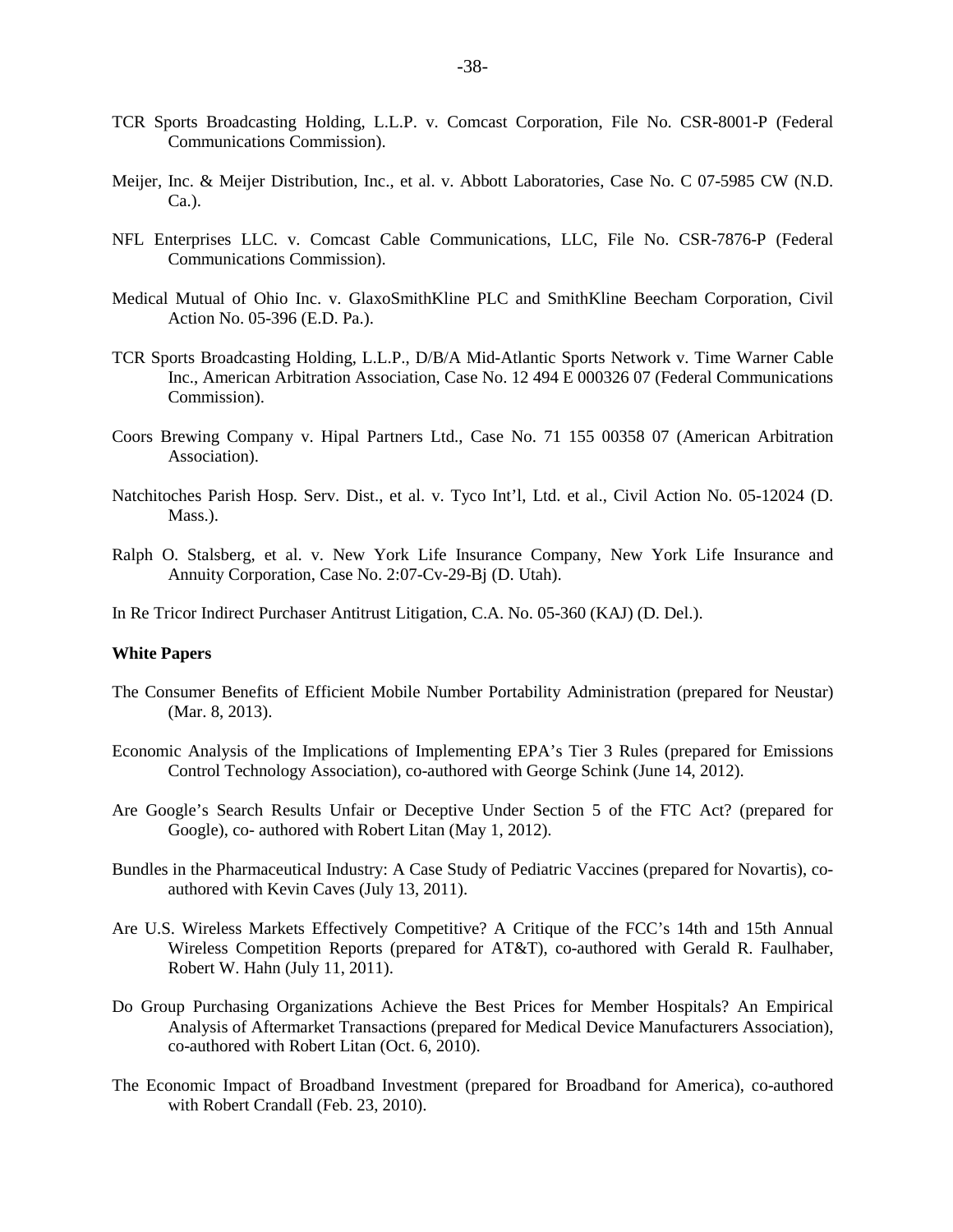- TCR Sports Broadcasting Holding, L.L.P. v. Comcast Corporation, File No. CSR-8001-P (Federal Communications Commission).
- Meijer, Inc. & Meijer Distribution, Inc., et al. v. Abbott Laboratories, Case No. C 07-5985 CW (N.D. Ca.).
- NFL Enterprises LLC. v. Comcast Cable Communications, LLC, File No. CSR-7876-P (Federal Communications Commission).
- Medical Mutual of Ohio Inc. v. GlaxoSmithKline PLC and SmithKline Beecham Corporation, Civil Action No. 05-396 (E.D. Pa.).
- TCR Sports Broadcasting Holding, L.L.P., D/B/A Mid-Atlantic Sports Network v. Time Warner Cable Inc., American Arbitration Association, Case No. 12 494 E 000326 07 (Federal Communications Commission).
- Coors Brewing Company v. Hipal Partners Ltd., Case No. 71 155 00358 07 (American Arbitration Association).
- Natchitoches Parish Hosp. Serv. Dist., et al. v. Tyco Int'l, Ltd. et al., Civil Action No. 05-12024 (D. Mass.).
- Ralph O. Stalsberg, et al. v. New York Life Insurance Company, New York Life Insurance and Annuity Corporation, Case No. 2:07-Cv-29-Bj (D. Utah).
- In Re Tricor Indirect Purchaser Antitrust Litigation, C.A. No. 05-360 (KAJ) (D. Del.).

#### **White Papers**

- The Consumer Benefits of Efficient Mobile Number Portability Administration (prepared for Neustar) (Mar. 8, 2013).
- Economic Analysis of the Implications of Implementing EPA's Tier 3 Rules (prepared for Emissions Control Technology Association), co-authored with George Schink (June 14, 2012).
- Are Google's Search Results Unfair or Deceptive Under Section 5 of the FTC Act? (prepared for Google), co- authored with Robert Litan (May 1, 2012).
- Bundles in the Pharmaceutical Industry: A Case Study of Pediatric Vaccines (prepared for Novartis), coauthored with Kevin Caves (July 13, 2011).
- Are U.S. Wireless Markets Effectively Competitive? A Critique of the FCC's 14th and 15th Annual Wireless Competition Reports (prepared for AT&T), co-authored with Gerald R. Faulhaber, Robert W. Hahn (July 11, 2011).
- Do Group Purchasing Organizations Achieve the Best Prices for Member Hospitals? An Empirical Analysis of Aftermarket Transactions (prepared for Medical Device Manufacturers Association), co-authored with Robert Litan (Oct. 6, 2010).
- The Economic Impact of Broadband Investment (prepared for Broadband for America), co-authored with Robert Crandall (Feb. 23, 2010).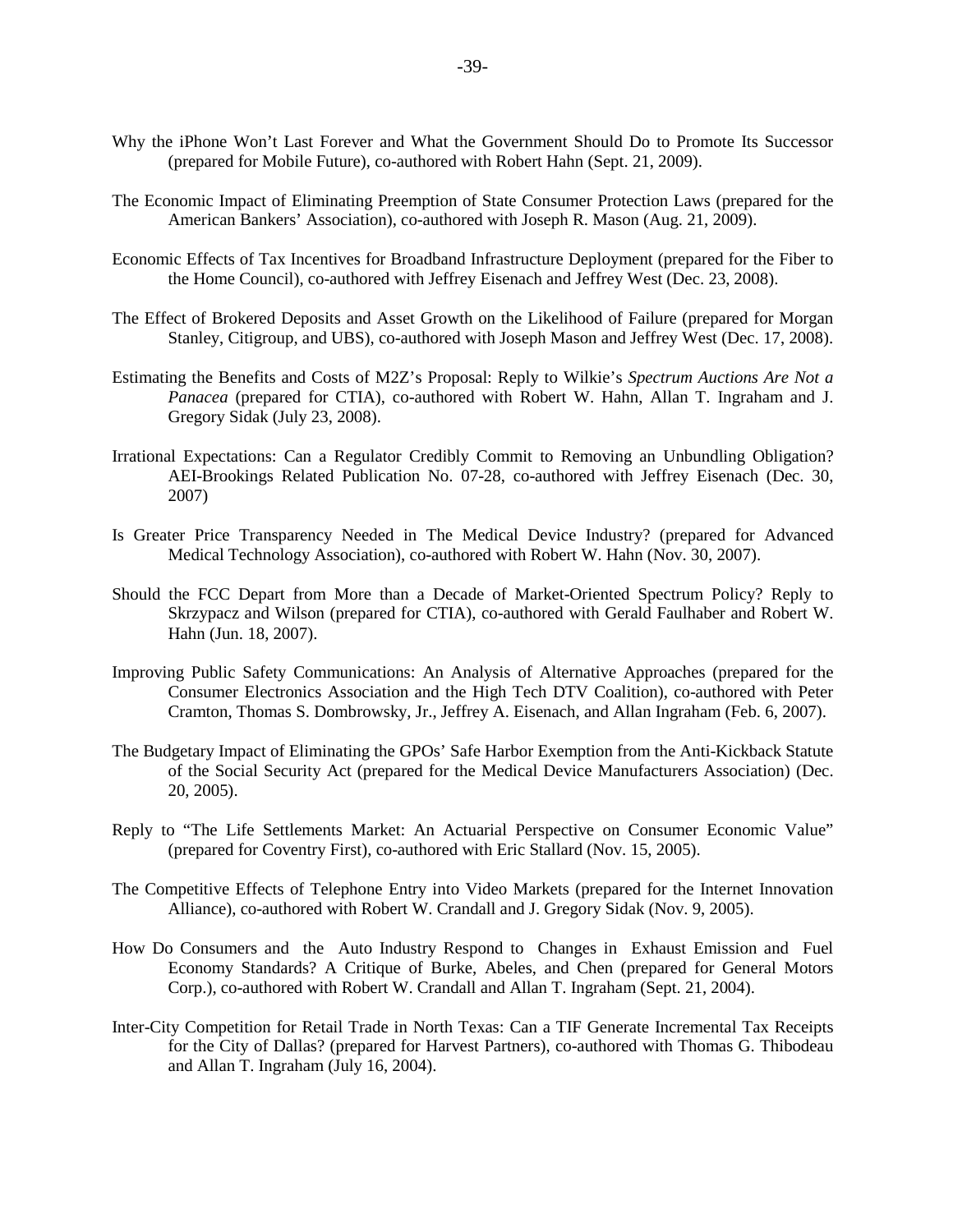- Why the iPhone Won't Last Forever and What the Government Should Do to Promote Its Successor (prepared for Mobile Future), co-authored with Robert Hahn (Sept. 21, 2009).
- The Economic Impact of Eliminating Preemption of State Consumer Protection Laws (prepared for the American Bankers' Association), co-authored with Joseph R. Mason (Aug. 21, 2009).
- Economic Effects of Tax Incentives for Broadband Infrastructure Deployment (prepared for the Fiber to the Home Council), co-authored with Jeffrey Eisenach and Jeffrey West (Dec. 23, 2008).
- The Effect of Brokered Deposits and Asset Growth on the Likelihood of Failure (prepared for Morgan Stanley, Citigroup, and UBS), co-authored with Joseph Mason and Jeffrey West (Dec. 17, 2008).
- Estimating the Benefits and Costs of M2Z's Proposal: Reply to Wilkie's *Spectrum Auctions Are Not a Panacea* (prepared for CTIA), co-authored with Robert W. Hahn, Allan T. Ingraham and J. Gregory Sidak (July 23, 2008).
- Irrational Expectations: Can a Regulator Credibly Commit to Removing an Unbundling Obligation? AEI-Brookings Related Publication No. 07-28, co-authored with Jeffrey Eisenach (Dec. 30, 2007)
- Is Greater Price Transparency Needed in The Medical Device Industry? (prepared for Advanced Medical Technology Association), co-authored with Robert W. Hahn (Nov. 30, 2007).
- Should the FCC Depart from More than a Decade of Market-Oriented Spectrum Policy? Reply to Skrzypacz and Wilson (prepared for CTIA), co-authored with Gerald Faulhaber and Robert W. Hahn (Jun. 18, 2007).
- Improving Public Safety Communications: An Analysis of Alternative Approaches (prepared for the Consumer Electronics Association and the High Tech DTV Coalition), co-authored with Peter Cramton, Thomas S. Dombrowsky, Jr., Jeffrey A. Eisenach, and Allan Ingraham (Feb. 6, 2007).
- The Budgetary Impact of Eliminating the GPOs' Safe Harbor Exemption from the Anti-Kickback Statute of the Social Security Act (prepared for the Medical Device Manufacturers Association) (Dec. 20, 2005).
- Reply to "The Life Settlements Market: An Actuarial Perspective on Consumer Economic Value" (prepared for Coventry First), co-authored with Eric Stallard (Nov. 15, 2005).
- The Competitive Effects of Telephone Entry into Video Markets (prepared for the Internet Innovation Alliance), co-authored with Robert W. Crandall and J. Gregory Sidak (Nov. 9, 2005).
- How Do Consumers and the Auto Industry Respond to Changes in Exhaust Emission and Fuel Economy Standards? A Critique of Burke, Abeles, and Chen (prepared for General Motors Corp.), co-authored with Robert W. Crandall and Allan T. Ingraham (Sept. 21, 2004).
- Inter-City Competition for Retail Trade in North Texas: Can a TIF Generate Incremental Tax Receipts for the City of Dallas? (prepared for Harvest Partners), co-authored with Thomas G. Thibodeau and Allan T. Ingraham (July 16, 2004).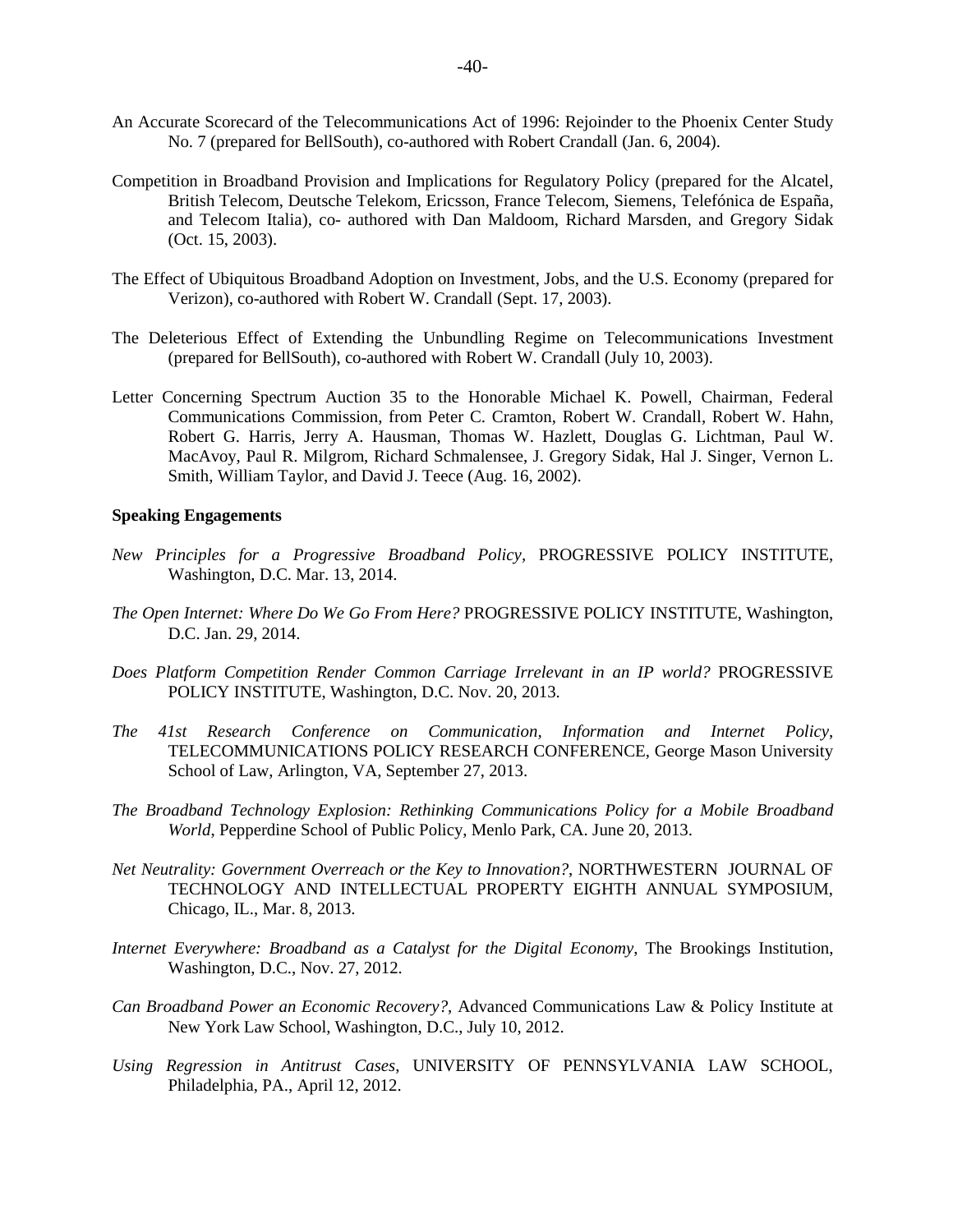- An Accurate Scorecard of the Telecommunications Act of 1996: Rejoinder to the Phoenix Center Study No. 7 (prepared for BellSouth), co-authored with Robert Crandall (Jan. 6, 2004).
- Competition in Broadband Provision and Implications for Regulatory Policy (prepared for the Alcatel, British Telecom, Deutsche Telekom, Ericsson, France Telecom, Siemens, Telefónica de España, and Telecom Italia), co- authored with Dan Maldoom, Richard Marsden, and Gregory Sidak (Oct. 15, 2003).
- The Effect of Ubiquitous Broadband Adoption on Investment, Jobs, and the U.S. Economy (prepared for Verizon), co-authored with Robert W. Crandall (Sept. 17, 2003).
- The Deleterious Effect of Extending the Unbundling Regime on Telecommunications Investment (prepared for BellSouth), co-authored with Robert W. Crandall (July 10, 2003).
- Letter Concerning Spectrum Auction 35 to the Honorable Michael K. Powell, Chairman, Federal Communications Commission, from Peter C. Cramton, Robert W. Crandall, Robert W. Hahn, Robert G. Harris, Jerry A. Hausman, Thomas W. Hazlett, Douglas G. Lichtman, Paul W. MacAvoy, Paul R. Milgrom, Richard Schmalensee, J. Gregory Sidak, Hal J. Singer, Vernon L. Smith, William Taylor, and David J. Teece (Aug. 16, 2002).

#### **Speaking Engagements**

- *New Principles for a Progressive Broadband Policy,* PROGRESSIVE POLICY INSTITUTE, Washington, D.C. Mar. 13, 2014.
- *The Open Internet: Where Do We Go From Here?* PROGRESSIVE POLICY INSTITUTE, Washington, D.C. Jan. 29, 2014.
- *Does Platform Competition Render Common Carriage Irrelevant in an IP world?* PROGRESSIVE POLICY INSTITUTE, Washington, D.C. Nov. 20, 2013.
- *The 41st Research Conference on Communication, Information and Internet Policy*, TELECOMMUNICATIONS POLICY RESEARCH CONFERENCE, George Mason University School of Law, Arlington, VA, September 27, 2013.
- *The Broadband Technology Explosion: Rethinking Communications Policy for a Mobile Broadband World*, Pepperdine School of Public Policy, Menlo Park, CA. June 20, 2013.
- *Net Neutrality: Government Overreach or the Key to Innovation?*, NORTHWESTERN JOURNAL OF TECHNOLOGY AND INTELLECTUAL PROPERTY EIGHTH ANNUAL SYMPOSIUM, Chicago, IL., Mar. 8, 2013.
- *Internet Everywhere: Broadband as a Catalyst for the Digital Economy*, The Brookings Institution, Washington, D.C., Nov. 27, 2012.
- *Can Broadband Power an Economic Recovery?*, Advanced Communications Law & Policy Institute at New York Law School, Washington, D.C., July 10, 2012.
- *Using Regression in Antitrust Cases*, UNIVERSITY OF PENNSYLVANIA LAW SCHOOL, Philadelphia, PA., April 12, 2012.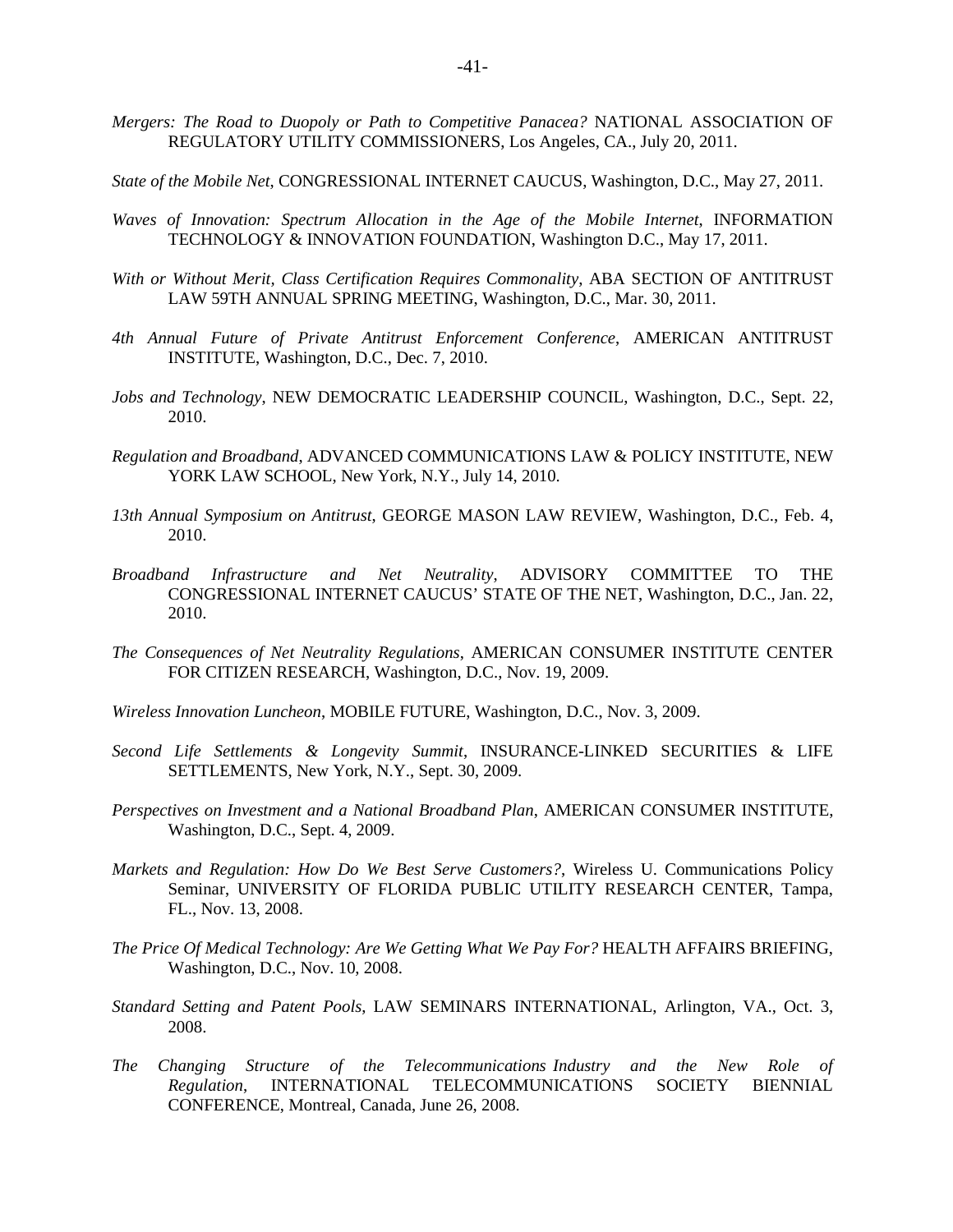- *Mergers: The Road to Duopoly or Path to Competitive Panacea?* NATIONAL ASSOCIATION OF REGULATORY UTILITY COMMISSIONERS, Los Angeles, CA., July 20, 2011.
- *State of the Mobile Net*, CONGRESSIONAL INTERNET CAUCUS, Washington, D.C., May 27, 2011.
- *Waves of Innovation: Spectrum Allocation in the Age of the Mobile Internet*, INFORMATION TECHNOLOGY & INNOVATION FOUNDATION, Washington D.C., May 17, 2011.
- *With or Without Merit, Class Certification Requires Commonality*, ABA SECTION OF ANTITRUST LAW 59TH ANNUAL SPRING MEETING, Washington, D.C., Mar. 30, 2011.
- *4th Annual Future of Private Antitrust Enforcement Conference*, AMERICAN ANTITRUST INSTITUTE, Washington, D.C., Dec. 7, 2010.
- *Jobs and Technology*, NEW DEMOCRATIC LEADERSHIP COUNCIL, Washington, D.C., Sept. 22, 2010.
- *Regulation and Broadband*, ADVANCED COMMUNICATIONS LAW & POLICY INSTITUTE, NEW YORK LAW SCHOOL, New York, N.Y., July 14, 2010.
- *13th Annual Symposium on Antitrust*, GEORGE MASON LAW REVIEW, Washington, D.C., Feb. 4, 2010.
- *Broadband Infrastructure and Net Neutrality*, ADVISORY COMMITTEE TO THE CONGRESSIONAL INTERNET CAUCUS' STATE OF THE NET, Washington, D.C., Jan. 22, 2010.
- *The Consequences of Net Neutrality Regulations*, AMERICAN CONSUMER INSTITUTE CENTER FOR CITIZEN RESEARCH, Washington, D.C., Nov. 19, 2009.
- *Wireless Innovation Luncheon*, MOBILE FUTURE, Washington, D.C., Nov. 3, 2009.
- *Second Life Settlements & Longevity Summit*, INSURANCE-LINKED SECURITIES & LIFE SETTLEMENTS, New York, N.Y., Sept. 30, 2009.
- *Perspectives on Investment and a National Broadband Plan*, AMERICAN CONSUMER INSTITUTE, Washington, D.C., Sept. 4, 2009.
- *Markets and Regulation: How Do We Best Serve Customers?*, Wireless U. Communications Policy Seminar, UNIVERSITY OF FLORIDA PUBLIC UTILITY RESEARCH CENTER, Tampa, FL., Nov. 13, 2008.
- *The Price Of Medical Technology: Are We Getting What We Pay For?* HEALTH AFFAIRS BRIEFING, Washington, D.C., Nov. 10, 2008.
- *Standard Setting and Patent Pools*, LAW SEMINARS INTERNATIONAL, Arlington, VA., Oct. 3, 2008.
- *The Changing Structure of the Telecommunications Industry and the New Role of Regulation*, INTERNATIONAL TELECOMMUNICATIONS SOCIETY BIENNIAL CONFERENCE, Montreal, Canada, June 26, 2008.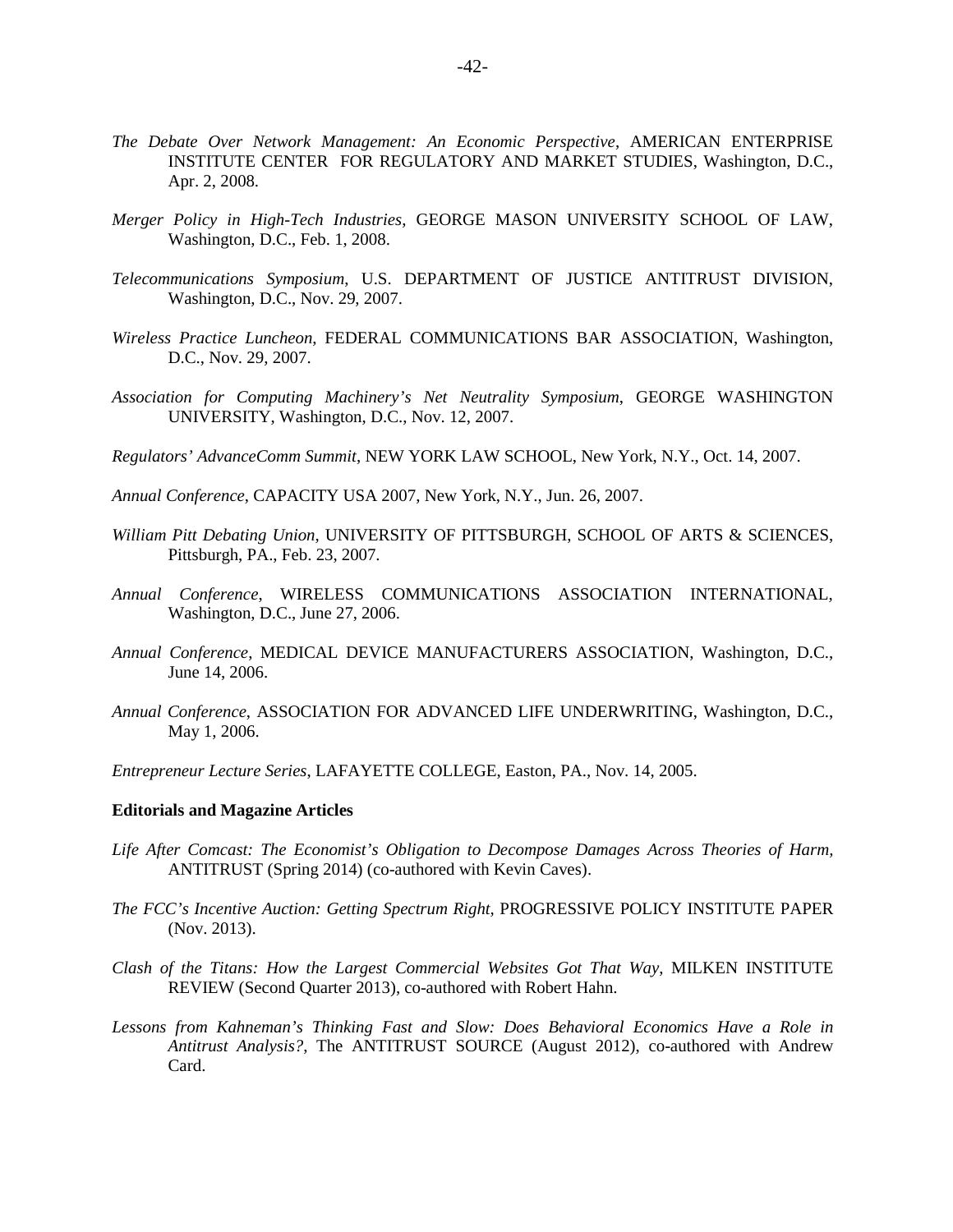- *The Debate Over Network Management: An Economic Perspective*, AMERICAN ENTERPRISE INSTITUTE CENTER FOR REGULATORY AND MARKET STUDIES, Washington, D.C., Apr. 2, 2008.
- *Merger Policy in High-Tech Industries*, GEORGE MASON UNIVERSITY SCHOOL OF LAW, Washington, D.C., Feb. 1, 2008.
- *Telecommunications Symposium*, U.S. DEPARTMENT OF JUSTICE ANTITRUST DIVISION, Washington, D.C., Nov. 29, 2007.
- *Wireless Practice Luncheon*, FEDERAL COMMUNICATIONS BAR ASSOCIATION, Washington, D.C., Nov. 29, 2007.
- *Association for Computing Machinery's Net Neutrality Symposium*, GEORGE WASHINGTON UNIVERSITY, Washington, D.C., Nov. 12, 2007.
- *Regulators' AdvanceComm Summit*, NEW YORK LAW SCHOOL, New York, N.Y., Oct. 14, 2007.
- *Annual Conference*, CAPACITY USA 2007, New York, N.Y., Jun. 26, 2007.
- *William Pitt Debating Union*, UNIVERSITY OF PITTSBURGH, SCHOOL OF ARTS & SCIENCES, Pittsburgh, PA., Feb. 23, 2007.
- *Annual Conference*, WIRELESS COMMUNICATIONS ASSOCIATION INTERNATIONAL, Washington, D.C., June 27, 2006.
- *Annual Conference*, MEDICAL DEVICE MANUFACTURERS ASSOCIATION, Washington, D.C., June 14, 2006.
- *Annual Conference*, ASSOCIATION FOR ADVANCED LIFE UNDERWRITING, Washington, D.C., May 1, 2006.
- *Entrepreneur Lecture Series*, LAFAYETTE COLLEGE, Easton, PA., Nov. 14, 2005.

#### **Editorials and Magazine Articles**

- *Life After Comcast: The Economist's Obligation to Decompose Damages Across Theories of Harm,*  ANTITRUST (Spring 2014) (co-authored with Kevin Caves).
- *The FCC's Incentive Auction: Getting Spectrum Right,* PROGRESSIVE POLICY INSTITUTE PAPER (Nov. 2013).
- *Clash of the Titans: How the Largest Commercial Websites Got That Way*, MILKEN INSTITUTE REVIEW (Second Quarter 2013), co-authored with Robert Hahn.
- *Lessons from Kahneman's Thinking Fast and Slow: Does Behavioral Economics Have a Role in Antitrust Analysis?*, The ANTITRUST SOURCE (August 2012), co-authored with Andrew Card.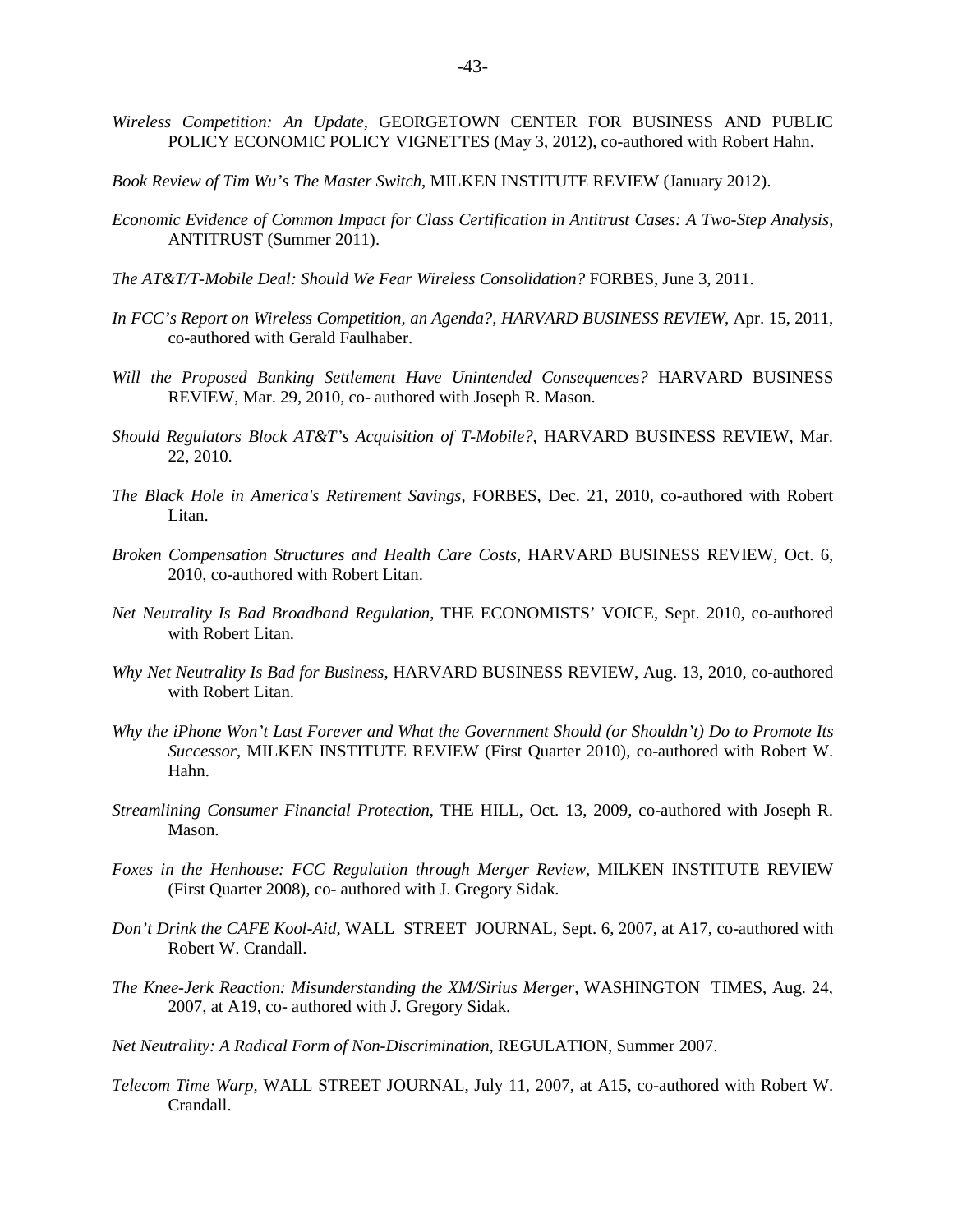- *Wireless Competition: An Update*, GEORGETOWN CENTER FOR BUSINESS AND PUBLIC POLICY ECONOMIC POLICY VIGNETTES (May 3, 2012), co-authored with Robert Hahn.
- *Book Review of Tim Wu's The Master Switch*, MILKEN INSTITUTE REVIEW (January 2012).
- *Economic Evidence of Common Impact for Class Certification in Antitrust Cases: A Two-Step Analysis*, ANTITRUST (Summer 2011).
- *The AT&T/T-Mobile Deal: Should We Fear Wireless Consolidation?* FORBES, June 3, 2011.
- *In FCC's Report on Wireless Competition, an Agenda?, HARVARD BUSINESS REVIEW*, Apr. 15, 2011, co-authored with Gerald Faulhaber.
- *Will the Proposed Banking Settlement Have Unintended Consequences?* HARVARD BUSINESS REVIEW, Mar. 29, 2010, co- authored with Joseph R. Mason.
- *Should Regulators Block AT&T's Acquisition of T-Mobile?*, HARVARD BUSINESS REVIEW, Mar. 22, 2010.
- *The Black Hole in America's Retirement Savings*, FORBES, Dec. 21, 2010, co-authored with Robert Litan.
- *Broken Compensation Structures and Health Care Costs*, HARVARD BUSINESS REVIEW, Oct. 6, 2010, co-authored with Robert Litan.
- *Net Neutrality Is Bad Broadband Regulation*, THE ECONOMISTS' VOICE, Sept. 2010, co-authored with Robert Litan.
- *Why Net Neutrality Is Bad for Business*, HARVARD BUSINESS REVIEW, Aug. 13, 2010, co-authored with Robert Litan.
- *Why the iPhone Won't Last Forever and What the Government Should (or Shouldn't) Do to Promote Its Successor*, MILKEN INSTITUTE REVIEW (First Quarter 2010), co-authored with Robert W. Hahn.
- *Streamlining Consumer Financial Protection*, THE HILL, Oct. 13, 2009, co-authored with Joseph R. Mason.
- *Foxes in the Henhouse: FCC Regulation through Merger Review*, MILKEN INSTITUTE REVIEW (First Quarter 2008), co- authored with J. Gregory Sidak.
- *Don't Drink the CAFE Kool-Aid*, WALL STREET JOURNAL, Sept. 6, 2007, at A17, co-authored with Robert W. Crandall.
- *The Knee-Jerk Reaction: Misunderstanding the XM/Sirius Merger*, WASHINGTON TIMES, Aug. 24, 2007, at A19, co- authored with J. Gregory Sidak.
- *Net Neutrality: A Radical Form of Non-Discrimination*, REGULATION, Summer 2007.
- *Telecom Time Warp*, WALL STREET JOURNAL, July 11, 2007, at A15, co-authored with Robert W. Crandall.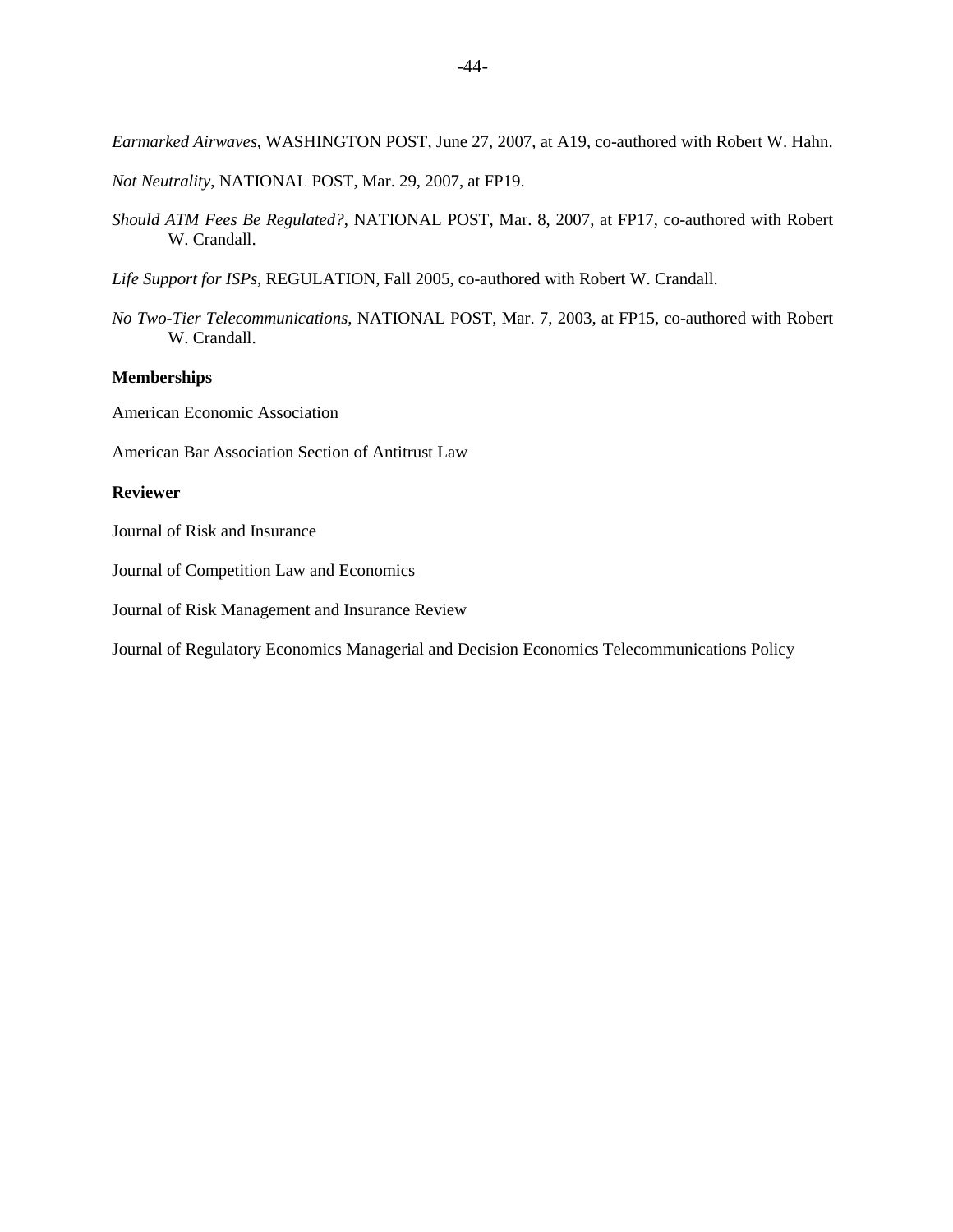*Earmarked Airwaves*, WASHINGTON POST, June 27, 2007, at A19, co-authored with Robert W. Hahn.

*Not Neutrality*, NATIONAL POST, Mar. 29, 2007, at FP19.

*Should ATM Fees Be Regulated?*, NATIONAL POST, Mar. 8, 2007, at FP17, co-authored with Robert W. Crandall.

*Life Support for ISPs*, REGULATION, Fall 2005, co-authored with Robert W. Crandall.

*No Two-Tier Telecommunications*, NATIONAL POST, Mar. 7, 2003, at FP15, co-authored with Robert W. Crandall.

### **Memberships**

American Economic Association

American Bar Association Section of Antitrust Law

#### **Reviewer**

Journal of Risk and Insurance

Journal of Competition Law and Economics

Journal of Risk Management and Insurance Review

Journal of Regulatory Economics Managerial and Decision Economics Telecommunications Policy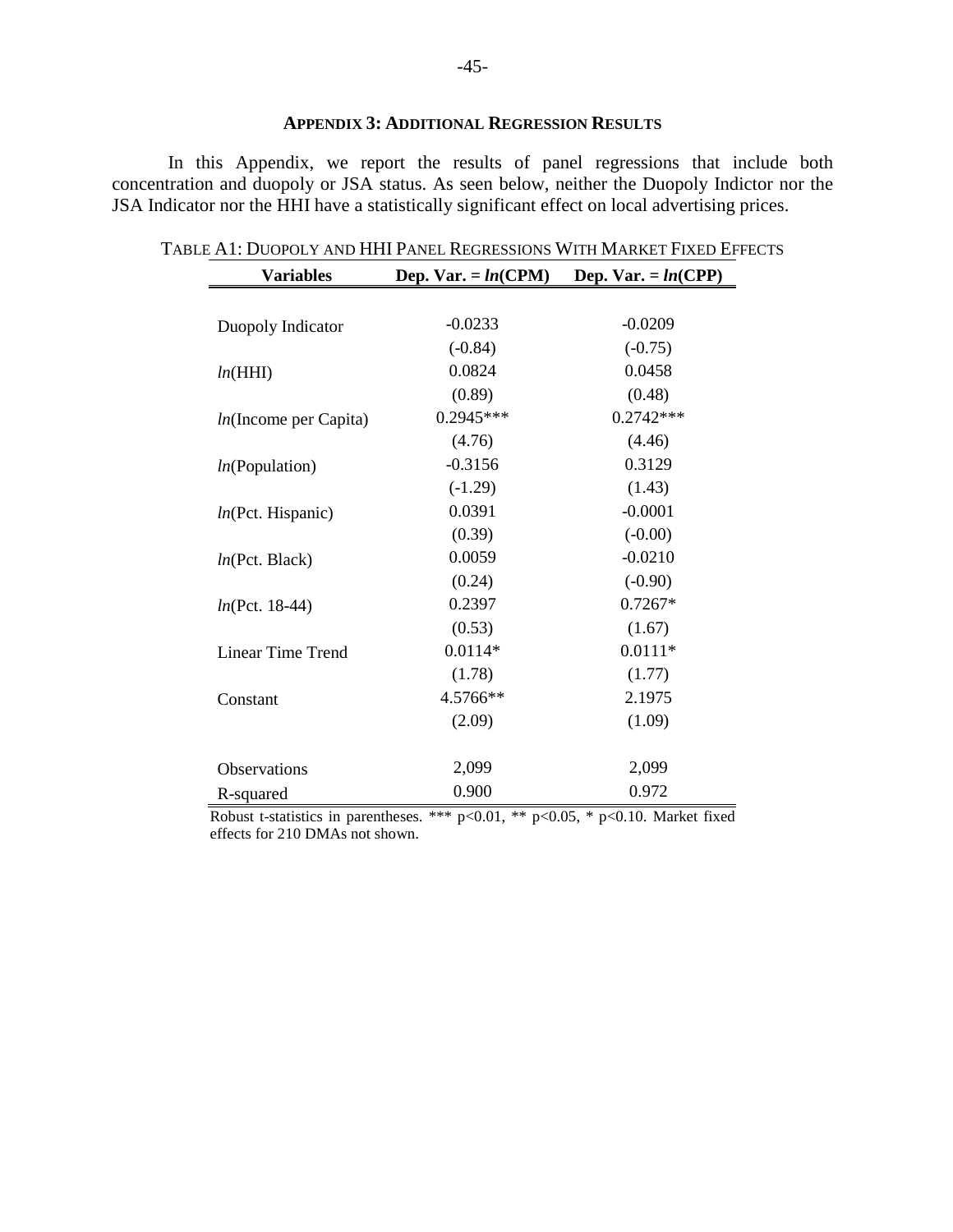# **APPENDIX 3: ADDITIONAL REGRESSION RESULTS**

<span id="page-44-0"></span>In this Appendix, we report the results of panel regressions that include both concentration and duopoly or JSA status. As seen below, neither the Duopoly Indictor nor the JSA Indicator nor the HHI have a statistically significant effect on local advertising prices.

| <b>Variables</b>            | Dep. Var. = $ln(CPM)$ | Dep. Var. = $ln(CPP)$ |
|-----------------------------|-----------------------|-----------------------|
|                             |                       |                       |
| Duopoly Indicator           | $-0.0233$             | $-0.0209$             |
|                             | $(-0.84)$             | $(-0.75)$             |
| ln(HHI)                     | 0.0824                | 0.0458                |
|                             | (0.89)                | (0.48)                |
| $ln($ Income per Capita $)$ | $0.2945***$           | $0.2742***$           |
|                             | (4.76)                | (4.46)                |
| ln(Population)              | $-0.3156$             | 0.3129                |
|                             | $(-1.29)$             | (1.43)                |
| ln(Pct. Hispanic)           | 0.0391                | $-0.0001$             |
|                             | (0.39)                | $(-0.00)$             |
| ln(Pct. Black)              | 0.0059                | $-0.0210$             |
|                             | (0.24)                | $(-0.90)$             |
| $ln(Pct. 18-44)$            | 0.2397                | $0.7267*$             |
|                             | (0.53)                | (1.67)                |
| <b>Linear Time Trend</b>    | $0.0114*$             | $0.0111*$             |
|                             | (1.78)                | (1.77)                |
| Constant                    | 4.5766**              | 2.1975                |
|                             | (2.09)                | (1.09)                |
|                             |                       |                       |
| <b>Observations</b>         | 2,099                 | 2,099                 |
| R-squared                   | 0.900                 | 0.972                 |

| Variables                                                             | Dep. Var. $= ln(CPM)$ | <b>Dep.</b> Var. = $ln(CPP)$ |  |
|-----------------------------------------------------------------------|-----------------------|------------------------------|--|
| Table A1: Duopoly and HHI Panel Regressions With Market Fixed Effects |                       |                              |  |

Robust t-statistics in parentheses. \*\*\*  $p<0.01$ , \*\*  $p<0.05$ , \*  $p<0.10$ . Market fixed effects for 210 DMAs not shown.